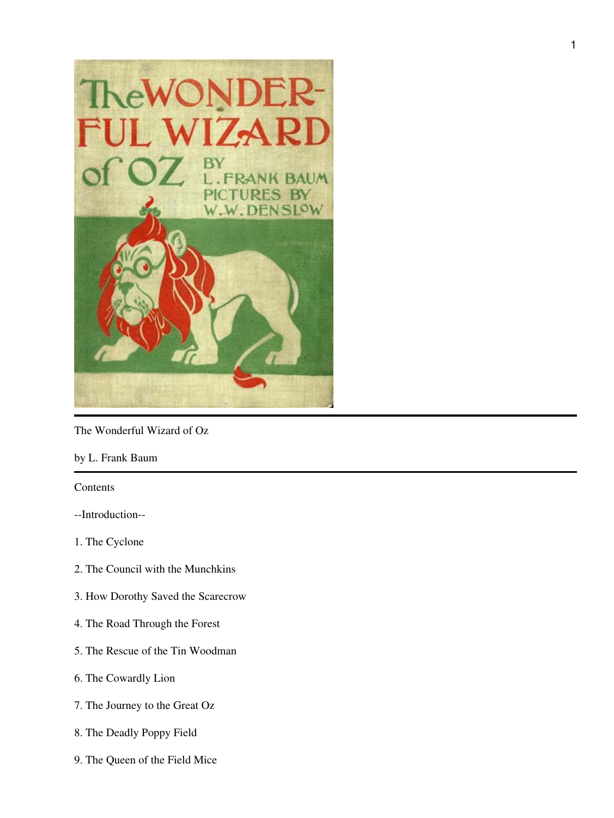

The Wonderful Wizard of Oz

by L. Frank Baum

# Contents

- --Introduction--
- 1. The Cyclone
- 2. The Council with the Munchkins
- 3. How Dorothy Saved the Scarecrow
- 4. The Road Through the Forest
- 5. The Rescue of the Tin Woodman
- 6. The Cowardly Lion
- 7. The Journey to the Great Oz
- 8. The Deadly Poppy Field
- 9. The Queen of the Field Mice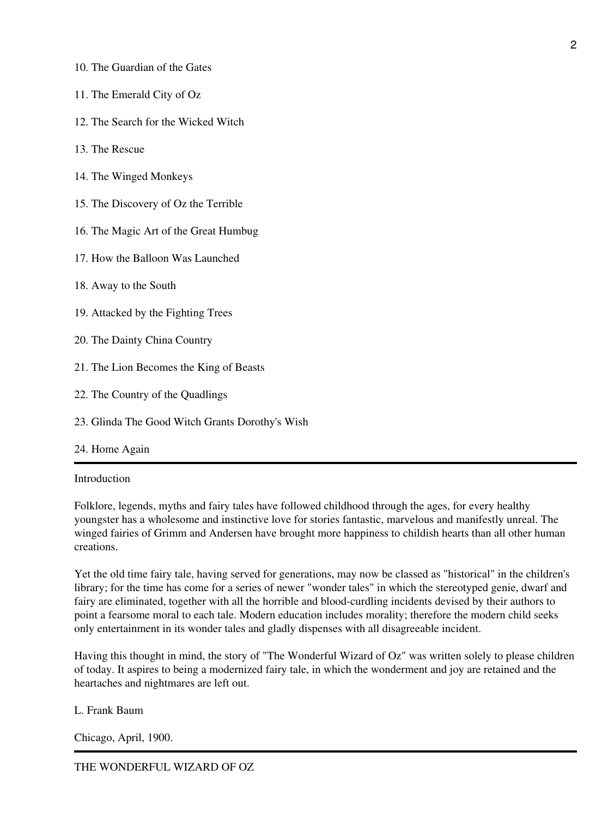- 10. The Guardian of the Gates
- 11. The Emerald City of Oz
- 12. The Search for the Wicked Witch
- 13. The Rescue
- 14. The Winged Monkeys
- 15. The Discovery of Oz the Terrible
- 16. The Magic Art of the Great Humbug
- 17. How the Balloon Was Launched
- 18. Away to the South
- 19. Attacked by the Fighting Trees
- 20. The Dainty China Country
- 21. The Lion Becomes the King of Beasts
- 22. The Country of the Quadlings
- 23. Glinda The Good Witch Grants Dorothy's Wish
- 24. Home Again

Introduction

Folklore, legends, myths and fairy tales have followed childhood through the ages, for every healthy youngster has a wholesome and instinctive love for stories fantastic, marvelous and manifestly unreal. The winged fairies of Grimm and Andersen have brought more happiness to childish hearts than all other human creations.

Yet the old time fairy tale, having served for generations, may now be classed as "historical" in the children's library; for the time has come for a series of newer "wonder tales" in which the stereotyped genie, dwarf and fairy are eliminated, together with all the horrible and blood-curdling incidents devised by their authors to point a fearsome moral to each tale. Modern education includes morality; therefore the modern child seeks only entertainment in its wonder tales and gladly dispenses with all disagreeable incident.

Having this thought in mind, the story of "The Wonderful Wizard of Oz" was written solely to please children of today. It aspires to being a modernized fairy tale, in which the wonderment and joy are retained and the heartaches and nightmares are left out.

L. Frank Baum

Chicago, April, 1900.

THE WONDERFUL WIZARD OF OZ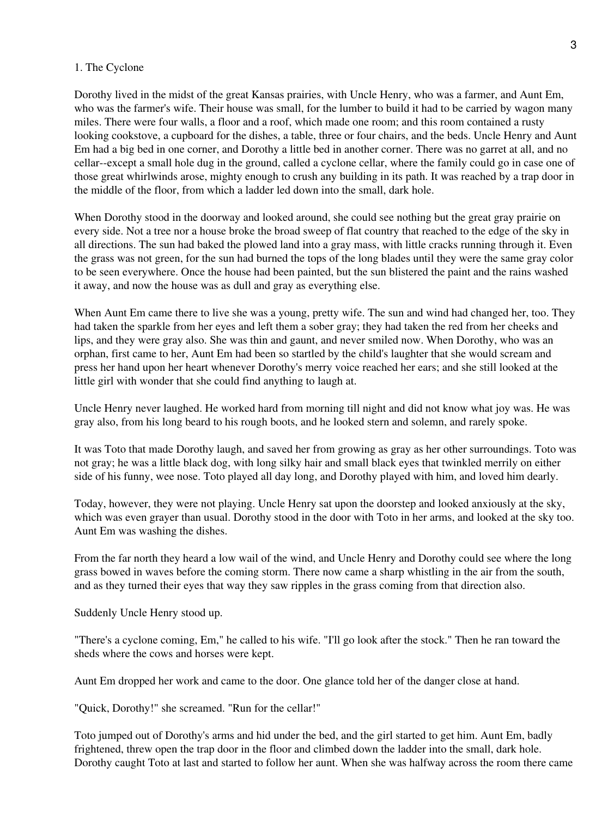#### 1. The Cyclone

Dorothy lived in the midst of the great Kansas prairies, with Uncle Henry, who was a farmer, and Aunt Em, who was the farmer's wife. Their house was small, for the lumber to build it had to be carried by wagon many miles. There were four walls, a floor and a roof, which made one room; and this room contained a rusty looking cookstove, a cupboard for the dishes, a table, three or four chairs, and the beds. Uncle Henry and Aunt Em had a big bed in one corner, and Dorothy a little bed in another corner. There was no garret at all, and no cellar--except a small hole dug in the ground, called a cyclone cellar, where the family could go in case one of those great whirlwinds arose, mighty enough to crush any building in its path. It was reached by a trap door in the middle of the floor, from which a ladder led down into the small, dark hole.

When Dorothy stood in the doorway and looked around, she could see nothing but the great gray prairie on every side. Not a tree nor a house broke the broad sweep of flat country that reached to the edge of the sky in all directions. The sun had baked the plowed land into a gray mass, with little cracks running through it. Even the grass was not green, for the sun had burned the tops of the long blades until they were the same gray color to be seen everywhere. Once the house had been painted, but the sun blistered the paint and the rains washed it away, and now the house was as dull and gray as everything else.

When Aunt Em came there to live she was a young, pretty wife. The sun and wind had changed her, too. They had taken the sparkle from her eyes and left them a sober gray; they had taken the red from her cheeks and lips, and they were gray also. She was thin and gaunt, and never smiled now. When Dorothy, who was an orphan, first came to her, Aunt Em had been so startled by the child's laughter that she would scream and press her hand upon her heart whenever Dorothy's merry voice reached her ears; and she still looked at the little girl with wonder that she could find anything to laugh at.

Uncle Henry never laughed. He worked hard from morning till night and did not know what joy was. He was gray also, from his long beard to his rough boots, and he looked stern and solemn, and rarely spoke.

It was Toto that made Dorothy laugh, and saved her from growing as gray as her other surroundings. Toto was not gray; he was a little black dog, with long silky hair and small black eyes that twinkled merrily on either side of his funny, wee nose. Toto played all day long, and Dorothy played with him, and loved him dearly.

Today, however, they were not playing. Uncle Henry sat upon the doorstep and looked anxiously at the sky, which was even grayer than usual. Dorothy stood in the door with Toto in her arms, and looked at the sky too. Aunt Em was washing the dishes.

From the far north they heard a low wail of the wind, and Uncle Henry and Dorothy could see where the long grass bowed in waves before the coming storm. There now came a sharp whistling in the air from the south, and as they turned their eyes that way they saw ripples in the grass coming from that direction also.

Suddenly Uncle Henry stood up.

"There's a cyclone coming, Em," he called to his wife. "I'll go look after the stock." Then he ran toward the sheds where the cows and horses were kept.

Aunt Em dropped her work and came to the door. One glance told her of the danger close at hand.

"Quick, Dorothy!" she screamed. "Run for the cellar!"

Toto jumped out of Dorothy's arms and hid under the bed, and the girl started to get him. Aunt Em, badly frightened, threw open the trap door in the floor and climbed down the ladder into the small, dark hole. Dorothy caught Toto at last and started to follow her aunt. When she was halfway across the room there came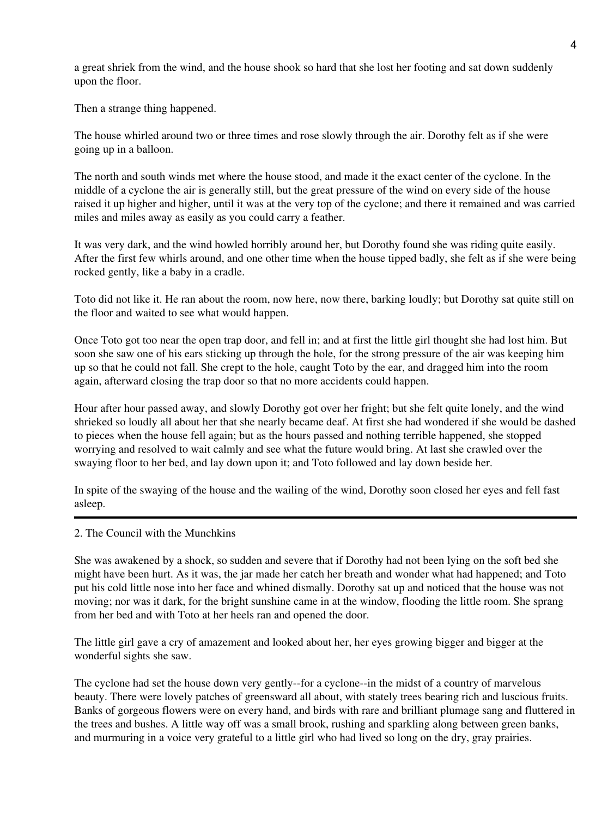a great shriek from the wind, and the house shook so hard that she lost her footing and sat down suddenly upon the floor.

Then a strange thing happened.

The house whirled around two or three times and rose slowly through the air. Dorothy felt as if she were going up in a balloon.

The north and south winds met where the house stood, and made it the exact center of the cyclone. In the middle of a cyclone the air is generally still, but the great pressure of the wind on every side of the house raised it up higher and higher, until it was at the very top of the cyclone; and there it remained and was carried miles and miles away as easily as you could carry a feather.

It was very dark, and the wind howled horribly around her, but Dorothy found she was riding quite easily. After the first few whirls around, and one other time when the house tipped badly, she felt as if she were being rocked gently, like a baby in a cradle.

Toto did not like it. He ran about the room, now here, now there, barking loudly; but Dorothy sat quite still on the floor and waited to see what would happen.

Once Toto got too near the open trap door, and fell in; and at first the little girl thought she had lost him. But soon she saw one of his ears sticking up through the hole, for the strong pressure of the air was keeping him up so that he could not fall. She crept to the hole, caught Toto by the ear, and dragged him into the room again, afterward closing the trap door so that no more accidents could happen.

Hour after hour passed away, and slowly Dorothy got over her fright; but she felt quite lonely, and the wind shrieked so loudly all about her that she nearly became deaf. At first she had wondered if she would be dashed to pieces when the house fell again; but as the hours passed and nothing terrible happened, she stopped worrying and resolved to wait calmly and see what the future would bring. At last she crawled over the swaying floor to her bed, and lay down upon it; and Toto followed and lay down beside her.

In spite of the swaying of the house and the wailing of the wind, Dorothy soon closed her eyes and fell fast asleep.

#### 2. The Council with the Munchkins

She was awakened by a shock, so sudden and severe that if Dorothy had not been lying on the soft bed she might have been hurt. As it was, the jar made her catch her breath and wonder what had happened; and Toto put his cold little nose into her face and whined dismally. Dorothy sat up and noticed that the house was not moving; nor was it dark, for the bright sunshine came in at the window, flooding the little room. She sprang from her bed and with Toto at her heels ran and opened the door.

The little girl gave a cry of amazement and looked about her, her eyes growing bigger and bigger at the wonderful sights she saw.

The cyclone had set the house down very gently--for a cyclone--in the midst of a country of marvelous beauty. There were lovely patches of greensward all about, with stately trees bearing rich and luscious fruits. Banks of gorgeous flowers were on every hand, and birds with rare and brilliant plumage sang and fluttered in the trees and bushes. A little way off was a small brook, rushing and sparkling along between green banks, and murmuring in a voice very grateful to a little girl who had lived so long on the dry, gray prairies.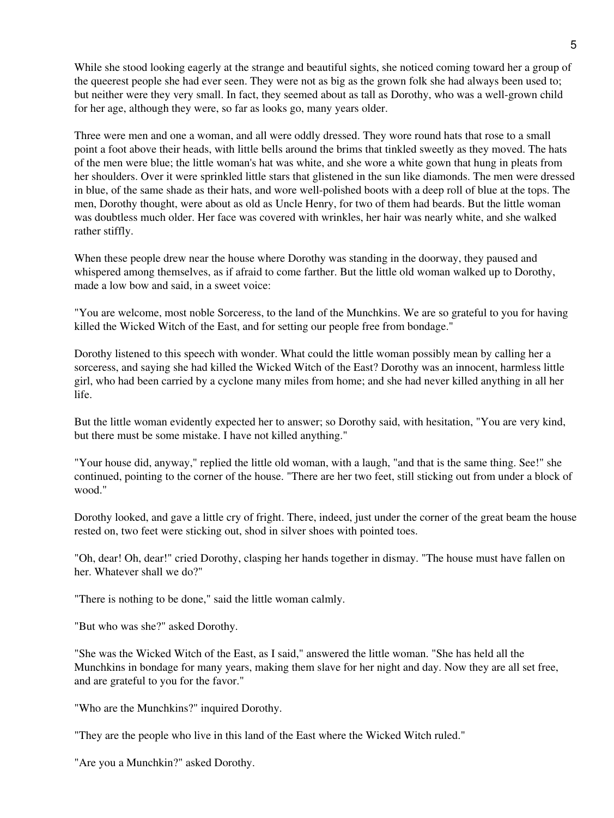While she stood looking eagerly at the strange and beautiful sights, she noticed coming toward her a group of the queerest people she had ever seen. They were not as big as the grown folk she had always been used to; but neither were they very small. In fact, they seemed about as tall as Dorothy, who was a well-grown child for her age, although they were, so far as looks go, many years older.

Three were men and one a woman, and all were oddly dressed. They wore round hats that rose to a small point a foot above their heads, with little bells around the brims that tinkled sweetly as they moved. The hats of the men were blue; the little woman's hat was white, and she wore a white gown that hung in pleats from her shoulders. Over it were sprinkled little stars that glistened in the sun like diamonds. The men were dressed in blue, of the same shade as their hats, and wore well-polished boots with a deep roll of blue at the tops. The men, Dorothy thought, were about as old as Uncle Henry, for two of them had beards. But the little woman was doubtless much older. Her face was covered with wrinkles, her hair was nearly white, and she walked rather stiffly.

When these people drew near the house where Dorothy was standing in the doorway, they paused and whispered among themselves, as if afraid to come farther. But the little old woman walked up to Dorothy, made a low bow and said, in a sweet voice:

"You are welcome, most noble Sorceress, to the land of the Munchkins. We are so grateful to you for having killed the Wicked Witch of the East, and for setting our people free from bondage."

Dorothy listened to this speech with wonder. What could the little woman possibly mean by calling her a sorceress, and saying she had killed the Wicked Witch of the East? Dorothy was an innocent, harmless little girl, who had been carried by a cyclone many miles from home; and she had never killed anything in all her life.

But the little woman evidently expected her to answer; so Dorothy said, with hesitation, "You are very kind, but there must be some mistake. I have not killed anything."

"Your house did, anyway," replied the little old woman, with a laugh, "and that is the same thing. See!" she continued, pointing to the corner of the house. "There are her two feet, still sticking out from under a block of wood."

Dorothy looked, and gave a little cry of fright. There, indeed, just under the corner of the great beam the house rested on, two feet were sticking out, shod in silver shoes with pointed toes.

"Oh, dear! Oh, dear!" cried Dorothy, clasping her hands together in dismay. "The house must have fallen on her. Whatever shall we do?"

"There is nothing to be done," said the little woman calmly.

"But who was she?" asked Dorothy.

"She was the Wicked Witch of the East, as I said," answered the little woman. "She has held all the Munchkins in bondage for many years, making them slave for her night and day. Now they are all set free, and are grateful to you for the favor."

"Who are the Munchkins?" inquired Dorothy.

"They are the people who live in this land of the East where the Wicked Witch ruled."

"Are you a Munchkin?" asked Dorothy.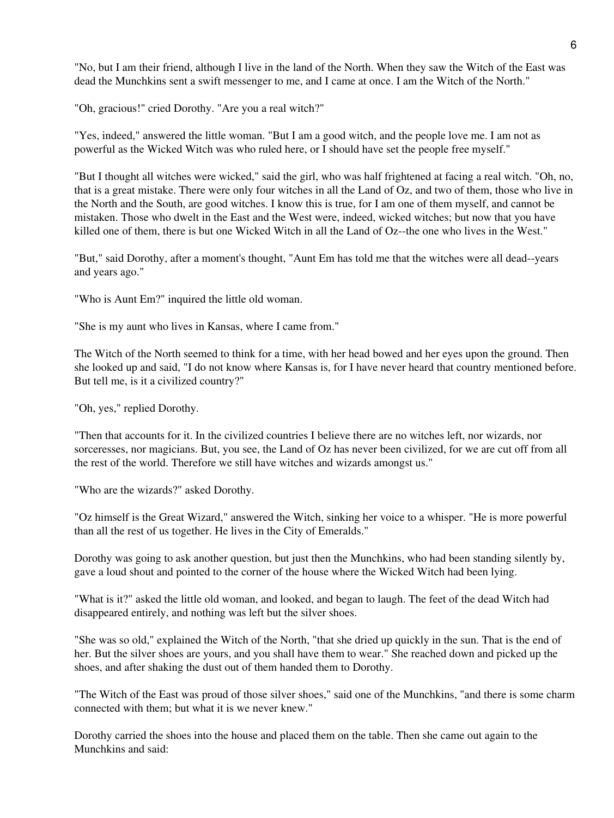"No, but I am their friend, although I live in the land of the North. When they saw the Witch of the East was dead the Munchkins sent a swift messenger to me, and I came at once. I am the Witch of the North."

"Oh, gracious!" cried Dorothy. "Are you a real witch?"

"Yes, indeed," answered the little woman. "But I am a good witch, and the people love me. I am not as powerful as the Wicked Witch was who ruled here, or I should have set the people free myself."

"But I thought all witches were wicked," said the girl, who was half frightened at facing a real witch. "Oh, no, that is a great mistake. There were only four witches in all the Land of Oz, and two of them, those who live in the North and the South, are good witches. I know this is true, for I am one of them myself, and cannot be mistaken. Those who dwelt in the East and the West were, indeed, wicked witches; but now that you have killed one of them, there is but one Wicked Witch in all the Land of Oz--the one who lives in the West."

"But," said Dorothy, after a moment's thought, "Aunt Em has told me that the witches were all dead--years and years ago."

"Who is Aunt Em?" inquired the little old woman.

"She is my aunt who lives in Kansas, where I came from."

The Witch of the North seemed to think for a time, with her head bowed and her eyes upon the ground. Then she looked up and said, "I do not know where Kansas is, for I have never heard that country mentioned before. But tell me, is it a civilized country?"

"Oh, yes," replied Dorothy.

"Then that accounts for it. In the civilized countries I believe there are no witches left, nor wizards, nor sorceresses, nor magicians. But, you see, the Land of Oz has never been civilized, for we are cut off from all the rest of the world. Therefore we still have witches and wizards amongst us."

"Who are the wizards?" asked Dorothy.

"Oz himself is the Great Wizard," answered the Witch, sinking her voice to a whisper. "He is more powerful than all the rest of us together. He lives in the City of Emeralds."

Dorothy was going to ask another question, but just then the Munchkins, who had been standing silently by, gave a loud shout and pointed to the corner of the house where the Wicked Witch had been lying.

"What is it?" asked the little old woman, and looked, and began to laugh. The feet of the dead Witch had disappeared entirely, and nothing was left but the silver shoes.

"She was so old," explained the Witch of the North, "that she dried up quickly in the sun. That is the end of her. But the silver shoes are yours, and you shall have them to wear." She reached down and picked up the shoes, and after shaking the dust out of them handed them to Dorothy.

"The Witch of the East was proud of those silver shoes," said one of the Munchkins, "and there is some charm connected with them; but what it is we never knew."

Dorothy carried the shoes into the house and placed them on the table. Then she came out again to the Munchkins and said: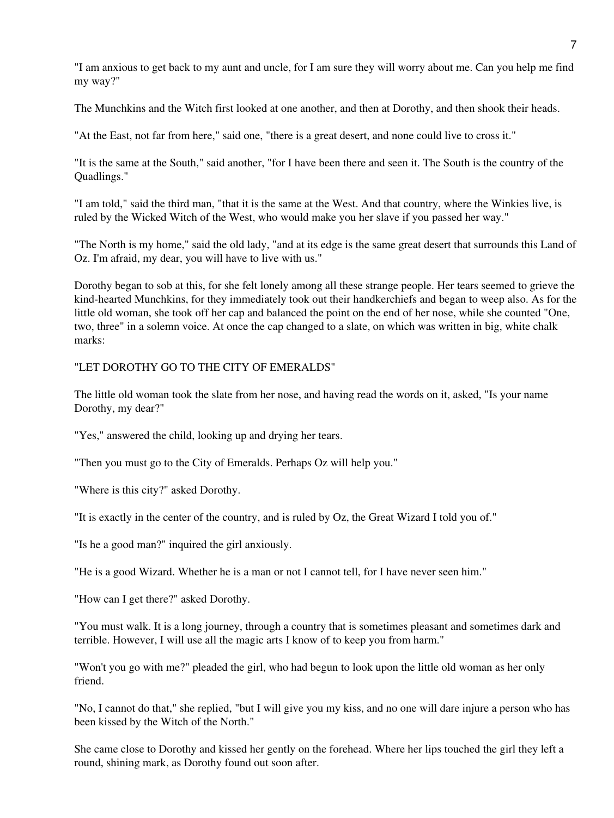"I am anxious to get back to my aunt and uncle, for I am sure they will worry about me. Can you help me find my way?"

The Munchkins and the Witch first looked at one another, and then at Dorothy, and then shook their heads.

"At the East, not far from here," said one, "there is a great desert, and none could live to cross it."

"It is the same at the South," said another, "for I have been there and seen it. The South is the country of the Quadlings."

"I am told," said the third man, "that it is the same at the West. And that country, where the Winkies live, is ruled by the Wicked Witch of the West, who would make you her slave if you passed her way."

"The North is my home," said the old lady, "and at its edge is the same great desert that surrounds this Land of Oz. I'm afraid, my dear, you will have to live with us."

Dorothy began to sob at this, for she felt lonely among all these strange people. Her tears seemed to grieve the kind-hearted Munchkins, for they immediately took out their handkerchiefs and began to weep also. As for the little old woman, she took off her cap and balanced the point on the end of her nose, while she counted "One, two, three" in a solemn voice. At once the cap changed to a slate, on which was written in big, white chalk marks:

### "LET DOROTHY GO TO THE CITY OF EMERALDS"

The little old woman took the slate from her nose, and having read the words on it, asked, "Is your name Dorothy, my dear?"

"Yes," answered the child, looking up and drying her tears.

"Then you must go to the City of Emeralds. Perhaps Oz will help you."

"Where is this city?" asked Dorothy.

"It is exactly in the center of the country, and is ruled by Oz, the Great Wizard I told you of."

"Is he a good man?" inquired the girl anxiously.

"He is a good Wizard. Whether he is a man or not I cannot tell, for I have never seen him."

"How can I get there?" asked Dorothy.

"You must walk. It is a long journey, through a country that is sometimes pleasant and sometimes dark and terrible. However, I will use all the magic arts I know of to keep you from harm."

"Won't you go with me?" pleaded the girl, who had begun to look upon the little old woman as her only friend.

"No, I cannot do that," she replied, "but I will give you my kiss, and no one will dare injure a person who has been kissed by the Witch of the North."

She came close to Dorothy and kissed her gently on the forehead. Where her lips touched the girl they left a round, shining mark, as Dorothy found out soon after.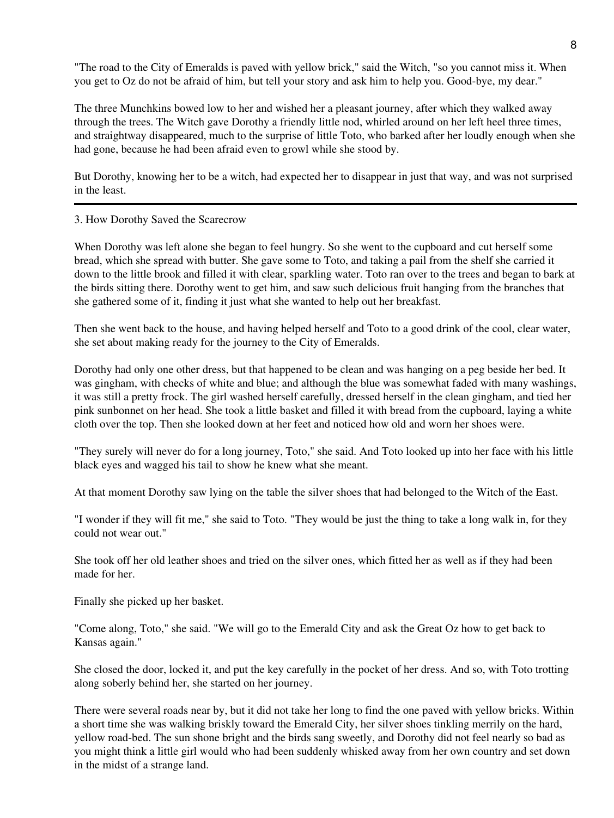"The road to the City of Emeralds is paved with yellow brick," said the Witch, "so you cannot miss it. When you get to Oz do not be afraid of him, but tell your story and ask him to help you. Good-bye, my dear."

The three Munchkins bowed low to her and wished her a pleasant journey, after which they walked away through the trees. The Witch gave Dorothy a friendly little nod, whirled around on her left heel three times, and straightway disappeared, much to the surprise of little Toto, who barked after her loudly enough when she had gone, because he had been afraid even to growl while she stood by.

But Dorothy, knowing her to be a witch, had expected her to disappear in just that way, and was not surprised in the least.

3. How Dorothy Saved the Scarecrow

When Dorothy was left alone she began to feel hungry. So she went to the cupboard and cut herself some bread, which she spread with butter. She gave some to Toto, and taking a pail from the shelf she carried it down to the little brook and filled it with clear, sparkling water. Toto ran over to the trees and began to bark at the birds sitting there. Dorothy went to get him, and saw such delicious fruit hanging from the branches that she gathered some of it, finding it just what she wanted to help out her breakfast.

Then she went back to the house, and having helped herself and Toto to a good drink of the cool, clear water, she set about making ready for the journey to the City of Emeralds.

Dorothy had only one other dress, but that happened to be clean and was hanging on a peg beside her bed. It was gingham, with checks of white and blue; and although the blue was somewhat faded with many washings, it was still a pretty frock. The girl washed herself carefully, dressed herself in the clean gingham, and tied her pink sunbonnet on her head. She took a little basket and filled it with bread from the cupboard, laying a white cloth over the top. Then she looked down at her feet and noticed how old and worn her shoes were.

"They surely will never do for a long journey, Toto," she said. And Toto looked up into her face with his little black eyes and wagged his tail to show he knew what she meant.

At that moment Dorothy saw lying on the table the silver shoes that had belonged to the Witch of the East.

"I wonder if they will fit me," she said to Toto. "They would be just the thing to take a long walk in, for they could not wear out."

She took off her old leather shoes and tried on the silver ones, which fitted her as well as if they had been made for her.

Finally she picked up her basket.

"Come along, Toto," she said. "We will go to the Emerald City and ask the Great Oz how to get back to Kansas again."

She closed the door, locked it, and put the key carefully in the pocket of her dress. And so, with Toto trotting along soberly behind her, she started on her journey.

There were several roads near by, but it did not take her long to find the one paved with yellow bricks. Within a short time she was walking briskly toward the Emerald City, her silver shoes tinkling merrily on the hard, yellow road-bed. The sun shone bright and the birds sang sweetly, and Dorothy did not feel nearly so bad as you might think a little girl would who had been suddenly whisked away from her own country and set down in the midst of a strange land.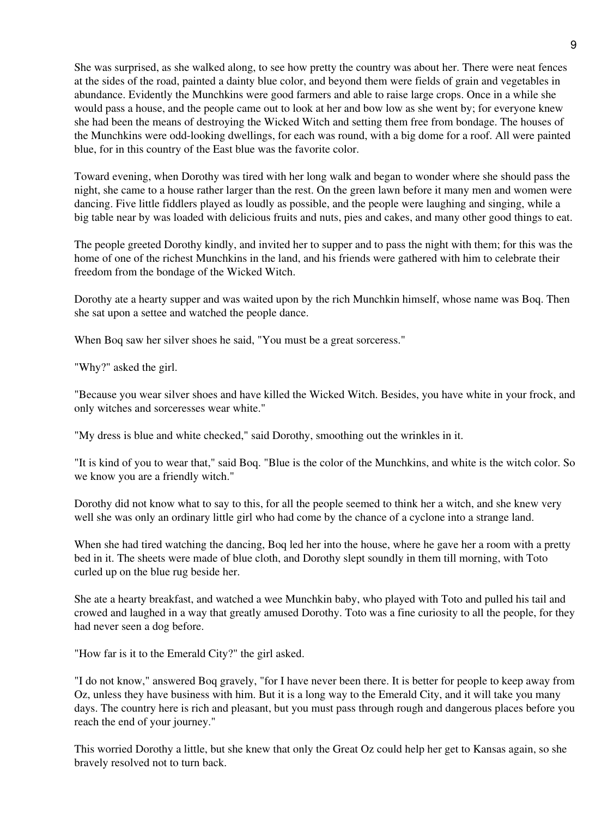She was surprised, as she walked along, to see how pretty the country was about her. There were neat fences at the sides of the road, painted a dainty blue color, and beyond them were fields of grain and vegetables in abundance. Evidently the Munchkins were good farmers and able to raise large crops. Once in a while she would pass a house, and the people came out to look at her and bow low as she went by; for everyone knew she had been the means of destroying the Wicked Witch and setting them free from bondage. The houses of the Munchkins were odd-looking dwellings, for each was round, with a big dome for a roof. All were painted blue, for in this country of the East blue was the favorite color.

Toward evening, when Dorothy was tired with her long walk and began to wonder where she should pass the night, she came to a house rather larger than the rest. On the green lawn before it many men and women were dancing. Five little fiddlers played as loudly as possible, and the people were laughing and singing, while a big table near by was loaded with delicious fruits and nuts, pies and cakes, and many other good things to eat.

The people greeted Dorothy kindly, and invited her to supper and to pass the night with them; for this was the home of one of the richest Munchkins in the land, and his friends were gathered with him to celebrate their freedom from the bondage of the Wicked Witch.

Dorothy ate a hearty supper and was waited upon by the rich Munchkin himself, whose name was Boq. Then she sat upon a settee and watched the people dance.

When Boq saw her silver shoes he said, "You must be a great sorceress."

"Why?" asked the girl.

"Because you wear silver shoes and have killed the Wicked Witch. Besides, you have white in your frock, and only witches and sorceresses wear white."

"My dress is blue and white checked," said Dorothy, smoothing out the wrinkles in it.

"It is kind of you to wear that," said Boq. "Blue is the color of the Munchkins, and white is the witch color. So we know you are a friendly witch."

Dorothy did not know what to say to this, for all the people seemed to think her a witch, and she knew very well she was only an ordinary little girl who had come by the chance of a cyclone into a strange land.

When she had tired watching the dancing, Boq led her into the house, where he gave her a room with a pretty bed in it. The sheets were made of blue cloth, and Dorothy slept soundly in them till morning, with Toto curled up on the blue rug beside her.

She ate a hearty breakfast, and watched a wee Munchkin baby, who played with Toto and pulled his tail and crowed and laughed in a way that greatly amused Dorothy. Toto was a fine curiosity to all the people, for they had never seen a dog before.

"How far is it to the Emerald City?" the girl asked.

"I do not know," answered Boq gravely, "for I have never been there. It is better for people to keep away from Oz, unless they have business with him. But it is a long way to the Emerald City, and it will take you many days. The country here is rich and pleasant, but you must pass through rough and dangerous places before you reach the end of your journey."

This worried Dorothy a little, but she knew that only the Great Oz could help her get to Kansas again, so she bravely resolved not to turn back.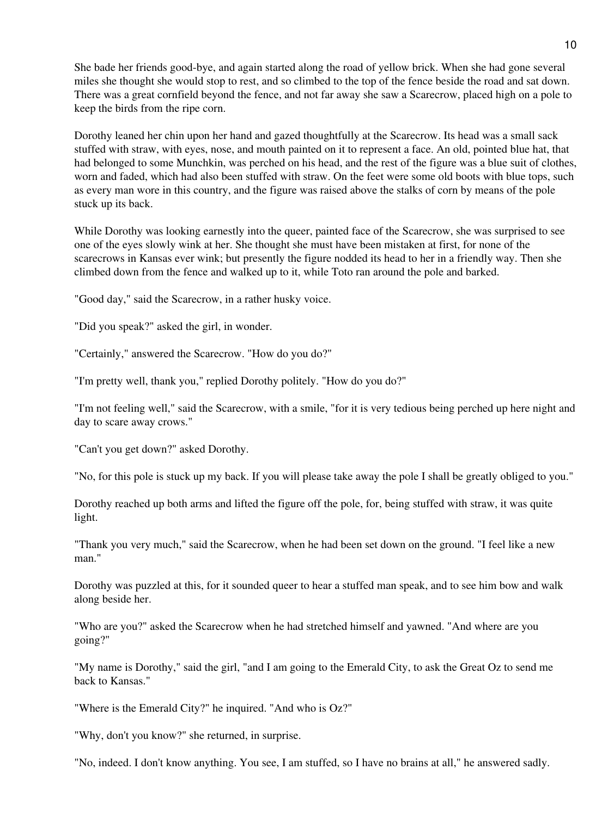She bade her friends good-bye, and again started along the road of yellow brick. When she had gone several miles she thought she would stop to rest, and so climbed to the top of the fence beside the road and sat down. There was a great cornfield beyond the fence, and not far away she saw a Scarecrow, placed high on a pole to keep the birds from the ripe corn.

Dorothy leaned her chin upon her hand and gazed thoughtfully at the Scarecrow. Its head was a small sack stuffed with straw, with eyes, nose, and mouth painted on it to represent a face. An old, pointed blue hat, that had belonged to some Munchkin, was perched on his head, and the rest of the figure was a blue suit of clothes, worn and faded, which had also been stuffed with straw. On the feet were some old boots with blue tops, such as every man wore in this country, and the figure was raised above the stalks of corn by means of the pole stuck up its back.

While Dorothy was looking earnestly into the queer, painted face of the Scarecrow, she was surprised to see one of the eyes slowly wink at her. She thought she must have been mistaken at first, for none of the scarecrows in Kansas ever wink; but presently the figure nodded its head to her in a friendly way. Then she climbed down from the fence and walked up to it, while Toto ran around the pole and barked.

"Good day," said the Scarecrow, in a rather husky voice.

"Did you speak?" asked the girl, in wonder.

"Certainly," answered the Scarecrow. "How do you do?"

"I'm pretty well, thank you," replied Dorothy politely. "How do you do?"

"I'm not feeling well," said the Scarecrow, with a smile, "for it is very tedious being perched up here night and day to scare away crows."

"Can't you get down?" asked Dorothy.

"No, for this pole is stuck up my back. If you will please take away the pole I shall be greatly obliged to you."

Dorothy reached up both arms and lifted the figure off the pole, for, being stuffed with straw, it was quite light.

"Thank you very much," said the Scarecrow, when he had been set down on the ground. "I feel like a new man."

Dorothy was puzzled at this, for it sounded queer to hear a stuffed man speak, and to see him bow and walk along beside her.

"Who are you?" asked the Scarecrow when he had stretched himself and yawned. "And where are you going?"

"My name is Dorothy," said the girl, "and I am going to the Emerald City, to ask the Great Oz to send me back to Kansas."

"Where is the Emerald City?" he inquired. "And who is Oz?"

"Why, don't you know?" she returned, in surprise.

"No, indeed. I don't know anything. You see, I am stuffed, so I have no brains at all," he answered sadly.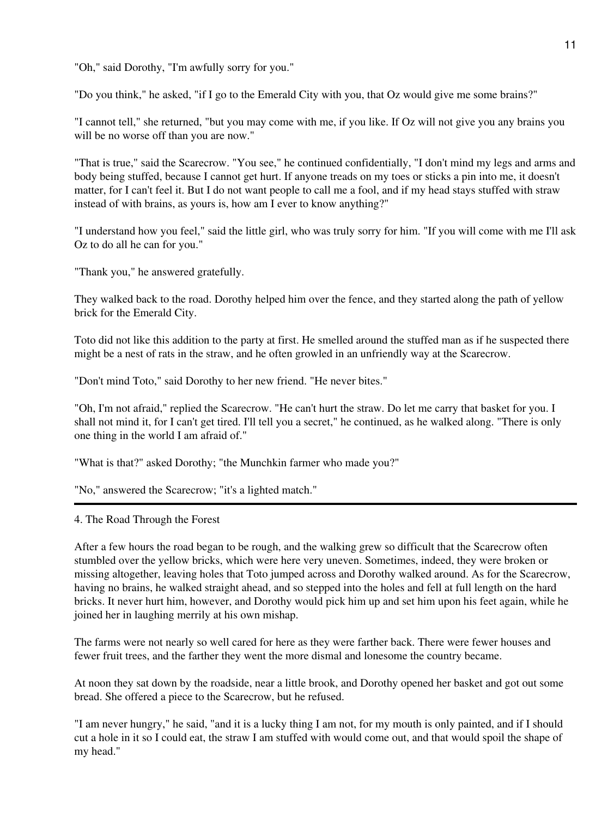"Oh," said Dorothy, "I'm awfully sorry for you."

"Do you think," he asked, "if I go to the Emerald City with you, that Oz would give me some brains?"

"I cannot tell," she returned, "but you may come with me, if you like. If Oz will not give you any brains you will be no worse off than you are now."

"That is true," said the Scarecrow. "You see," he continued confidentially, "I don't mind my legs and arms and body being stuffed, because I cannot get hurt. If anyone treads on my toes or sticks a pin into me, it doesn't matter, for I can't feel it. But I do not want people to call me a fool, and if my head stays stuffed with straw instead of with brains, as yours is, how am I ever to know anything?"

"I understand how you feel," said the little girl, who was truly sorry for him. "If you will come with me I'll ask Oz to do all he can for you."

"Thank you," he answered gratefully.

They walked back to the road. Dorothy helped him over the fence, and they started along the path of yellow brick for the Emerald City.

Toto did not like this addition to the party at first. He smelled around the stuffed man as if he suspected there might be a nest of rats in the straw, and he often growled in an unfriendly way at the Scarecrow.

"Don't mind Toto," said Dorothy to her new friend. "He never bites."

"Oh, I'm not afraid," replied the Scarecrow. "He can't hurt the straw. Do let me carry that basket for you. I shall not mind it, for I can't get tired. I'll tell you a secret," he continued, as he walked along. "There is only one thing in the world I am afraid of."

"What is that?" asked Dorothy; "the Munchkin farmer who made you?"

"No," answered the Scarecrow; "it's a lighted match."

4. The Road Through the Forest

After a few hours the road began to be rough, and the walking grew so difficult that the Scarecrow often stumbled over the yellow bricks, which were here very uneven. Sometimes, indeed, they were broken or missing altogether, leaving holes that Toto jumped across and Dorothy walked around. As for the Scarecrow, having no brains, he walked straight ahead, and so stepped into the holes and fell at full length on the hard bricks. It never hurt him, however, and Dorothy would pick him up and set him upon his feet again, while he joined her in laughing merrily at his own mishap.

The farms were not nearly so well cared for here as they were farther back. There were fewer houses and fewer fruit trees, and the farther they went the more dismal and lonesome the country became.

At noon they sat down by the roadside, near a little brook, and Dorothy opened her basket and got out some bread. She offered a piece to the Scarecrow, but he refused.

"I am never hungry," he said, "and it is a lucky thing I am not, for my mouth is only painted, and if I should cut a hole in it so I could eat, the straw I am stuffed with would come out, and that would spoil the shape of my head."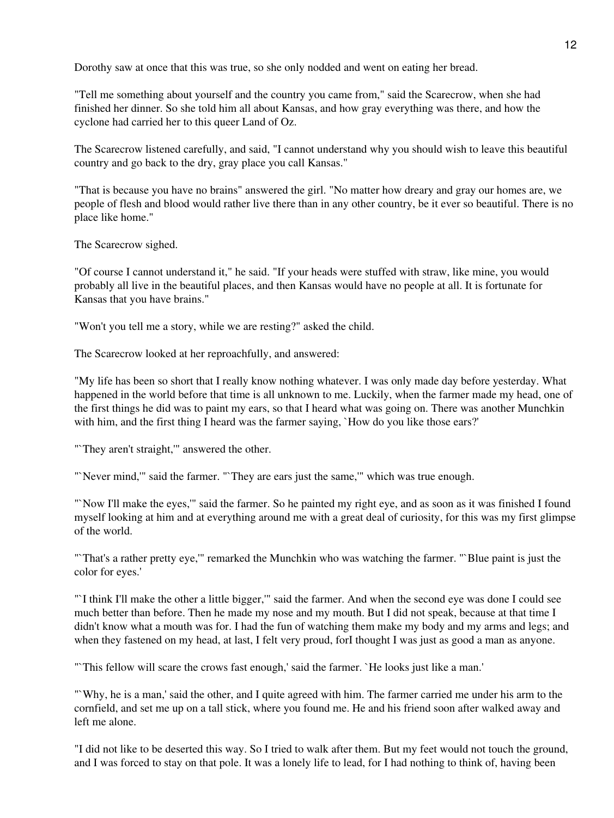Dorothy saw at once that this was true, so she only nodded and went on eating her bread.

"Tell me something about yourself and the country you came from," said the Scarecrow, when she had finished her dinner. So she told him all about Kansas, and how gray everything was there, and how the cyclone had carried her to this queer Land of Oz.

The Scarecrow listened carefully, and said, "I cannot understand why you should wish to leave this beautiful country and go back to the dry, gray place you call Kansas."

"That is because you have no brains" answered the girl. "No matter how dreary and gray our homes are, we people of flesh and blood would rather live there than in any other country, be it ever so beautiful. There is no place like home."

The Scarecrow sighed.

"Of course I cannot understand it," he said. "If your heads were stuffed with straw, like mine, you would probably all live in the beautiful places, and then Kansas would have no people at all. It is fortunate for Kansas that you have brains."

"Won't you tell me a story, while we are resting?" asked the child.

The Scarecrow looked at her reproachfully, and answered:

"My life has been so short that I really know nothing whatever. I was only made day before yesterday. What happened in the world before that time is all unknown to me. Luckily, when the farmer made my head, one of the first things he did was to paint my ears, so that I heard what was going on. There was another Munchkin with him, and the first thing I heard was the farmer saying, `How do you like those ears?'

"They aren't straight," answered the other.

"'Never mind,"' said the farmer. "'They are ears just the same,"' which was true enough.

"`Now I'll make the eyes,'" said the farmer. So he painted my right eye, and as soon as it was finished I found myself looking at him and at everything around me with a great deal of curiosity, for this was my first glimpse of the world.

"`That's a rather pretty eye,'" remarked the Munchkin who was watching the farmer. "`Blue paint is just the color for eyes.'

"`I think I'll make the other a little bigger,'" said the farmer. And when the second eye was done I could see much better than before. Then he made my nose and my mouth. But I did not speak, because at that time I didn't know what a mouth was for. I had the fun of watching them make my body and my arms and legs; and when they fastened on my head, at last, I felt very proud, forI thought I was just as good a man as anyone.

"`This fellow will scare the crows fast enough,' said the farmer. `He looks just like a man.'

"`Why, he is a man,' said the other, and I quite agreed with him. The farmer carried me under his arm to the cornfield, and set me up on a tall stick, where you found me. He and his friend soon after walked away and left me alone.

"I did not like to be deserted this way. So I tried to walk after them. But my feet would not touch the ground, and I was forced to stay on that pole. It was a lonely life to lead, for I had nothing to think of, having been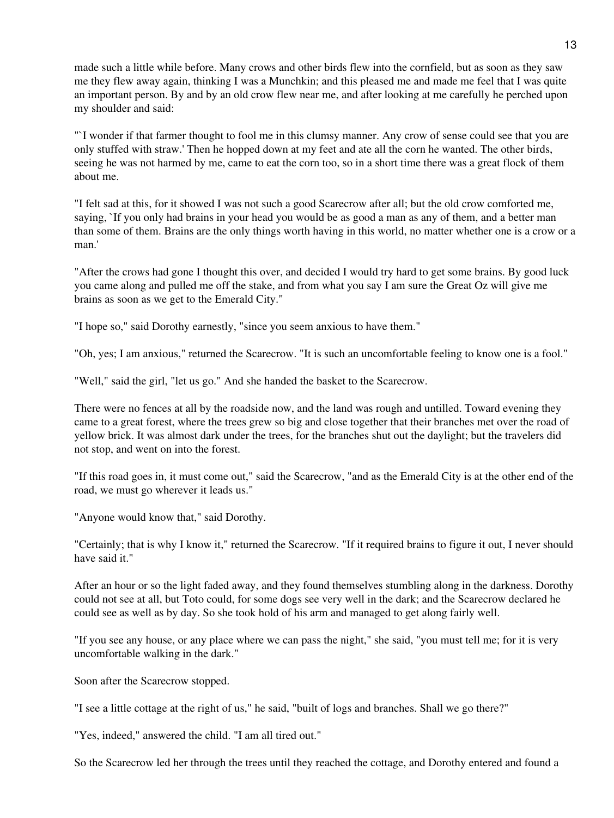made such a little while before. Many crows and other birds flew into the cornfield, but as soon as they saw me they flew away again, thinking I was a Munchkin; and this pleased me and made me feel that I was quite an important person. By and by an old crow flew near me, and after looking at me carefully he perched upon my shoulder and said:

"`I wonder if that farmer thought to fool me in this clumsy manner. Any crow of sense could see that you are only stuffed with straw.' Then he hopped down at my feet and ate all the corn he wanted. The other birds, seeing he was not harmed by me, came to eat the corn too, so in a short time there was a great flock of them about me.

"I felt sad at this, for it showed I was not such a good Scarecrow after all; but the old crow comforted me, saying, `If you only had brains in your head you would be as good a man as any of them, and a better man than some of them. Brains are the only things worth having in this world, no matter whether one is a crow or a man.'

"After the crows had gone I thought this over, and decided I would try hard to get some brains. By good luck you came along and pulled me off the stake, and from what you say I am sure the Great Oz will give me brains as soon as we get to the Emerald City."

"I hope so," said Dorothy earnestly, "since you seem anxious to have them."

"Oh, yes; I am anxious," returned the Scarecrow. "It is such an uncomfortable feeling to know one is a fool."

"Well," said the girl, "let us go." And she handed the basket to the Scarecrow.

There were no fences at all by the roadside now, and the land was rough and untilled. Toward evening they came to a great forest, where the trees grew so big and close together that their branches met over the road of yellow brick. It was almost dark under the trees, for the branches shut out the daylight; but the travelers did not stop, and went on into the forest.

"If this road goes in, it must come out," said the Scarecrow, "and as the Emerald City is at the other end of the road, we must go wherever it leads us."

"Anyone would know that," said Dorothy.

"Certainly; that is why I know it," returned the Scarecrow. "If it required brains to figure it out, I never should have said it."

After an hour or so the light faded away, and they found themselves stumbling along in the darkness. Dorothy could not see at all, but Toto could, for some dogs see very well in the dark; and the Scarecrow declared he could see as well as by day. So she took hold of his arm and managed to get along fairly well.

"If you see any house, or any place where we can pass the night," she said, "you must tell me; for it is very uncomfortable walking in the dark."

Soon after the Scarecrow stopped.

"I see a little cottage at the right of us," he said, "built of logs and branches. Shall we go there?"

"Yes, indeed," answered the child. "I am all tired out."

So the Scarecrow led her through the trees until they reached the cottage, and Dorothy entered and found a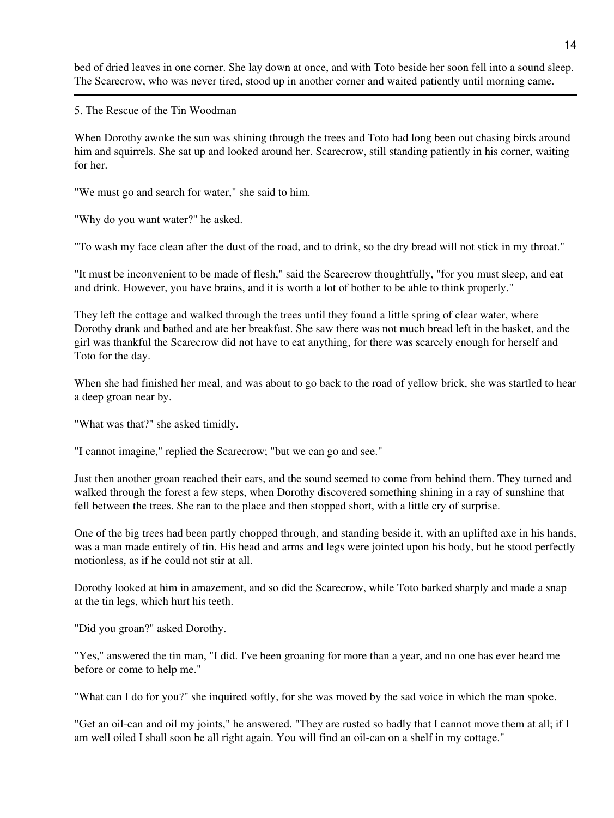bed of dried leaves in one corner. She lay down at once, and with Toto beside her soon fell into a sound sleep. The Scarecrow, who was never tired, stood up in another corner and waited patiently until morning came.

5. The Rescue of the Tin Woodman

When Dorothy awoke the sun was shining through the trees and Toto had long been out chasing birds around him and squirrels. She sat up and looked around her. Scarecrow, still standing patiently in his corner, waiting for her.

"We must go and search for water," she said to him.

"Why do you want water?" he asked.

"To wash my face clean after the dust of the road, and to drink, so the dry bread will not stick in my throat."

"It must be inconvenient to be made of flesh," said the Scarecrow thoughtfully, "for you must sleep, and eat and drink. However, you have brains, and it is worth a lot of bother to be able to think properly."

They left the cottage and walked through the trees until they found a little spring of clear water, where Dorothy drank and bathed and ate her breakfast. She saw there was not much bread left in the basket, and the girl was thankful the Scarecrow did not have to eat anything, for there was scarcely enough for herself and Toto for the day.

When she had finished her meal, and was about to go back to the road of yellow brick, she was startled to hear a deep groan near by.

"What was that?" she asked timidly.

"I cannot imagine," replied the Scarecrow; "but we can go and see."

Just then another groan reached their ears, and the sound seemed to come from behind them. They turned and walked through the forest a few steps, when Dorothy discovered something shining in a ray of sunshine that fell between the trees. She ran to the place and then stopped short, with a little cry of surprise.

One of the big trees had been partly chopped through, and standing beside it, with an uplifted axe in his hands, was a man made entirely of tin. His head and arms and legs were jointed upon his body, but he stood perfectly motionless, as if he could not stir at all.

Dorothy looked at him in amazement, and so did the Scarecrow, while Toto barked sharply and made a snap at the tin legs, which hurt his teeth.

"Did you groan?" asked Dorothy.

"Yes," answered the tin man, "I did. I've been groaning for more than a year, and no one has ever heard me before or come to help me."

"What can I do for you?" she inquired softly, for she was moved by the sad voice in which the man spoke.

"Get an oil-can and oil my joints," he answered. "They are rusted so badly that I cannot move them at all; if I am well oiled I shall soon be all right again. You will find an oil-can on a shelf in my cottage."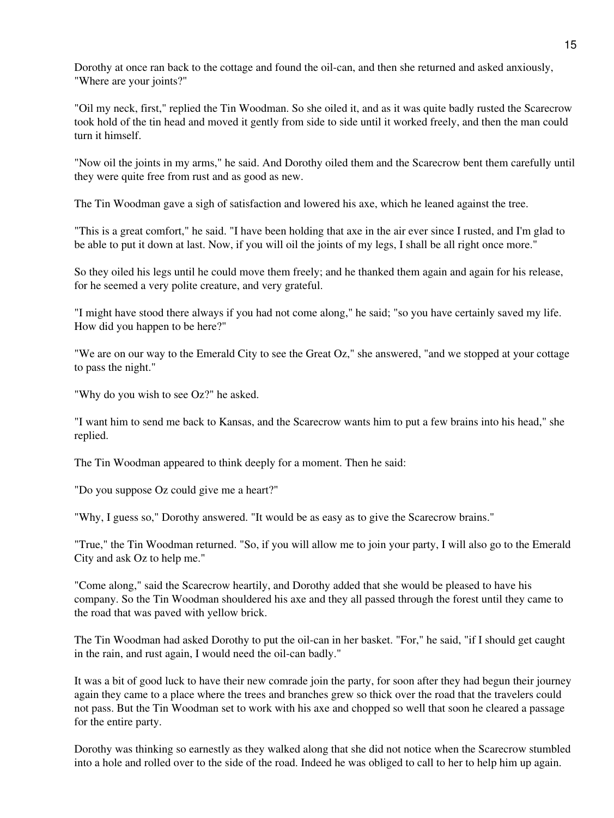Dorothy at once ran back to the cottage and found the oil-can, and then she returned and asked anxiously, "Where are your joints?"

"Oil my neck, first," replied the Tin Woodman. So she oiled it, and as it was quite badly rusted the Scarecrow took hold of the tin head and moved it gently from side to side until it worked freely, and then the man could turn it himself.

"Now oil the joints in my arms," he said. And Dorothy oiled them and the Scarecrow bent them carefully until they were quite free from rust and as good as new.

The Tin Woodman gave a sigh of satisfaction and lowered his axe, which he leaned against the tree.

"This is a great comfort," he said. "I have been holding that axe in the air ever since I rusted, and I'm glad to be able to put it down at last. Now, if you will oil the joints of my legs, I shall be all right once more."

So they oiled his legs until he could move them freely; and he thanked them again and again for his release, for he seemed a very polite creature, and very grateful.

"I might have stood there always if you had not come along," he said; "so you have certainly saved my life. How did you happen to be here?"

"We are on our way to the Emerald City to see the Great Oz," she answered, "and we stopped at your cottage to pass the night."

"Why do you wish to see Oz?" he asked.

"I want him to send me back to Kansas, and the Scarecrow wants him to put a few brains into his head," she replied.

The Tin Woodman appeared to think deeply for a moment. Then he said:

"Do you suppose Oz could give me a heart?"

"Why, I guess so," Dorothy answered. "It would be as easy as to give the Scarecrow brains."

"True," the Tin Woodman returned. "So, if you will allow me to join your party, I will also go to the Emerald City and ask Oz to help me."

"Come along," said the Scarecrow heartily, and Dorothy added that she would be pleased to have his company. So the Tin Woodman shouldered his axe and they all passed through the forest until they came to the road that was paved with yellow brick.

The Tin Woodman had asked Dorothy to put the oil-can in her basket. "For," he said, "if I should get caught in the rain, and rust again, I would need the oil-can badly."

It was a bit of good luck to have their new comrade join the party, for soon after they had begun their journey again they came to a place where the trees and branches grew so thick over the road that the travelers could not pass. But the Tin Woodman set to work with his axe and chopped so well that soon he cleared a passage for the entire party.

Dorothy was thinking so earnestly as they walked along that she did not notice when the Scarecrow stumbled into a hole and rolled over to the side of the road. Indeed he was obliged to call to her to help him up again.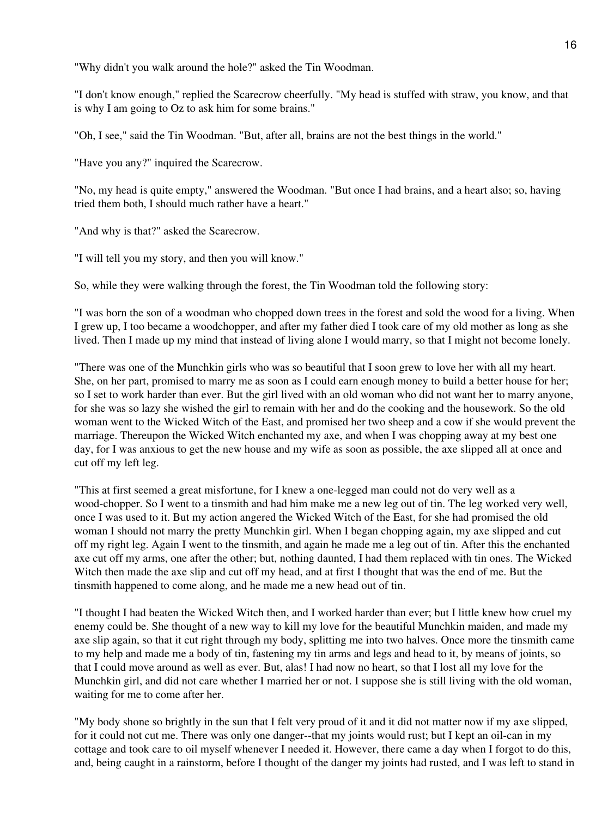"Why didn't you walk around the hole?" asked the Tin Woodman.

"I don't know enough," replied the Scarecrow cheerfully. "My head is stuffed with straw, you know, and that is why I am going to Oz to ask him for some brains."

"Oh, I see," said the Tin Woodman. "But, after all, brains are not the best things in the world."

"Have you any?" inquired the Scarecrow.

"No, my head is quite empty," answered the Woodman. "But once I had brains, and a heart also; so, having tried them both, I should much rather have a heart."

"And why is that?" asked the Scarecrow.

"I will tell you my story, and then you will know."

So, while they were walking through the forest, the Tin Woodman told the following story:

"I was born the son of a woodman who chopped down trees in the forest and sold the wood for a living. When I grew up, I too became a woodchopper, and after my father died I took care of my old mother as long as she lived. Then I made up my mind that instead of living alone I would marry, so that I might not become lonely.

"There was one of the Munchkin girls who was so beautiful that I soon grew to love her with all my heart. She, on her part, promised to marry me as soon as I could earn enough money to build a better house for her; so I set to work harder than ever. But the girl lived with an old woman who did not want her to marry anyone, for she was so lazy she wished the girl to remain with her and do the cooking and the housework. So the old woman went to the Wicked Witch of the East, and promised her two sheep and a cow if she would prevent the marriage. Thereupon the Wicked Witch enchanted my axe, and when I was chopping away at my best one day, for I was anxious to get the new house and my wife as soon as possible, the axe slipped all at once and cut off my left leg.

"This at first seemed a great misfortune, for I knew a one-legged man could not do very well as a wood-chopper. So I went to a tinsmith and had him make me a new leg out of tin. The leg worked very well, once I was used to it. But my action angered the Wicked Witch of the East, for she had promised the old woman I should not marry the pretty Munchkin girl. When I began chopping again, my axe slipped and cut off my right leg. Again I went to the tinsmith, and again he made me a leg out of tin. After this the enchanted axe cut off my arms, one after the other; but, nothing daunted, I had them replaced with tin ones. The Wicked Witch then made the axe slip and cut off my head, and at first I thought that was the end of me. But the tinsmith happened to come along, and he made me a new head out of tin.

"I thought I had beaten the Wicked Witch then, and I worked harder than ever; but I little knew how cruel my enemy could be. She thought of a new way to kill my love for the beautiful Munchkin maiden, and made my axe slip again, so that it cut right through my body, splitting me into two halves. Once more the tinsmith came to my help and made me a body of tin, fastening my tin arms and legs and head to it, by means of joints, so that I could move around as well as ever. But, alas! I had now no heart, so that I lost all my love for the Munchkin girl, and did not care whether I married her or not. I suppose she is still living with the old woman, waiting for me to come after her.

"My body shone so brightly in the sun that I felt very proud of it and it did not matter now if my axe slipped, for it could not cut me. There was only one danger--that my joints would rust; but I kept an oil-can in my cottage and took care to oil myself whenever I needed it. However, there came a day when I forgot to do this, and, being caught in a rainstorm, before I thought of the danger my joints had rusted, and I was left to stand in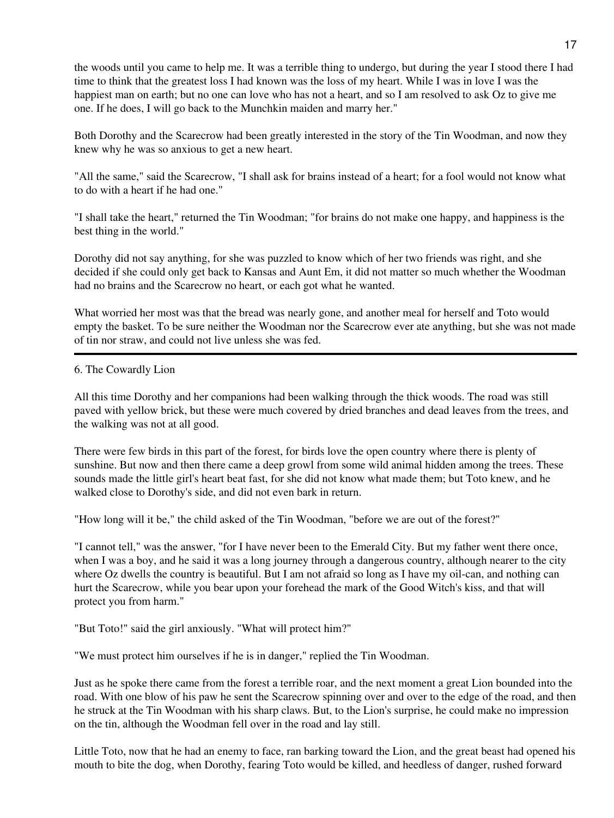the woods until you came to help me. It was a terrible thing to undergo, but during the year I stood there I had time to think that the greatest loss I had known was the loss of my heart. While I was in love I was the happiest man on earth; but no one can love who has not a heart, and so I am resolved to ask Oz to give me one. If he does, I will go back to the Munchkin maiden and marry her."

Both Dorothy and the Scarecrow had been greatly interested in the story of the Tin Woodman, and now they knew why he was so anxious to get a new heart.

"All the same," said the Scarecrow, "I shall ask for brains instead of a heart; for a fool would not know what to do with a heart if he had one."

"I shall take the heart," returned the Tin Woodman; "for brains do not make one happy, and happiness is the best thing in the world."

Dorothy did not say anything, for she was puzzled to know which of her two friends was right, and she decided if she could only get back to Kansas and Aunt Em, it did not matter so much whether the Woodman had no brains and the Scarecrow no heart, or each got what he wanted.

What worried her most was that the bread was nearly gone, and another meal for herself and Toto would empty the basket. To be sure neither the Woodman nor the Scarecrow ever ate anything, but she was not made of tin nor straw, and could not live unless she was fed.

### 6. The Cowardly Lion

All this time Dorothy and her companions had been walking through the thick woods. The road was still paved with yellow brick, but these were much covered by dried branches and dead leaves from the trees, and the walking was not at all good.

There were few birds in this part of the forest, for birds love the open country where there is plenty of sunshine. But now and then there came a deep growl from some wild animal hidden among the trees. These sounds made the little girl's heart beat fast, for she did not know what made them; but Toto knew, and he walked close to Dorothy's side, and did not even bark in return.

"How long will it be," the child asked of the Tin Woodman, "before we are out of the forest?"

"I cannot tell," was the answer, "for I have never been to the Emerald City. But my father went there once, when I was a boy, and he said it was a long journey through a dangerous country, although nearer to the city where Oz dwells the country is beautiful. But I am not afraid so long as I have my oil-can, and nothing can hurt the Scarecrow, while you bear upon your forehead the mark of the Good Witch's kiss, and that will protect you from harm."

"But Toto!" said the girl anxiously. "What will protect him?"

"We must protect him ourselves if he is in danger," replied the Tin Woodman.

Just as he spoke there came from the forest a terrible roar, and the next moment a great Lion bounded into the road. With one blow of his paw he sent the Scarecrow spinning over and over to the edge of the road, and then he struck at the Tin Woodman with his sharp claws. But, to the Lion's surprise, he could make no impression on the tin, although the Woodman fell over in the road and lay still.

Little Toto, now that he had an enemy to face, ran barking toward the Lion, and the great beast had opened his mouth to bite the dog, when Dorothy, fearing Toto would be killed, and heedless of danger, rushed forward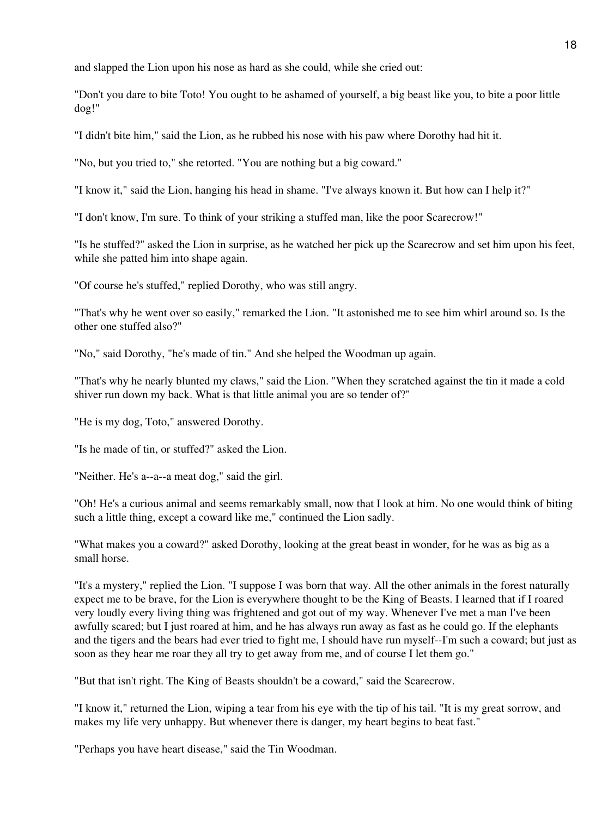and slapped the Lion upon his nose as hard as she could, while she cried out:

"Don't you dare to bite Toto! You ought to be ashamed of yourself, a big beast like you, to bite a poor little dog!"

"I didn't bite him," said the Lion, as he rubbed his nose with his paw where Dorothy had hit it.

"No, but you tried to," she retorted. "You are nothing but a big coward."

"I know it," said the Lion, hanging his head in shame. "I've always known it. But how can I help it?"

"I don't know, I'm sure. To think of your striking a stuffed man, like the poor Scarecrow!"

"Is he stuffed?" asked the Lion in surprise, as he watched her pick up the Scarecrow and set him upon his feet, while she patted him into shape again.

"Of course he's stuffed," replied Dorothy, who was still angry.

"That's why he went over so easily," remarked the Lion. "It astonished me to see him whirl around so. Is the other one stuffed also?"

"No," said Dorothy, "he's made of tin." And she helped the Woodman up again.

"That's why he nearly blunted my claws," said the Lion. "When they scratched against the tin it made a cold shiver run down my back. What is that little animal you are so tender of?"

"He is my dog, Toto," answered Dorothy.

"Is he made of tin, or stuffed?" asked the Lion.

"Neither. He's a--a--a meat dog," said the girl.

"Oh! He's a curious animal and seems remarkably small, now that I look at him. No one would think of biting such a little thing, except a coward like me," continued the Lion sadly.

"What makes you a coward?" asked Dorothy, looking at the great beast in wonder, for he was as big as a small horse.

"It's a mystery," replied the Lion. "I suppose I was born that way. All the other animals in the forest naturally expect me to be brave, for the Lion is everywhere thought to be the King of Beasts. I learned that if I roared very loudly every living thing was frightened and got out of my way. Whenever I've met a man I've been awfully scared; but I just roared at him, and he has always run away as fast as he could go. If the elephants and the tigers and the bears had ever tried to fight me, I should have run myself--I'm such a coward; but just as soon as they hear me roar they all try to get away from me, and of course I let them go."

"But that isn't right. The King of Beasts shouldn't be a coward," said the Scarecrow.

"I know it," returned the Lion, wiping a tear from his eye with the tip of his tail. "It is my great sorrow, and makes my life very unhappy. But whenever there is danger, my heart begins to beat fast."

"Perhaps you have heart disease," said the Tin Woodman.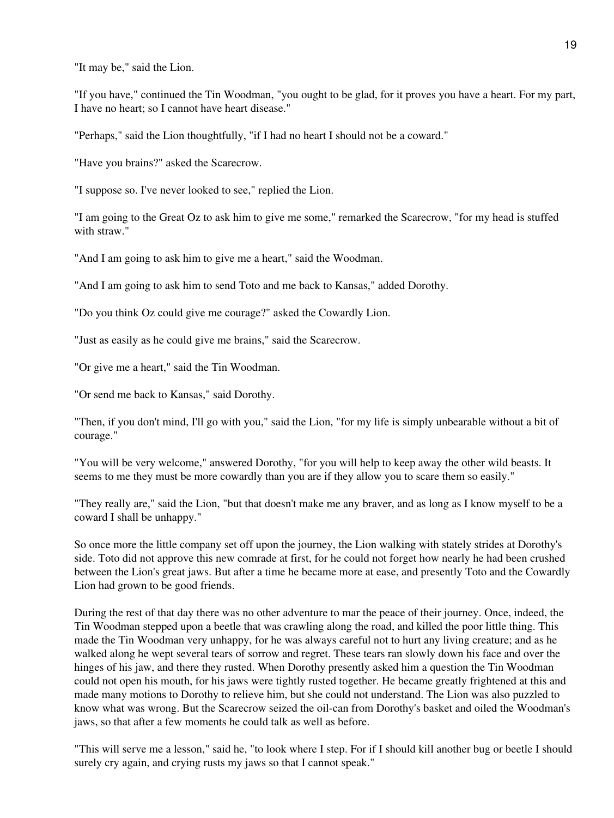"It may be," said the Lion.

"If you have," continued the Tin Woodman, "you ought to be glad, for it proves you have a heart. For my part, I have no heart; so I cannot have heart disease."

"Perhaps," said the Lion thoughtfully, "if I had no heart I should not be a coward."

"Have you brains?" asked the Scarecrow.

"I suppose so. I've never looked to see," replied the Lion.

"I am going to the Great Oz to ask him to give me some," remarked the Scarecrow, "for my head is stuffed with straw."

"And I am going to ask him to give me a heart," said the Woodman.

"And I am going to ask him to send Toto and me back to Kansas," added Dorothy.

"Do you think Oz could give me courage?" asked the Cowardly Lion.

"Just as easily as he could give me brains," said the Scarecrow.

"Or give me a heart," said the Tin Woodman.

"Or send me back to Kansas," said Dorothy.

"Then, if you don't mind, I'll go with you," said the Lion, "for my life is simply unbearable without a bit of courage."

"You will be very welcome," answered Dorothy, "for you will help to keep away the other wild beasts. It seems to me they must be more cowardly than you are if they allow you to scare them so easily."

"They really are," said the Lion, "but that doesn't make me any braver, and as long as I know myself to be a coward I shall be unhappy."

So once more the little company set off upon the journey, the Lion walking with stately strides at Dorothy's side. Toto did not approve this new comrade at first, for he could not forget how nearly he had been crushed between the Lion's great jaws. But after a time he became more at ease, and presently Toto and the Cowardly Lion had grown to be good friends.

During the rest of that day there was no other adventure to mar the peace of their journey. Once, indeed, the Tin Woodman stepped upon a beetle that was crawling along the road, and killed the poor little thing. This made the Tin Woodman very unhappy, for he was always careful not to hurt any living creature; and as he walked along he wept several tears of sorrow and regret. These tears ran slowly down his face and over the hinges of his jaw, and there they rusted. When Dorothy presently asked him a question the Tin Woodman could not open his mouth, for his jaws were tightly rusted together. He became greatly frightened at this and made many motions to Dorothy to relieve him, but she could not understand. The Lion was also puzzled to know what was wrong. But the Scarecrow seized the oil-can from Dorothy's basket and oiled the Woodman's jaws, so that after a few moments he could talk as well as before.

"This will serve me a lesson," said he, "to look where I step. For if I should kill another bug or beetle I should surely cry again, and crying rusts my jaws so that I cannot speak."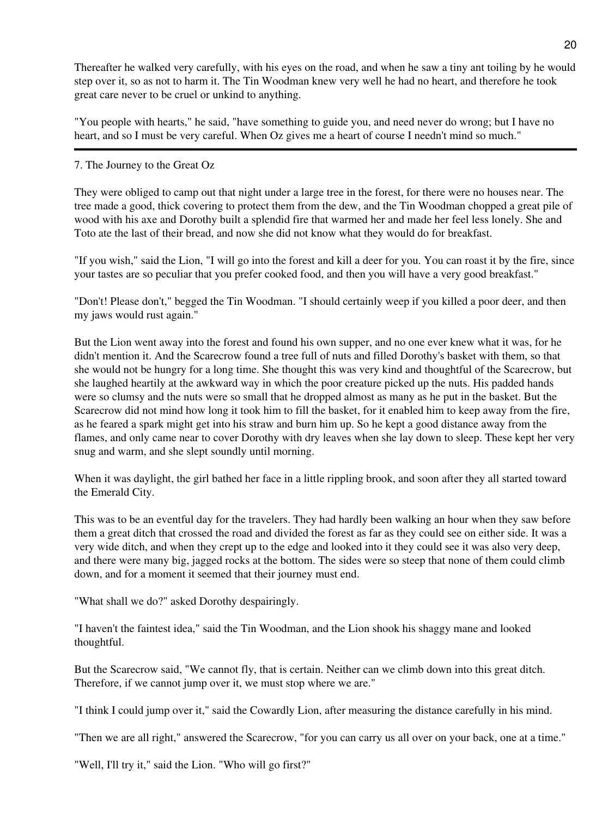Thereafter he walked very carefully, with his eyes on the road, and when he saw a tiny ant toiling by he would step over it, so as not to harm it. The Tin Woodman knew very well he had no heart, and therefore he took great care never to be cruel or unkind to anything.

"You people with hearts," he said, "have something to guide you, and need never do wrong; but I have no heart, and so I must be very careful. When Oz gives me a heart of course I needn't mind so much."

## 7. The Journey to the Great Oz

They were obliged to camp out that night under a large tree in the forest, for there were no houses near. The tree made a good, thick covering to protect them from the dew, and the Tin Woodman chopped a great pile of wood with his axe and Dorothy built a splendid fire that warmed her and made her feel less lonely. She and Toto ate the last of their bread, and now she did not know what they would do for breakfast.

"If you wish," said the Lion, "I will go into the forest and kill a deer for you. You can roast it by the fire, since your tastes are so peculiar that you prefer cooked food, and then you will have a very good breakfast."

"Don't! Please don't," begged the Tin Woodman. "I should certainly weep if you killed a poor deer, and then my jaws would rust again."

But the Lion went away into the forest and found his own supper, and no one ever knew what it was, for he didn't mention it. And the Scarecrow found a tree full of nuts and filled Dorothy's basket with them, so that she would not be hungry for a long time. She thought this was very kind and thoughtful of the Scarecrow, but she laughed heartily at the awkward way in which the poor creature picked up the nuts. His padded hands were so clumsy and the nuts were so small that he dropped almost as many as he put in the basket. But the Scarecrow did not mind how long it took him to fill the basket, for it enabled him to keep away from the fire, as he feared a spark might get into his straw and burn him up. So he kept a good distance away from the flames, and only came near to cover Dorothy with dry leaves when she lay down to sleep. These kept her very snug and warm, and she slept soundly until morning.

When it was daylight, the girl bathed her face in a little rippling brook, and soon after they all started toward the Emerald City.

This was to be an eventful day for the travelers. They had hardly been walking an hour when they saw before them a great ditch that crossed the road and divided the forest as far as they could see on either side. It was a very wide ditch, and when they crept up to the edge and looked into it they could see it was also very deep, and there were many big, jagged rocks at the bottom. The sides were so steep that none of them could climb down, and for a moment it seemed that their journey must end.

"What shall we do?" asked Dorothy despairingly.

"I haven't the faintest idea," said the Tin Woodman, and the Lion shook his shaggy mane and looked thoughtful.

But the Scarecrow said, "We cannot fly, that is certain. Neither can we climb down into this great ditch. Therefore, if we cannot jump over it, we must stop where we are."

"I think I could jump over it," said the Cowardly Lion, after measuring the distance carefully in his mind.

"Then we are all right," answered the Scarecrow, "for you can carry us all over on your back, one at a time."

"Well, I'll try it," said the Lion. "Who will go first?"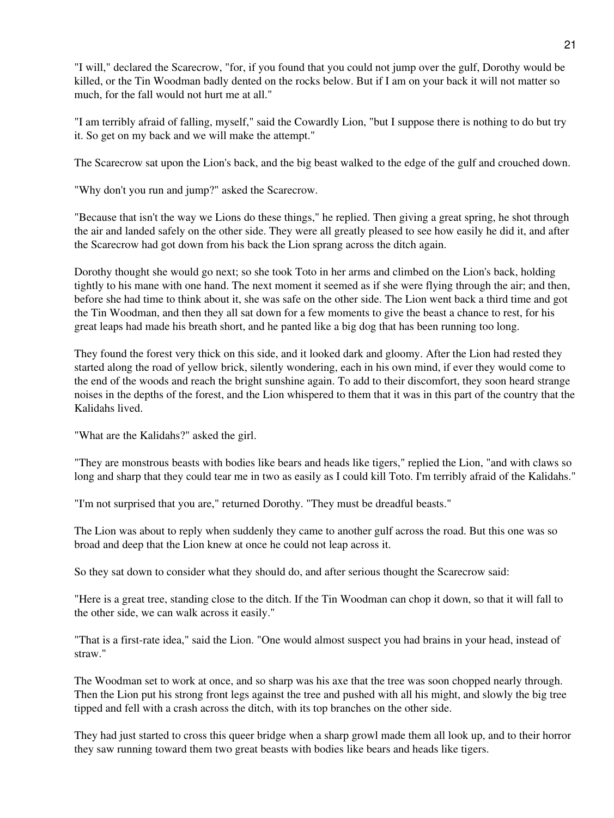"I will," declared the Scarecrow, "for, if you found that you could not jump over the gulf, Dorothy would be killed, or the Tin Woodman badly dented on the rocks below. But if I am on your back it will not matter so much, for the fall would not hurt me at all."

"I am terribly afraid of falling, myself," said the Cowardly Lion, "but I suppose there is nothing to do but try it. So get on my back and we will make the attempt."

The Scarecrow sat upon the Lion's back, and the big beast walked to the edge of the gulf and crouched down.

"Why don't you run and jump?" asked the Scarecrow.

"Because that isn't the way we Lions do these things," he replied. Then giving a great spring, he shot through the air and landed safely on the other side. They were all greatly pleased to see how easily he did it, and after the Scarecrow had got down from his back the Lion sprang across the ditch again.

Dorothy thought she would go next; so she took Toto in her arms and climbed on the Lion's back, holding tightly to his mane with one hand. The next moment it seemed as if she were flying through the air; and then, before she had time to think about it, she was safe on the other side. The Lion went back a third time and got the Tin Woodman, and then they all sat down for a few moments to give the beast a chance to rest, for his great leaps had made his breath short, and he panted like a big dog that has been running too long.

They found the forest very thick on this side, and it looked dark and gloomy. After the Lion had rested they started along the road of yellow brick, silently wondering, each in his own mind, if ever they would come to the end of the woods and reach the bright sunshine again. To add to their discomfort, they soon heard strange noises in the depths of the forest, and the Lion whispered to them that it was in this part of the country that the Kalidahs lived.

"What are the Kalidahs?" asked the girl.

"They are monstrous beasts with bodies like bears and heads like tigers," replied the Lion, "and with claws so long and sharp that they could tear me in two as easily as I could kill Toto. I'm terribly afraid of the Kalidahs."

"I'm not surprised that you are," returned Dorothy. "They must be dreadful beasts."

The Lion was about to reply when suddenly they came to another gulf across the road. But this one was so broad and deep that the Lion knew at once he could not leap across it.

So they sat down to consider what they should do, and after serious thought the Scarecrow said:

"Here is a great tree, standing close to the ditch. If the Tin Woodman can chop it down, so that it will fall to the other side, we can walk across it easily."

"That is a first-rate idea," said the Lion. "One would almost suspect you had brains in your head, instead of straw."

The Woodman set to work at once, and so sharp was his axe that the tree was soon chopped nearly through. Then the Lion put his strong front legs against the tree and pushed with all his might, and slowly the big tree tipped and fell with a crash across the ditch, with its top branches on the other side.

They had just started to cross this queer bridge when a sharp growl made them all look up, and to their horror they saw running toward them two great beasts with bodies like bears and heads like tigers.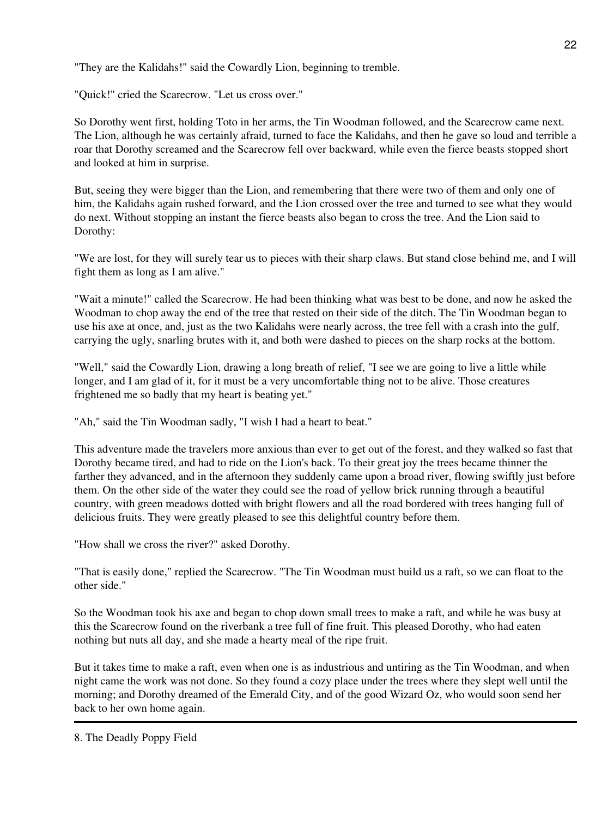"They are the Kalidahs!" said the Cowardly Lion, beginning to tremble.

"Quick!" cried the Scarecrow. "Let us cross over."

So Dorothy went first, holding Toto in her arms, the Tin Woodman followed, and the Scarecrow came next. The Lion, although he was certainly afraid, turned to face the Kalidahs, and then he gave so loud and terrible a roar that Dorothy screamed and the Scarecrow fell over backward, while even the fierce beasts stopped short and looked at him in surprise.

But, seeing they were bigger than the Lion, and remembering that there were two of them and only one of him, the Kalidahs again rushed forward, and the Lion crossed over the tree and turned to see what they would do next. Without stopping an instant the fierce beasts also began to cross the tree. And the Lion said to Dorothy:

"We are lost, for they will surely tear us to pieces with their sharp claws. But stand close behind me, and I will fight them as long as I am alive."

"Wait a minute!" called the Scarecrow. He had been thinking what was best to be done, and now he asked the Woodman to chop away the end of the tree that rested on their side of the ditch. The Tin Woodman began to use his axe at once, and, just as the two Kalidahs were nearly across, the tree fell with a crash into the gulf, carrying the ugly, snarling brutes with it, and both were dashed to pieces on the sharp rocks at the bottom.

"Well," said the Cowardly Lion, drawing a long breath of relief, "I see we are going to live a little while longer, and I am glad of it, for it must be a very uncomfortable thing not to be alive. Those creatures frightened me so badly that my heart is beating yet."

"Ah," said the Tin Woodman sadly, "I wish I had a heart to beat."

This adventure made the travelers more anxious than ever to get out of the forest, and they walked so fast that Dorothy became tired, and had to ride on the Lion's back. To their great joy the trees became thinner the farther they advanced, and in the afternoon they suddenly came upon a broad river, flowing swiftly just before them. On the other side of the water they could see the road of yellow brick running through a beautiful country, with green meadows dotted with bright flowers and all the road bordered with trees hanging full of delicious fruits. They were greatly pleased to see this delightful country before them.

"How shall we cross the river?" asked Dorothy.

"That is easily done," replied the Scarecrow. "The Tin Woodman must build us a raft, so we can float to the other side."

So the Woodman took his axe and began to chop down small trees to make a raft, and while he was busy at this the Scarecrow found on the riverbank a tree full of fine fruit. This pleased Dorothy, who had eaten nothing but nuts all day, and she made a hearty meal of the ripe fruit.

But it takes time to make a raft, even when one is as industrious and untiring as the Tin Woodman, and when night came the work was not done. So they found a cozy place under the trees where they slept well until the morning; and Dorothy dreamed of the Emerald City, and of the good Wizard Oz, who would soon send her back to her own home again.

8. The Deadly Poppy Field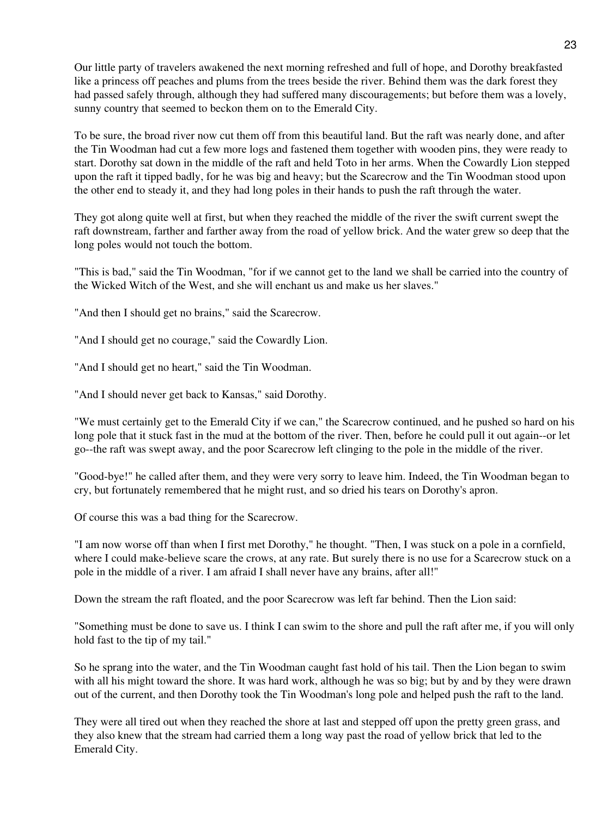Our little party of travelers awakened the next morning refreshed and full of hope, and Dorothy breakfasted like a princess off peaches and plums from the trees beside the river. Behind them was the dark forest they had passed safely through, although they had suffered many discouragements; but before them was a lovely, sunny country that seemed to beckon them on to the Emerald City.

To be sure, the broad river now cut them off from this beautiful land. But the raft was nearly done, and after the Tin Woodman had cut a few more logs and fastened them together with wooden pins, they were ready to start. Dorothy sat down in the middle of the raft and held Toto in her arms. When the Cowardly Lion stepped upon the raft it tipped badly, for he was big and heavy; but the Scarecrow and the Tin Woodman stood upon the other end to steady it, and they had long poles in their hands to push the raft through the water.

They got along quite well at first, but when they reached the middle of the river the swift current swept the raft downstream, farther and farther away from the road of yellow brick. And the water grew so deep that the long poles would not touch the bottom.

"This is bad," said the Tin Woodman, "for if we cannot get to the land we shall be carried into the country of the Wicked Witch of the West, and she will enchant us and make us her slaves."

"And then I should get no brains," said the Scarecrow.

"And I should get no courage," said the Cowardly Lion.

"And I should get no heart," said the Tin Woodman.

"And I should never get back to Kansas," said Dorothy.

"We must certainly get to the Emerald City if we can," the Scarecrow continued, and he pushed so hard on his long pole that it stuck fast in the mud at the bottom of the river. Then, before he could pull it out again--or let go--the raft was swept away, and the poor Scarecrow left clinging to the pole in the middle of the river.

"Good-bye!" he called after them, and they were very sorry to leave him. Indeed, the Tin Woodman began to cry, but fortunately remembered that he might rust, and so dried his tears on Dorothy's apron.

Of course this was a bad thing for the Scarecrow.

"I am now worse off than when I first met Dorothy," he thought. "Then, I was stuck on a pole in a cornfield, where I could make-believe scare the crows, at any rate. But surely there is no use for a Scarecrow stuck on a pole in the middle of a river. I am afraid I shall never have any brains, after all!"

Down the stream the raft floated, and the poor Scarecrow was left far behind. Then the Lion said:

"Something must be done to save us. I think I can swim to the shore and pull the raft after me, if you will only hold fast to the tip of my tail."

So he sprang into the water, and the Tin Woodman caught fast hold of his tail. Then the Lion began to swim with all his might toward the shore. It was hard work, although he was so big; but by and by they were drawn out of the current, and then Dorothy took the Tin Woodman's long pole and helped push the raft to the land.

They were all tired out when they reached the shore at last and stepped off upon the pretty green grass, and they also knew that the stream had carried them a long way past the road of yellow brick that led to the Emerald City.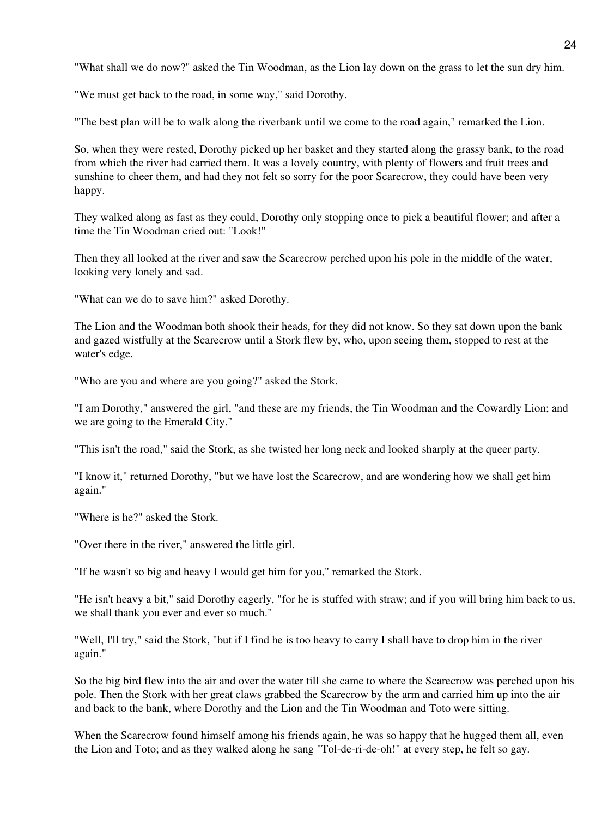"What shall we do now?" asked the Tin Woodman, as the Lion lay down on the grass to let the sun dry him.

"We must get back to the road, in some way," said Dorothy.

"The best plan will be to walk along the riverbank until we come to the road again," remarked the Lion.

So, when they were rested, Dorothy picked up her basket and they started along the grassy bank, to the road from which the river had carried them. It was a lovely country, with plenty of flowers and fruit trees and sunshine to cheer them, and had they not felt so sorry for the poor Scarecrow, they could have been very happy.

They walked along as fast as they could, Dorothy only stopping once to pick a beautiful flower; and after a time the Tin Woodman cried out: "Look!"

Then they all looked at the river and saw the Scarecrow perched upon his pole in the middle of the water, looking very lonely and sad.

"What can we do to save him?" asked Dorothy.

The Lion and the Woodman both shook their heads, for they did not know. So they sat down upon the bank and gazed wistfully at the Scarecrow until a Stork flew by, who, upon seeing them, stopped to rest at the water's edge.

"Who are you and where are you going?" asked the Stork.

"I am Dorothy," answered the girl, "and these are my friends, the Tin Woodman and the Cowardly Lion; and we are going to the Emerald City."

"This isn't the road," said the Stork, as she twisted her long neck and looked sharply at the queer party.

"I know it," returned Dorothy, "but we have lost the Scarecrow, and are wondering how we shall get him again."

"Where is he?" asked the Stork.

"Over there in the river," answered the little girl.

"If he wasn't so big and heavy I would get him for you," remarked the Stork.

"He isn't heavy a bit," said Dorothy eagerly, "for he is stuffed with straw; and if you will bring him back to us, we shall thank you ever and ever so much."

"Well, I'll try," said the Stork, "but if I find he is too heavy to carry I shall have to drop him in the river again."

So the big bird flew into the air and over the water till she came to where the Scarecrow was perched upon his pole. Then the Stork with her great claws grabbed the Scarecrow by the arm and carried him up into the air and back to the bank, where Dorothy and the Lion and the Tin Woodman and Toto were sitting.

When the Scarecrow found himself among his friends again, he was so happy that he hugged them all, even the Lion and Toto; and as they walked along he sang "Tol-de-ri-de-oh!" at every step, he felt so gay.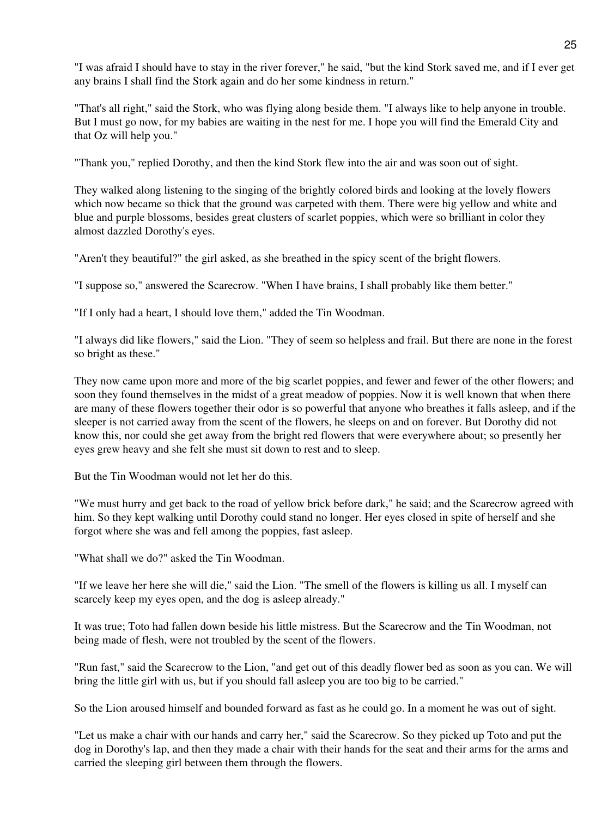"I was afraid I should have to stay in the river forever," he said, "but the kind Stork saved me, and if I ever get any brains I shall find the Stork again and do her some kindness in return."

"That's all right," said the Stork, who was flying along beside them. "I always like to help anyone in trouble. But I must go now, for my babies are waiting in the nest for me. I hope you will find the Emerald City and that Oz will help you."

"Thank you," replied Dorothy, and then the kind Stork flew into the air and was soon out of sight.

They walked along listening to the singing of the brightly colored birds and looking at the lovely flowers which now became so thick that the ground was carpeted with them. There were big yellow and white and blue and purple blossoms, besides great clusters of scarlet poppies, which were so brilliant in color they almost dazzled Dorothy's eyes.

"Aren't they beautiful?" the girl asked, as she breathed in the spicy scent of the bright flowers.

"I suppose so," answered the Scarecrow. "When I have brains, I shall probably like them better."

"If I only had a heart, I should love them," added the Tin Woodman.

"I always did like flowers," said the Lion. "They of seem so helpless and frail. But there are none in the forest so bright as these."

They now came upon more and more of the big scarlet poppies, and fewer and fewer of the other flowers; and soon they found themselves in the midst of a great meadow of poppies. Now it is well known that when there are many of these flowers together their odor is so powerful that anyone who breathes it falls asleep, and if the sleeper is not carried away from the scent of the flowers, he sleeps on and on forever. But Dorothy did not know this, nor could she get away from the bright red flowers that were everywhere about; so presently her eyes grew heavy and she felt she must sit down to rest and to sleep.

But the Tin Woodman would not let her do this.

"We must hurry and get back to the road of yellow brick before dark," he said; and the Scarecrow agreed with him. So they kept walking until Dorothy could stand no longer. Her eyes closed in spite of herself and she forgot where she was and fell among the poppies, fast asleep.

"What shall we do?" asked the Tin Woodman.

"If we leave her here she will die," said the Lion. "The smell of the flowers is killing us all. I myself can scarcely keep my eyes open, and the dog is asleep already."

It was true; Toto had fallen down beside his little mistress. But the Scarecrow and the Tin Woodman, not being made of flesh, were not troubled by the scent of the flowers.

"Run fast," said the Scarecrow to the Lion, "and get out of this deadly flower bed as soon as you can. We will bring the little girl with us, but if you should fall asleep you are too big to be carried."

So the Lion aroused himself and bounded forward as fast as he could go. In a moment he was out of sight.

"Let us make a chair with our hands and carry her," said the Scarecrow. So they picked up Toto and put the dog in Dorothy's lap, and then they made a chair with their hands for the seat and their arms for the arms and carried the sleeping girl between them through the flowers.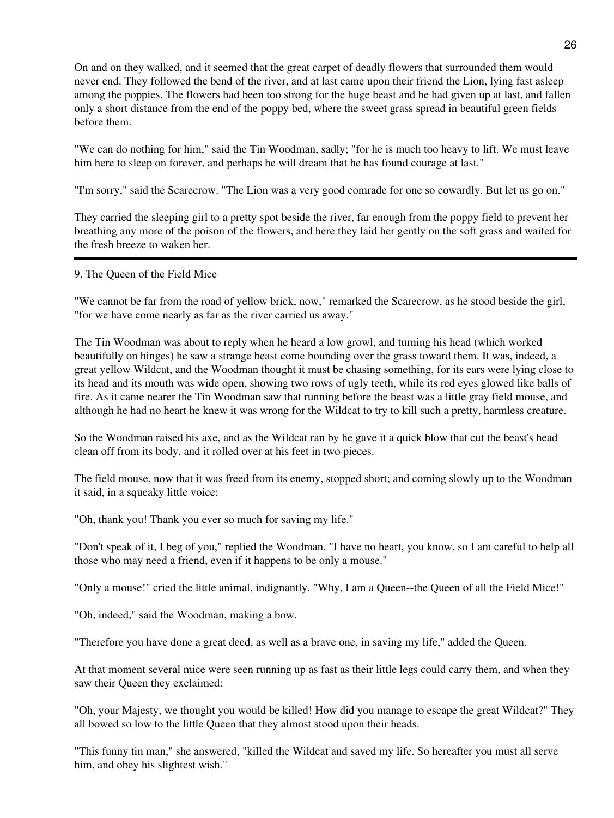On and on they walked, and it seemed that the great carpet of deadly flowers that surrounded them would never end. They followed the bend of the river, and at last came upon their friend the Lion, lying fast asleep among the poppies. The flowers had been too strong for the huge beast and he had given up at last, and fallen only a short distance from the end of the poppy bed, where the sweet grass spread in beautiful green fields before them.

"We can do nothing for him," said the Tin Woodman, sadly; "for he is much too heavy to lift. We must leave him here to sleep on forever, and perhaps he will dream that he has found courage at last."

"I'm sorry," said the Scarecrow. "The Lion was a very good comrade for one so cowardly. But let us go on."

They carried the sleeping girl to a pretty spot beside the river, far enough from the poppy field to prevent her breathing any more of the poison of the flowers, and here they laid her gently on the soft grass and waited for the fresh breeze to waken her.

9. The Queen of the Field Mice

"We cannot be far from the road of yellow brick, now," remarked the Scarecrow, as he stood beside the girl, "for we have come nearly as far as the river carried us away."

The Tin Woodman was about to reply when he heard a low growl, and turning his head (which worked beautifully on hinges) he saw a strange beast come bounding over the grass toward them. It was, indeed, a great yellow Wildcat, and the Woodman thought it must be chasing something, for its ears were lying close to its head and its mouth was wide open, showing two rows of ugly teeth, while its red eyes glowed like balls of fire. As it came nearer the Tin Woodman saw that running before the beast was a little gray field mouse, and although he had no heart he knew it was wrong for the Wildcat to try to kill such a pretty, harmless creature.

So the Woodman raised his axe, and as the Wildcat ran by he gave it a quick blow that cut the beast's head clean off from its body, and it rolled over at his feet in two pieces.

The field mouse, now that it was freed from its enemy, stopped short; and coming slowly up to the Woodman it said, in a squeaky little voice:

"Oh, thank you! Thank you ever so much for saving my life."

"Don't speak of it, I beg of you," replied the Woodman. "I have no heart, you know, so I am careful to help all those who may need a friend, even if it happens to be only a mouse."

"Only a mouse!" cried the little animal, indignantly. "Why, I am a Queen--the Queen of all the Field Mice!"

"Oh, indeed," said the Woodman, making a bow.

"Therefore you have done a great deed, as well as a brave one, in saving my life," added the Queen.

At that moment several mice were seen running up as fast as their little legs could carry them, and when they saw their Queen they exclaimed:

"Oh, your Majesty, we thought you would be killed! How did you manage to escape the great Wildcat?" They all bowed so low to the little Queen that they almost stood upon their heads.

"This funny tin man," she answered, "killed the Wildcat and saved my life. So hereafter you must all serve him, and obey his slightest wish."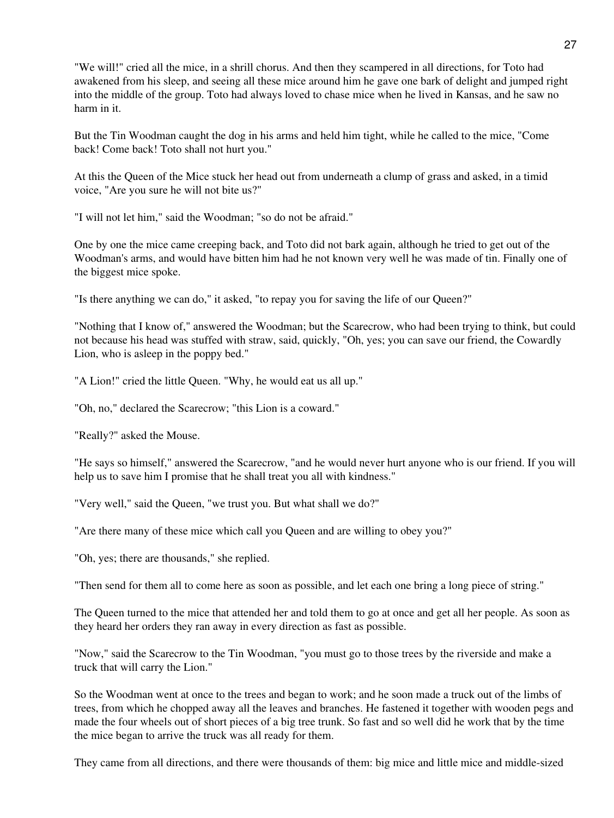"We will!" cried all the mice, in a shrill chorus. And then they scampered in all directions, for Toto had awakened from his sleep, and seeing all these mice around him he gave one bark of delight and jumped right into the middle of the group. Toto had always loved to chase mice when he lived in Kansas, and he saw no harm in it.

But the Tin Woodman caught the dog in his arms and held him tight, while he called to the mice, "Come back! Come back! Toto shall not hurt you."

At this the Queen of the Mice stuck her head out from underneath a clump of grass and asked, in a timid voice, "Are you sure he will not bite us?"

"I will not let him," said the Woodman; "so do not be afraid."

One by one the mice came creeping back, and Toto did not bark again, although he tried to get out of the Woodman's arms, and would have bitten him had he not known very well he was made of tin. Finally one of the biggest mice spoke.

"Is there anything we can do," it asked, "to repay you for saving the life of our Queen?"

"Nothing that I know of," answered the Woodman; but the Scarecrow, who had been trying to think, but could not because his head was stuffed with straw, said, quickly, "Oh, yes; you can save our friend, the Cowardly Lion, who is asleep in the poppy bed."

"A Lion!" cried the little Queen. "Why, he would eat us all up."

"Oh, no," declared the Scarecrow; "this Lion is a coward."

"Really?" asked the Mouse.

"He says so himself," answered the Scarecrow, "and he would never hurt anyone who is our friend. If you will help us to save him I promise that he shall treat you all with kindness."

"Very well," said the Queen, "we trust you. But what shall we do?"

"Are there many of these mice which call you Queen and are willing to obey you?"

"Oh, yes; there are thousands," she replied.

"Then send for them all to come here as soon as possible, and let each one bring a long piece of string."

The Queen turned to the mice that attended her and told them to go at once and get all her people. As soon as they heard her orders they ran away in every direction as fast as possible.

"Now," said the Scarecrow to the Tin Woodman, "you must go to those trees by the riverside and make a truck that will carry the Lion."

So the Woodman went at once to the trees and began to work; and he soon made a truck out of the limbs of trees, from which he chopped away all the leaves and branches. He fastened it together with wooden pegs and made the four wheels out of short pieces of a big tree trunk. So fast and so well did he work that by the time the mice began to arrive the truck was all ready for them.

They came from all directions, and there were thousands of them: big mice and little mice and middle-sized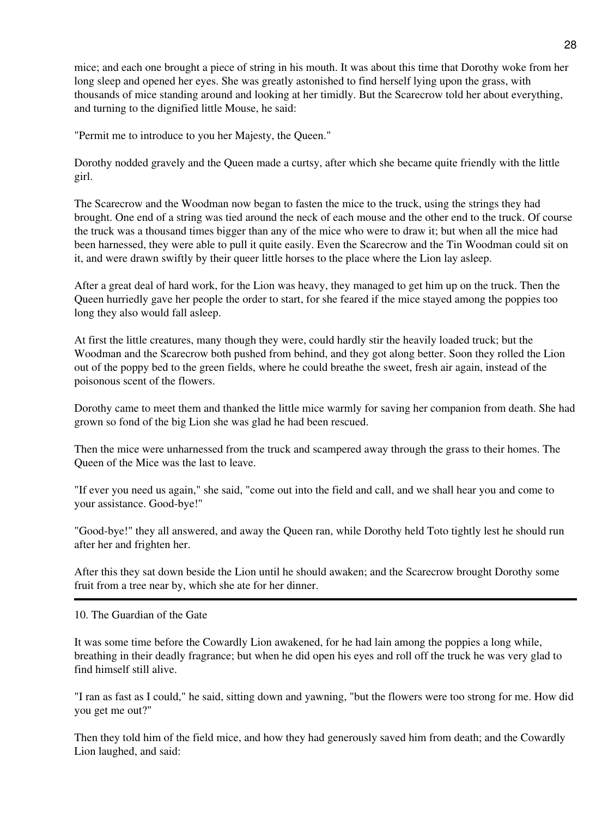mice; and each one brought a piece of string in his mouth. It was about this time that Dorothy woke from her long sleep and opened her eyes. She was greatly astonished to find herself lying upon the grass, with thousands of mice standing around and looking at her timidly. But the Scarecrow told her about everything, and turning to the dignified little Mouse, he said:

"Permit me to introduce to you her Majesty, the Queen."

Dorothy nodded gravely and the Queen made a curtsy, after which she became quite friendly with the little girl.

The Scarecrow and the Woodman now began to fasten the mice to the truck, using the strings they had brought. One end of a string was tied around the neck of each mouse and the other end to the truck. Of course the truck was a thousand times bigger than any of the mice who were to draw it; but when all the mice had been harnessed, they were able to pull it quite easily. Even the Scarecrow and the Tin Woodman could sit on it, and were drawn swiftly by their queer little horses to the place where the Lion lay asleep.

After a great deal of hard work, for the Lion was heavy, they managed to get him up on the truck. Then the Queen hurriedly gave her people the order to start, for she feared if the mice stayed among the poppies too long they also would fall asleep.

At first the little creatures, many though they were, could hardly stir the heavily loaded truck; but the Woodman and the Scarecrow both pushed from behind, and they got along better. Soon they rolled the Lion out of the poppy bed to the green fields, where he could breathe the sweet, fresh air again, instead of the poisonous scent of the flowers.

Dorothy came to meet them and thanked the little mice warmly for saving her companion from death. She had grown so fond of the big Lion she was glad he had been rescued.

Then the mice were unharnessed from the truck and scampered away through the grass to their homes. The Queen of the Mice was the last to leave.

"If ever you need us again," she said, "come out into the field and call, and we shall hear you and come to your assistance. Good-bye!"

"Good-bye!" they all answered, and away the Queen ran, while Dorothy held Toto tightly lest he should run after her and frighten her.

After this they sat down beside the Lion until he should awaken; and the Scarecrow brought Dorothy some fruit from a tree near by, which she ate for her dinner.

10. The Guardian of the Gate

It was some time before the Cowardly Lion awakened, for he had lain among the poppies a long while, breathing in their deadly fragrance; but when he did open his eyes and roll off the truck he was very glad to find himself still alive.

"I ran as fast as I could," he said, sitting down and yawning, "but the flowers were too strong for me. How did you get me out?"

Then they told him of the field mice, and how they had generously saved him from death; and the Cowardly Lion laughed, and said: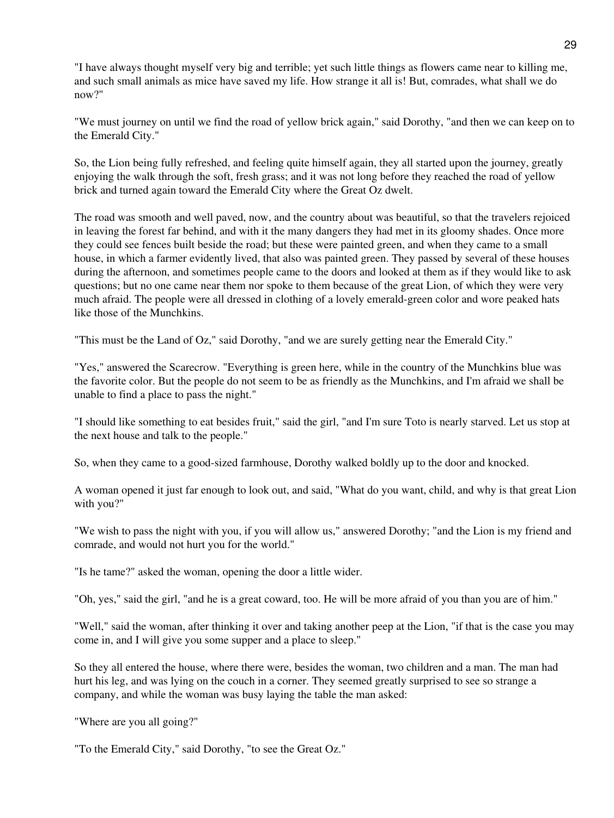"I have always thought myself very big and terrible; yet such little things as flowers came near to killing me, and such small animals as mice have saved my life. How strange it all is! But, comrades, what shall we do now?"

"We must journey on until we find the road of yellow brick again," said Dorothy, "and then we can keep on to the Emerald City."

So, the Lion being fully refreshed, and feeling quite himself again, they all started upon the journey, greatly enjoying the walk through the soft, fresh grass; and it was not long before they reached the road of yellow brick and turned again toward the Emerald City where the Great Oz dwelt.

The road was smooth and well paved, now, and the country about was beautiful, so that the travelers rejoiced in leaving the forest far behind, and with it the many dangers they had met in its gloomy shades. Once more they could see fences built beside the road; but these were painted green, and when they came to a small house, in which a farmer evidently lived, that also was painted green. They passed by several of these houses during the afternoon, and sometimes people came to the doors and looked at them as if they would like to ask questions; but no one came near them nor spoke to them because of the great Lion, of which they were very much afraid. The people were all dressed in clothing of a lovely emerald-green color and wore peaked hats like those of the Munchkins.

"This must be the Land of Oz," said Dorothy, "and we are surely getting near the Emerald City."

"Yes," answered the Scarecrow. "Everything is green here, while in the country of the Munchkins blue was the favorite color. But the people do not seem to be as friendly as the Munchkins, and I'm afraid we shall be unable to find a place to pass the night."

"I should like something to eat besides fruit," said the girl, "and I'm sure Toto is nearly starved. Let us stop at the next house and talk to the people."

So, when they came to a good-sized farmhouse, Dorothy walked boldly up to the door and knocked.

A woman opened it just far enough to look out, and said, "What do you want, child, and why is that great Lion with you?"

"We wish to pass the night with you, if you will allow us," answered Dorothy; "and the Lion is my friend and comrade, and would not hurt you for the world."

"Is he tame?" asked the woman, opening the door a little wider.

"Oh, yes," said the girl, "and he is a great coward, too. He will be more afraid of you than you are of him."

"Well," said the woman, after thinking it over and taking another peep at the Lion, "if that is the case you may come in, and I will give you some supper and a place to sleep."

So they all entered the house, where there were, besides the woman, two children and a man. The man had hurt his leg, and was lying on the couch in a corner. They seemed greatly surprised to see so strange a company, and while the woman was busy laying the table the man asked:

"Where are you all going?"

"To the Emerald City," said Dorothy, "to see the Great Oz."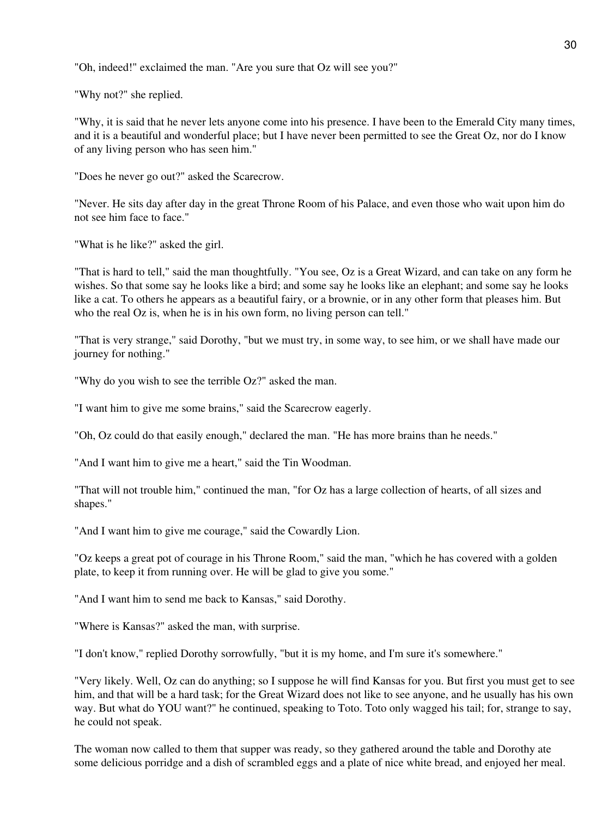"Oh, indeed!" exclaimed the man. "Are you sure that Oz will see you?"

"Why not?" she replied.

"Why, it is said that he never lets anyone come into his presence. I have been to the Emerald City many times, and it is a beautiful and wonderful place; but I have never been permitted to see the Great Oz, nor do I know of any living person who has seen him."

"Does he never go out?" asked the Scarecrow.

"Never. He sits day after day in the great Throne Room of his Palace, and even those who wait upon him do not see him face to face."

"What is he like?" asked the girl.

"That is hard to tell," said the man thoughtfully. "You see, Oz is a Great Wizard, and can take on any form he wishes. So that some say he looks like a bird; and some say he looks like an elephant; and some say he looks like a cat. To others he appears as a beautiful fairy, or a brownie, or in any other form that pleases him. But who the real Oz is, when he is in his own form, no living person can tell."

"That is very strange," said Dorothy, "but we must try, in some way, to see him, or we shall have made our journey for nothing."

"Why do you wish to see the terrible Oz?" asked the man.

"I want him to give me some brains," said the Scarecrow eagerly.

"Oh, Oz could do that easily enough," declared the man. "He has more brains than he needs."

"And I want him to give me a heart," said the Tin Woodman.

"That will not trouble him," continued the man, "for Oz has a large collection of hearts, of all sizes and shapes."

"And I want him to give me courage," said the Cowardly Lion.

"Oz keeps a great pot of courage in his Throne Room," said the man, "which he has covered with a golden plate, to keep it from running over. He will be glad to give you some."

"And I want him to send me back to Kansas," said Dorothy.

"Where is Kansas?" asked the man, with surprise.

"I don't know," replied Dorothy sorrowfully, "but it is my home, and I'm sure it's somewhere."

"Very likely. Well, Oz can do anything; so I suppose he will find Kansas for you. But first you must get to see him, and that will be a hard task; for the Great Wizard does not like to see anyone, and he usually has his own way. But what do YOU want?" he continued, speaking to Toto. Toto only wagged his tail; for, strange to say, he could not speak.

The woman now called to them that supper was ready, so they gathered around the table and Dorothy ate some delicious porridge and a dish of scrambled eggs and a plate of nice white bread, and enjoyed her meal.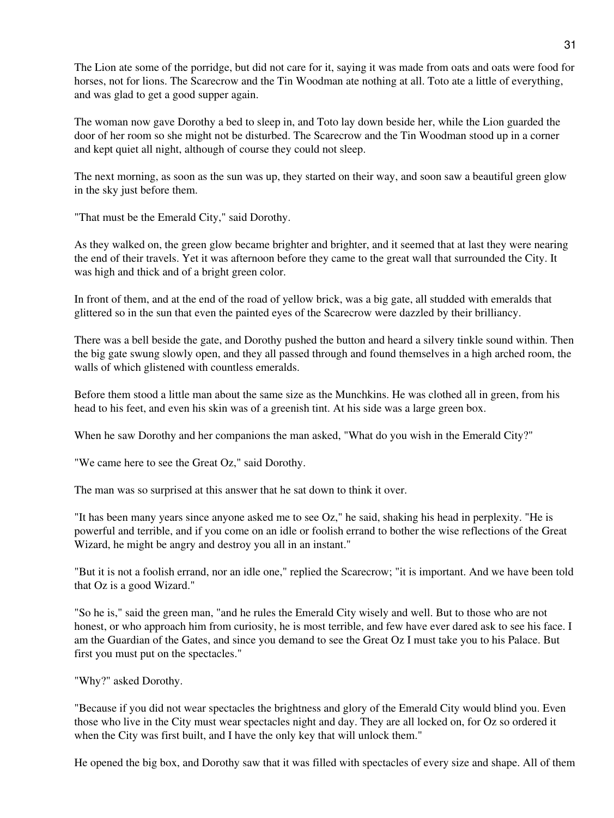The Lion ate some of the porridge, but did not care for it, saying it was made from oats and oats were food for horses, not for lions. The Scarecrow and the Tin Woodman ate nothing at all. Toto ate a little of everything, and was glad to get a good supper again.

The woman now gave Dorothy a bed to sleep in, and Toto lay down beside her, while the Lion guarded the door of her room so she might not be disturbed. The Scarecrow and the Tin Woodman stood up in a corner and kept quiet all night, although of course they could not sleep.

The next morning, as soon as the sun was up, they started on their way, and soon saw a beautiful green glow in the sky just before them.

"That must be the Emerald City," said Dorothy.

As they walked on, the green glow became brighter and brighter, and it seemed that at last they were nearing the end of their travels. Yet it was afternoon before they came to the great wall that surrounded the City. It was high and thick and of a bright green color.

In front of them, and at the end of the road of yellow brick, was a big gate, all studded with emeralds that glittered so in the sun that even the painted eyes of the Scarecrow were dazzled by their brilliancy.

There was a bell beside the gate, and Dorothy pushed the button and heard a silvery tinkle sound within. Then the big gate swung slowly open, and they all passed through and found themselves in a high arched room, the walls of which glistened with countless emeralds.

Before them stood a little man about the same size as the Munchkins. He was clothed all in green, from his head to his feet, and even his skin was of a greenish tint. At his side was a large green box.

When he saw Dorothy and her companions the man asked, "What do you wish in the Emerald City?"

"We came here to see the Great Oz," said Dorothy.

The man was so surprised at this answer that he sat down to think it over.

"It has been many years since anyone asked me to see Oz," he said, shaking his head in perplexity. "He is powerful and terrible, and if you come on an idle or foolish errand to bother the wise reflections of the Great Wizard, he might be angry and destroy you all in an instant."

"But it is not a foolish errand, nor an idle one," replied the Scarecrow; "it is important. And we have been told that Oz is a good Wizard."

"So he is," said the green man, "and he rules the Emerald City wisely and well. But to those who are not honest, or who approach him from curiosity, he is most terrible, and few have ever dared ask to see his face. I am the Guardian of the Gates, and since you demand to see the Great Oz I must take you to his Palace. But first you must put on the spectacles."

"Why?" asked Dorothy.

"Because if you did not wear spectacles the brightness and glory of the Emerald City would blind you. Even those who live in the City must wear spectacles night and day. They are all locked on, for Oz so ordered it when the City was first built, and I have the only key that will unlock them."

He opened the big box, and Dorothy saw that it was filled with spectacles of every size and shape. All of them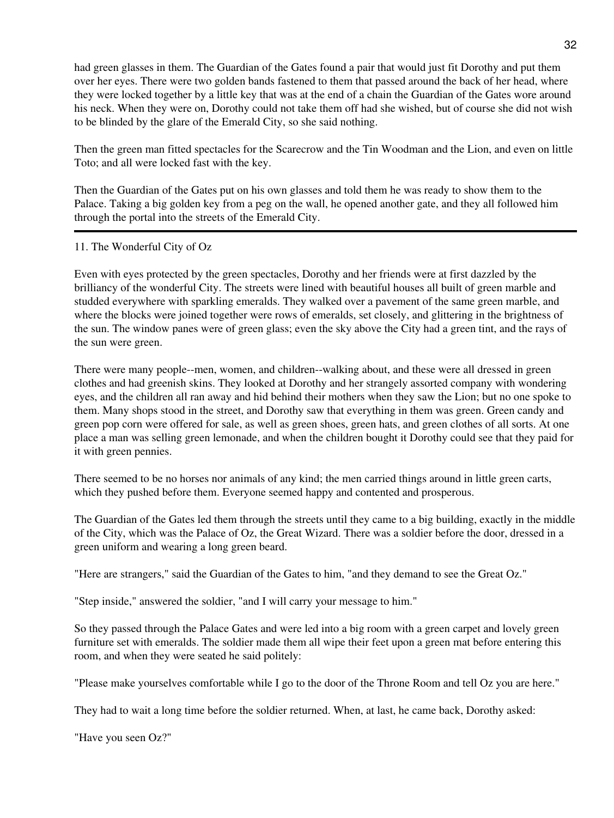had green glasses in them. The Guardian of the Gates found a pair that would just fit Dorothy and put them over her eyes. There were two golden bands fastened to them that passed around the back of her head, where they were locked together by a little key that was at the end of a chain the Guardian of the Gates wore around his neck. When they were on, Dorothy could not take them off had she wished, but of course she did not wish to be blinded by the glare of the Emerald City, so she said nothing.

Then the green man fitted spectacles for the Scarecrow and the Tin Woodman and the Lion, and even on little Toto; and all were locked fast with the key.

Then the Guardian of the Gates put on his own glasses and told them he was ready to show them to the Palace. Taking a big golden key from a peg on the wall, he opened another gate, and they all followed him through the portal into the streets of the Emerald City.

### 11. The Wonderful City of Oz

Even with eyes protected by the green spectacles, Dorothy and her friends were at first dazzled by the brilliancy of the wonderful City. The streets were lined with beautiful houses all built of green marble and studded everywhere with sparkling emeralds. They walked over a pavement of the same green marble, and where the blocks were joined together were rows of emeralds, set closely, and glittering in the brightness of the sun. The window panes were of green glass; even the sky above the City had a green tint, and the rays of the sun were green.

There were many people--men, women, and children--walking about, and these were all dressed in green clothes and had greenish skins. They looked at Dorothy and her strangely assorted company with wondering eyes, and the children all ran away and hid behind their mothers when they saw the Lion; but no one spoke to them. Many shops stood in the street, and Dorothy saw that everything in them was green. Green candy and green pop corn were offered for sale, as well as green shoes, green hats, and green clothes of all sorts. At one place a man was selling green lemonade, and when the children bought it Dorothy could see that they paid for it with green pennies.

There seemed to be no horses nor animals of any kind; the men carried things around in little green carts, which they pushed before them. Everyone seemed happy and contented and prosperous.

The Guardian of the Gates led them through the streets until they came to a big building, exactly in the middle of the City, which was the Palace of Oz, the Great Wizard. There was a soldier before the door, dressed in a green uniform and wearing a long green beard.

"Here are strangers," said the Guardian of the Gates to him, "and they demand to see the Great Oz."

"Step inside," answered the soldier, "and I will carry your message to him."

So they passed through the Palace Gates and were led into a big room with a green carpet and lovely green furniture set with emeralds. The soldier made them all wipe their feet upon a green mat before entering this room, and when they were seated he said politely:

"Please make yourselves comfortable while I go to the door of the Throne Room and tell Oz you are here."

They had to wait a long time before the soldier returned. When, at last, he came back, Dorothy asked:

"Have you seen Oz?"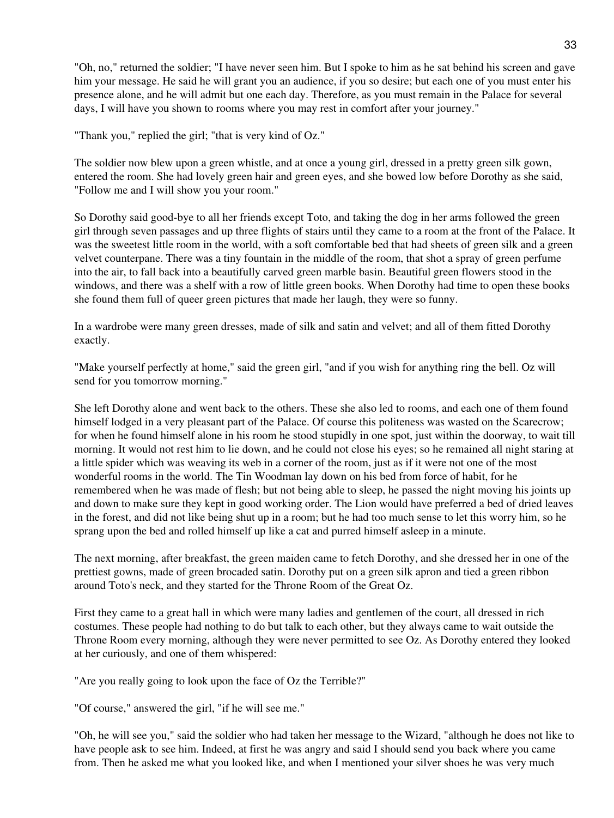"Oh, no," returned the soldier; "I have never seen him. But I spoke to him as he sat behind his screen and gave him your message. He said he will grant you an audience, if you so desire; but each one of you must enter his presence alone, and he will admit but one each day. Therefore, as you must remain in the Palace for several days, I will have you shown to rooms where you may rest in comfort after your journey."

"Thank you," replied the girl; "that is very kind of Oz."

The soldier now blew upon a green whistle, and at once a young girl, dressed in a pretty green silk gown, entered the room. She had lovely green hair and green eyes, and she bowed low before Dorothy as she said, "Follow me and I will show you your room."

So Dorothy said good-bye to all her friends except Toto, and taking the dog in her arms followed the green girl through seven passages and up three flights of stairs until they came to a room at the front of the Palace. It was the sweetest little room in the world, with a soft comfortable bed that had sheets of green silk and a green velvet counterpane. There was a tiny fountain in the middle of the room, that shot a spray of green perfume into the air, to fall back into a beautifully carved green marble basin. Beautiful green flowers stood in the windows, and there was a shelf with a row of little green books. When Dorothy had time to open these books she found them full of queer green pictures that made her laugh, they were so funny.

In a wardrobe were many green dresses, made of silk and satin and velvet; and all of them fitted Dorothy exactly.

"Make yourself perfectly at home," said the green girl, "and if you wish for anything ring the bell. Oz will send for you tomorrow morning."

She left Dorothy alone and went back to the others. These she also led to rooms, and each one of them found himself lodged in a very pleasant part of the Palace. Of course this politeness was wasted on the Scarecrow; for when he found himself alone in his room he stood stupidly in one spot, just within the doorway, to wait till morning. It would not rest him to lie down, and he could not close his eyes; so he remained all night staring at a little spider which was weaving its web in a corner of the room, just as if it were not one of the most wonderful rooms in the world. The Tin Woodman lay down on his bed from force of habit, for he remembered when he was made of flesh; but not being able to sleep, he passed the night moving his joints up and down to make sure they kept in good working order. The Lion would have preferred a bed of dried leaves in the forest, and did not like being shut up in a room; but he had too much sense to let this worry him, so he sprang upon the bed and rolled himself up like a cat and purred himself asleep in a minute.

The next morning, after breakfast, the green maiden came to fetch Dorothy, and she dressed her in one of the prettiest gowns, made of green brocaded satin. Dorothy put on a green silk apron and tied a green ribbon around Toto's neck, and they started for the Throne Room of the Great Oz.

First they came to a great hall in which were many ladies and gentlemen of the court, all dressed in rich costumes. These people had nothing to do but talk to each other, but they always came to wait outside the Throne Room every morning, although they were never permitted to see Oz. As Dorothy entered they looked at her curiously, and one of them whispered:

"Are you really going to look upon the face of Oz the Terrible?"

"Of course," answered the girl, "if he will see me."

"Oh, he will see you," said the soldier who had taken her message to the Wizard, "although he does not like to have people ask to see him. Indeed, at first he was angry and said I should send you back where you came from. Then he asked me what you looked like, and when I mentioned your silver shoes he was very much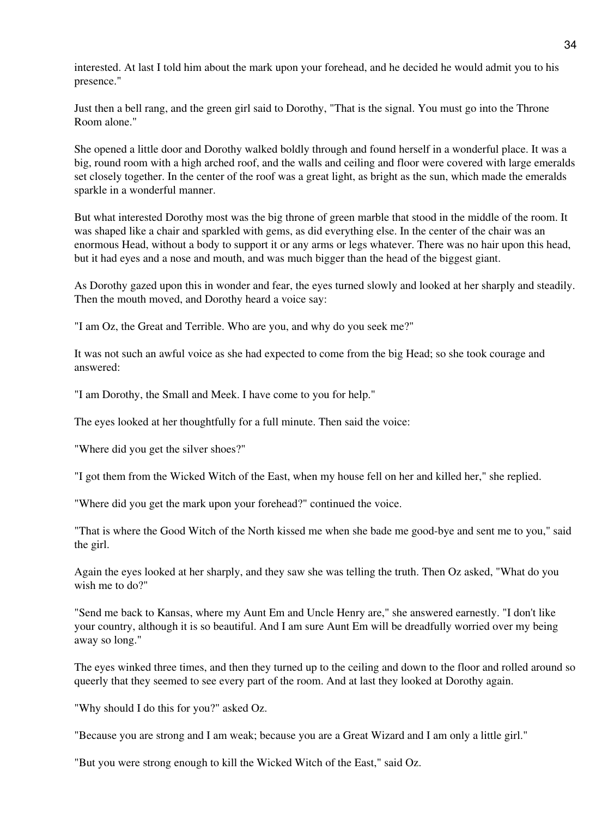interested. At last I told him about the mark upon your forehead, and he decided he would admit you to his presence."

Just then a bell rang, and the green girl said to Dorothy, "That is the signal. You must go into the Throne Room alone."

She opened a little door and Dorothy walked boldly through and found herself in a wonderful place. It was a big, round room with a high arched roof, and the walls and ceiling and floor were covered with large emeralds set closely together. In the center of the roof was a great light, as bright as the sun, which made the emeralds sparkle in a wonderful manner.

But what interested Dorothy most was the big throne of green marble that stood in the middle of the room. It was shaped like a chair and sparkled with gems, as did everything else. In the center of the chair was an enormous Head, without a body to support it or any arms or legs whatever. There was no hair upon this head, but it had eyes and a nose and mouth, and was much bigger than the head of the biggest giant.

As Dorothy gazed upon this in wonder and fear, the eyes turned slowly and looked at her sharply and steadily. Then the mouth moved, and Dorothy heard a voice say:

"I am Oz, the Great and Terrible. Who are you, and why do you seek me?"

It was not such an awful voice as she had expected to come from the big Head; so she took courage and answered:

"I am Dorothy, the Small and Meek. I have come to you for help."

The eyes looked at her thoughtfully for a full minute. Then said the voice:

"Where did you get the silver shoes?"

"I got them from the Wicked Witch of the East, when my house fell on her and killed her," she replied.

"Where did you get the mark upon your forehead?" continued the voice.

"That is where the Good Witch of the North kissed me when she bade me good-bye and sent me to you," said the girl.

Again the eyes looked at her sharply, and they saw she was telling the truth. Then Oz asked, "What do you wish me to do?"

"Send me back to Kansas, where my Aunt Em and Uncle Henry are," she answered earnestly. "I don't like your country, although it is so beautiful. And I am sure Aunt Em will be dreadfully worried over my being away so long."

The eyes winked three times, and then they turned up to the ceiling and down to the floor and rolled around so queerly that they seemed to see every part of the room. And at last they looked at Dorothy again.

"Why should I do this for you?" asked Oz.

"Because you are strong and I am weak; because you are a Great Wizard and I am only a little girl."

"But you were strong enough to kill the Wicked Witch of the East," said Oz.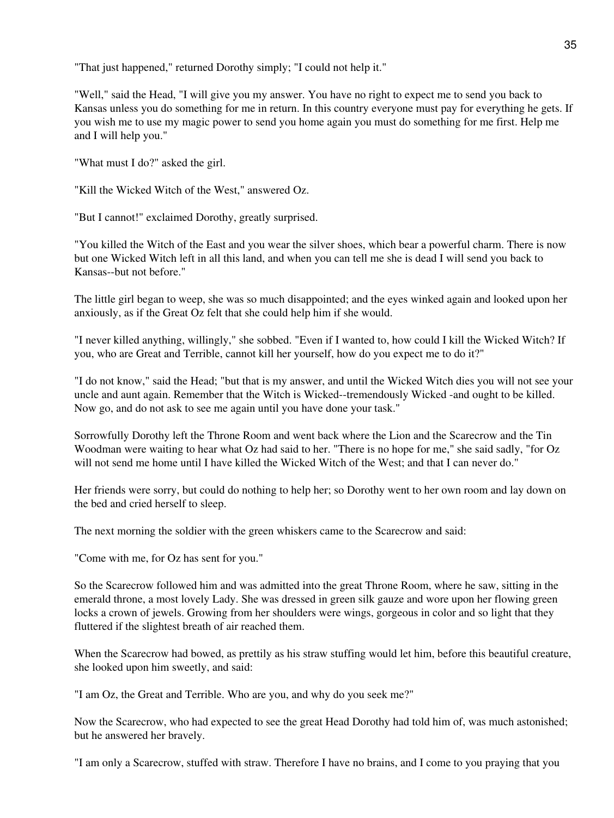"That just happened," returned Dorothy simply; "I could not help it."

"Well," said the Head, "I will give you my answer. You have no right to expect me to send you back to Kansas unless you do something for me in return. In this country everyone must pay for everything he gets. If you wish me to use my magic power to send you home again you must do something for me first. Help me and I will help you."

"What must I do?" asked the girl.

"Kill the Wicked Witch of the West," answered Oz.

"But I cannot!" exclaimed Dorothy, greatly surprised.

"You killed the Witch of the East and you wear the silver shoes, which bear a powerful charm. There is now but one Wicked Witch left in all this land, and when you can tell me she is dead I will send you back to Kansas--but not before."

The little girl began to weep, she was so much disappointed; and the eyes winked again and looked upon her anxiously, as if the Great Oz felt that she could help him if she would.

"I never killed anything, willingly," she sobbed. "Even if I wanted to, how could I kill the Wicked Witch? If you, who are Great and Terrible, cannot kill her yourself, how do you expect me to do it?"

"I do not know," said the Head; "but that is my answer, and until the Wicked Witch dies you will not see your uncle and aunt again. Remember that the Witch is Wicked--tremendously Wicked -and ought to be killed. Now go, and do not ask to see me again until you have done your task."

Sorrowfully Dorothy left the Throne Room and went back where the Lion and the Scarecrow and the Tin Woodman were waiting to hear what Oz had said to her. "There is no hope for me," she said sadly, "for Oz will not send me home until I have killed the Wicked Witch of the West; and that I can never do."

Her friends were sorry, but could do nothing to help her; so Dorothy went to her own room and lay down on the bed and cried herself to sleep.

The next morning the soldier with the green whiskers came to the Scarecrow and said:

"Come with me, for Oz has sent for you."

So the Scarecrow followed him and was admitted into the great Throne Room, where he saw, sitting in the emerald throne, a most lovely Lady. She was dressed in green silk gauze and wore upon her flowing green locks a crown of jewels. Growing from her shoulders were wings, gorgeous in color and so light that they fluttered if the slightest breath of air reached them.

When the Scarecrow had bowed, as prettily as his straw stuffing would let him, before this beautiful creature, she looked upon him sweetly, and said:

"I am Oz, the Great and Terrible. Who are you, and why do you seek me?"

Now the Scarecrow, who had expected to see the great Head Dorothy had told him of, was much astonished; but he answered her bravely.

"I am only a Scarecrow, stuffed with straw. Therefore I have no brains, and I come to you praying that you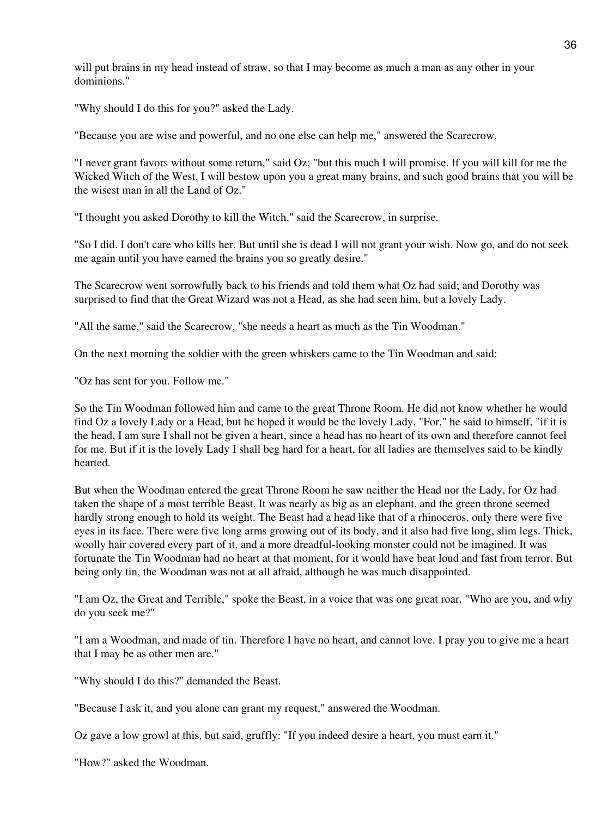will put brains in my head instead of straw, so that I may become as much a man as any other in your dominions."

"Why should I do this for you?" asked the Lady.

"Because you are wise and powerful, and no one else can help me," answered the Scarecrow.

"I never grant favors without some return," said Oz; "but this much I will promise. If you will kill for me the Wicked Witch of the West, I will bestow upon you a great many brains, and such good brains that you will be the wisest man in all the Land of Oz."

"I thought you asked Dorothy to kill the Witch," said the Scarecrow, in surprise.

"So I did. I don't care who kills her. But until she is dead I will not grant your wish. Now go, and do not seek me again until you have earned the brains you so greatly desire."

The Scarecrow went sorrowfully back to his friends and told them what Oz had said; and Dorothy was surprised to find that the Great Wizard was not a Head, as she had seen him, but a lovely Lady.

"All the same," said the Scarecrow, "she needs a heart as much as the Tin Woodman."

On the next morning the soldier with the green whiskers came to the Tin Woodman and said:

"Oz has sent for you. Follow me."

So the Tin Woodman followed him and came to the great Throne Room. He did not know whether he would find Oz a lovely Lady or a Head, but he hoped it would be the lovely Lady. "For," he said to himself, "if it is the head, I am sure I shall not be given a heart, since a head has no heart of its own and therefore cannot feel for me. But if it is the lovely Lady I shall beg hard for a heart, for all ladies are themselves said to be kindly hearted.

But when the Woodman entered the great Throne Room he saw neither the Head nor the Lady, for Oz had taken the shape of a most terrible Beast. It was nearly as big as an elephant, and the green throne seemed hardly strong enough to hold its weight. The Beast had a head like that of a rhinoceros, only there were five eyes in its face. There were five long arms growing out of its body, and it also had five long, slim legs. Thick, woolly hair covered every part of it, and a more dreadful-looking monster could not be imagined. It was fortunate the Tin Woodman had no heart at that moment, for it would have beat loud and fast from terror. But being only tin, the Woodman was not at all afraid, although he was much disappointed.

"I am Oz, the Great and Terrible," spoke the Beast, in a voice that was one great roar. "Who are you, and why do you seek me?"

"I am a Woodman, and made of tin. Therefore I have no heart, and cannot love. I pray you to give me a heart that I may be as other men are."

"Why should I do this?" demanded the Beast.

"Because I ask it, and you alone can grant my request," answered the Woodman.

Oz gave a low growl at this, but said, gruffly: "If you indeed desire a heart, you must earn it."

"How?" asked the Woodman.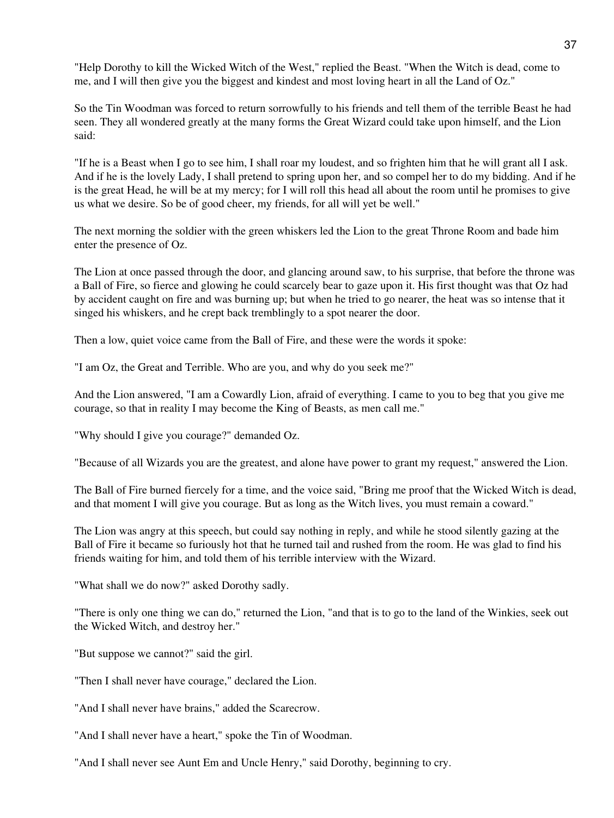"Help Dorothy to kill the Wicked Witch of the West," replied the Beast. "When the Witch is dead, come to me, and I will then give you the biggest and kindest and most loving heart in all the Land of Oz."

So the Tin Woodman was forced to return sorrowfully to his friends and tell them of the terrible Beast he had seen. They all wondered greatly at the many forms the Great Wizard could take upon himself, and the Lion said:

"If he is a Beast when I go to see him, I shall roar my loudest, and so frighten him that he will grant all I ask. And if he is the lovely Lady, I shall pretend to spring upon her, and so compel her to do my bidding. And if he is the great Head, he will be at my mercy; for I will roll this head all about the room until he promises to give us what we desire. So be of good cheer, my friends, for all will yet be well."

The next morning the soldier with the green whiskers led the Lion to the great Throne Room and bade him enter the presence of Oz.

The Lion at once passed through the door, and glancing around saw, to his surprise, that before the throne was a Ball of Fire, so fierce and glowing he could scarcely bear to gaze upon it. His first thought was that Oz had by accident caught on fire and was burning up; but when he tried to go nearer, the heat was so intense that it singed his whiskers, and he crept back tremblingly to a spot nearer the door.

Then a low, quiet voice came from the Ball of Fire, and these were the words it spoke:

"I am Oz, the Great and Terrible. Who are you, and why do you seek me?"

And the Lion answered, "I am a Cowardly Lion, afraid of everything. I came to you to beg that you give me courage, so that in reality I may become the King of Beasts, as men call me."

"Why should I give you courage?" demanded Oz.

"Because of all Wizards you are the greatest, and alone have power to grant my request," answered the Lion.

The Ball of Fire burned fiercely for a time, and the voice said, "Bring me proof that the Wicked Witch is dead, and that moment I will give you courage. But as long as the Witch lives, you must remain a coward."

The Lion was angry at this speech, but could say nothing in reply, and while he stood silently gazing at the Ball of Fire it became so furiously hot that he turned tail and rushed from the room. He was glad to find his friends waiting for him, and told them of his terrible interview with the Wizard.

"What shall we do now?" asked Dorothy sadly.

"There is only one thing we can do," returned the Lion, "and that is to go to the land of the Winkies, seek out the Wicked Witch, and destroy her."

"But suppose we cannot?" said the girl.

"Then I shall never have courage," declared the Lion.

"And I shall never have brains," added the Scarecrow.

"And I shall never have a heart," spoke the Tin of Woodman.

"And I shall never see Aunt Em and Uncle Henry," said Dorothy, beginning to cry.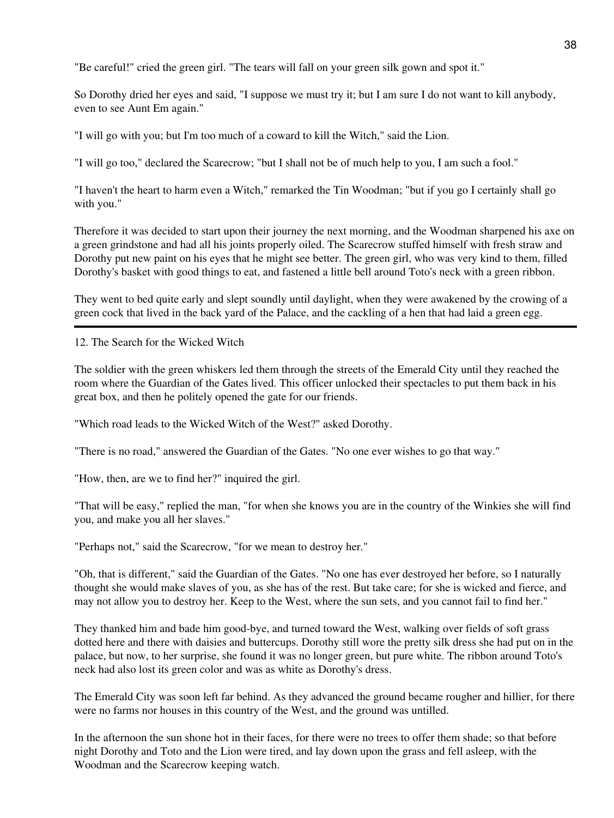"Be careful!" cried the green girl. "The tears will fall on your green silk gown and spot it."

So Dorothy dried her eyes and said, "I suppose we must try it; but I am sure I do not want to kill anybody, even to see Aunt Em again."

"I will go with you; but I'm too much of a coward to kill the Witch," said the Lion.

"I will go too," declared the Scarecrow; "but I shall not be of much help to you, I am such a fool."

"I haven't the heart to harm even a Witch," remarked the Tin Woodman; "but if you go I certainly shall go with you."

Therefore it was decided to start upon their journey the next morning, and the Woodman sharpened his axe on a green grindstone and had all his joints properly oiled. The Scarecrow stuffed himself with fresh straw and Dorothy put new paint on his eyes that he might see better. The green girl, who was very kind to them, filled Dorothy's basket with good things to eat, and fastened a little bell around Toto's neck with a green ribbon.

They went to bed quite early and slept soundly until daylight, when they were awakened by the crowing of a green cock that lived in the back yard of the Palace, and the cackling of a hen that had laid a green egg.

12. The Search for the Wicked Witch

The soldier with the green whiskers led them through the streets of the Emerald City until they reached the room where the Guardian of the Gates lived. This officer unlocked their spectacles to put them back in his great box, and then he politely opened the gate for our friends.

"Which road leads to the Wicked Witch of the West?" asked Dorothy.

"There is no road," answered the Guardian of the Gates. "No one ever wishes to go that way."

"How, then, are we to find her?" inquired the girl.

"That will be easy," replied the man, "for when she knows you are in the country of the Winkies she will find you, and make you all her slaves."

"Perhaps not," said the Scarecrow, "for we mean to destroy her."

"Oh, that is different," said the Guardian of the Gates. "No one has ever destroyed her before, so I naturally thought she would make slaves of you, as she has of the rest. But take care; for she is wicked and fierce, and may not allow you to destroy her. Keep to the West, where the sun sets, and you cannot fail to find her."

They thanked him and bade him good-bye, and turned toward the West, walking over fields of soft grass dotted here and there with daisies and buttercups. Dorothy still wore the pretty silk dress she had put on in the palace, but now, to her surprise, she found it was no longer green, but pure white. The ribbon around Toto's neck had also lost its green color and was as white as Dorothy's dress.

The Emerald City was soon left far behind. As they advanced the ground became rougher and hillier, for there were no farms nor houses in this country of the West, and the ground was untilled.

In the afternoon the sun shone hot in their faces, for there were no trees to offer them shade; so that before night Dorothy and Toto and the Lion were tired, and lay down upon the grass and fell asleep, with the Woodman and the Scarecrow keeping watch.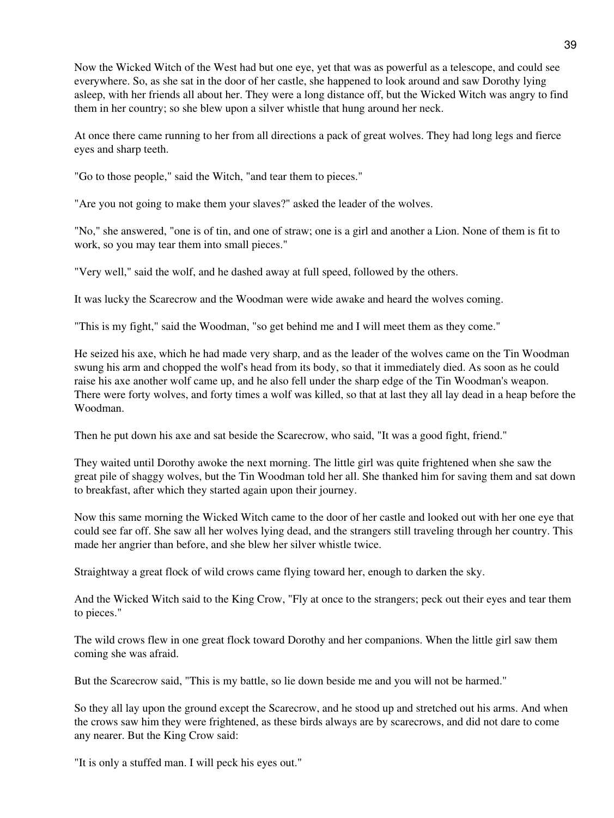Now the Wicked Witch of the West had but one eye, yet that was as powerful as a telescope, and could see everywhere. So, as she sat in the door of her castle, she happened to look around and saw Dorothy lying asleep, with her friends all about her. They were a long distance off, but the Wicked Witch was angry to find them in her country; so she blew upon a silver whistle that hung around her neck.

At once there came running to her from all directions a pack of great wolves. They had long legs and fierce eyes and sharp teeth.

"Go to those people," said the Witch, "and tear them to pieces."

"Are you not going to make them your slaves?" asked the leader of the wolves.

"No," she answered, "one is of tin, and one of straw; one is a girl and another a Lion. None of them is fit to work, so you may tear them into small pieces."

"Very well," said the wolf, and he dashed away at full speed, followed by the others.

It was lucky the Scarecrow and the Woodman were wide awake and heard the wolves coming.

"This is my fight," said the Woodman, "so get behind me and I will meet them as they come."

He seized his axe, which he had made very sharp, and as the leader of the wolves came on the Tin Woodman swung his arm and chopped the wolf's head from its body, so that it immediately died. As soon as he could raise his axe another wolf came up, and he also fell under the sharp edge of the Tin Woodman's weapon. There were forty wolves, and forty times a wolf was killed, so that at last they all lay dead in a heap before the Woodman.

Then he put down his axe and sat beside the Scarecrow, who said, "It was a good fight, friend."

They waited until Dorothy awoke the next morning. The little girl was quite frightened when she saw the great pile of shaggy wolves, but the Tin Woodman told her all. She thanked him for saving them and sat down to breakfast, after which they started again upon their journey.

Now this same morning the Wicked Witch came to the door of her castle and looked out with her one eye that could see far off. She saw all her wolves lying dead, and the strangers still traveling through her country. This made her angrier than before, and she blew her silver whistle twice.

Straightway a great flock of wild crows came flying toward her, enough to darken the sky.

And the Wicked Witch said to the King Crow, "Fly at once to the strangers; peck out their eyes and tear them to pieces."

The wild crows flew in one great flock toward Dorothy and her companions. When the little girl saw them coming she was afraid.

But the Scarecrow said, "This is my battle, so lie down beside me and you will not be harmed."

So they all lay upon the ground except the Scarecrow, and he stood up and stretched out his arms. And when the crows saw him they were frightened, as these birds always are by scarecrows, and did not dare to come any nearer. But the King Crow said:

"It is only a stuffed man. I will peck his eyes out."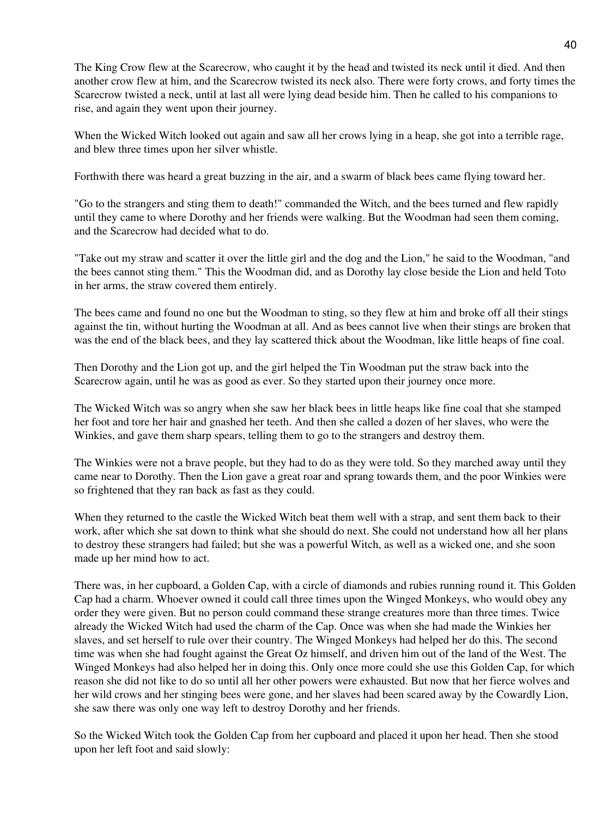The King Crow flew at the Scarecrow, who caught it by the head and twisted its neck until it died. And then another crow flew at him, and the Scarecrow twisted its neck also. There were forty crows, and forty times the Scarecrow twisted a neck, until at last all were lying dead beside him. Then he called to his companions to rise, and again they went upon their journey.

When the Wicked Witch looked out again and saw all her crows lying in a heap, she got into a terrible rage, and blew three times upon her silver whistle.

Forthwith there was heard a great buzzing in the air, and a swarm of black bees came flying toward her.

"Go to the strangers and sting them to death!" commanded the Witch, and the bees turned and flew rapidly until they came to where Dorothy and her friends were walking. But the Woodman had seen them coming, and the Scarecrow had decided what to do.

"Take out my straw and scatter it over the little girl and the dog and the Lion," he said to the Woodman, "and the bees cannot sting them." This the Woodman did, and as Dorothy lay close beside the Lion and held Toto in her arms, the straw covered them entirely.

The bees came and found no one but the Woodman to sting, so they flew at him and broke off all their stings against the tin, without hurting the Woodman at all. And as bees cannot live when their stings are broken that was the end of the black bees, and they lay scattered thick about the Woodman, like little heaps of fine coal.

Then Dorothy and the Lion got up, and the girl helped the Tin Woodman put the straw back into the Scarecrow again, until he was as good as ever. So they started upon their journey once more.

The Wicked Witch was so angry when she saw her black bees in little heaps like fine coal that she stamped her foot and tore her hair and gnashed her teeth. And then she called a dozen of her slaves, who were the Winkies, and gave them sharp spears, telling them to go to the strangers and destroy them.

The Winkies were not a brave people, but they had to do as they were told. So they marched away until they came near to Dorothy. Then the Lion gave a great roar and sprang towards them, and the poor Winkies were so frightened that they ran back as fast as they could.

When they returned to the castle the Wicked Witch beat them well with a strap, and sent them back to their work, after which she sat down to think what she should do next. She could not understand how all her plans to destroy these strangers had failed; but she was a powerful Witch, as well as a wicked one, and she soon made up her mind how to act.

There was, in her cupboard, a Golden Cap, with a circle of diamonds and rubies running round it. This Golden Cap had a charm. Whoever owned it could call three times upon the Winged Monkeys, who would obey any order they were given. But no person could command these strange creatures more than three times. Twice already the Wicked Witch had used the charm of the Cap. Once was when she had made the Winkies her slaves, and set herself to rule over their country. The Winged Monkeys had helped her do this. The second time was when she had fought against the Great Oz himself, and driven him out of the land of the West. The Winged Monkeys had also helped her in doing this. Only once more could she use this Golden Cap, for which reason she did not like to do so until all her other powers were exhausted. But now that her fierce wolves and her wild crows and her stinging bees were gone, and her slaves had been scared away by the Cowardly Lion, she saw there was only one way left to destroy Dorothy and her friends.

So the Wicked Witch took the Golden Cap from her cupboard and placed it upon her head. Then she stood upon her left foot and said slowly: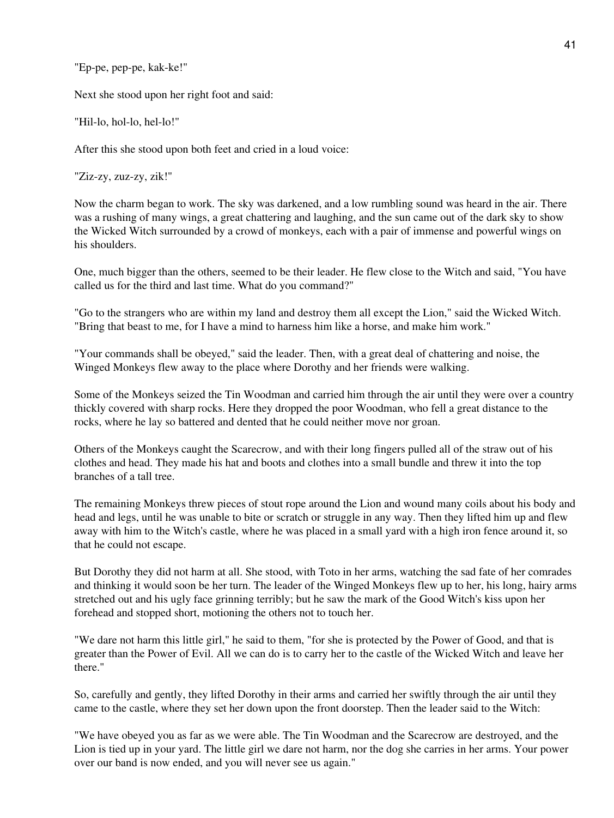"Ep-pe, pep-pe, kak-ke!"

Next she stood upon her right foot and said:

"Hil-lo, hol-lo, hel-lo!"

After this she stood upon both feet and cried in a loud voice:

"Ziz-zy, zuz-zy, zik!"

Now the charm began to work. The sky was darkened, and a low rumbling sound was heard in the air. There was a rushing of many wings, a great chattering and laughing, and the sun came out of the dark sky to show the Wicked Witch surrounded by a crowd of monkeys, each with a pair of immense and powerful wings on his shoulders.

One, much bigger than the others, seemed to be their leader. He flew close to the Witch and said, "You have called us for the third and last time. What do you command?"

"Go to the strangers who are within my land and destroy them all except the Lion," said the Wicked Witch. "Bring that beast to me, for I have a mind to harness him like a horse, and make him work."

"Your commands shall be obeyed," said the leader. Then, with a great deal of chattering and noise, the Winged Monkeys flew away to the place where Dorothy and her friends were walking.

Some of the Monkeys seized the Tin Woodman and carried him through the air until they were over a country thickly covered with sharp rocks. Here they dropped the poor Woodman, who fell a great distance to the rocks, where he lay so battered and dented that he could neither move nor groan.

Others of the Monkeys caught the Scarecrow, and with their long fingers pulled all of the straw out of his clothes and head. They made his hat and boots and clothes into a small bundle and threw it into the top branches of a tall tree.

The remaining Monkeys threw pieces of stout rope around the Lion and wound many coils about his body and head and legs, until he was unable to bite or scratch or struggle in any way. Then they lifted him up and flew away with him to the Witch's castle, where he was placed in a small yard with a high iron fence around it, so that he could not escape.

But Dorothy they did not harm at all. She stood, with Toto in her arms, watching the sad fate of her comrades and thinking it would soon be her turn. The leader of the Winged Monkeys flew up to her, his long, hairy arms stretched out and his ugly face grinning terribly; but he saw the mark of the Good Witch's kiss upon her forehead and stopped short, motioning the others not to touch her.

"We dare not harm this little girl," he said to them, "for she is protected by the Power of Good, and that is greater than the Power of Evil. All we can do is to carry her to the castle of the Wicked Witch and leave her there."

So, carefully and gently, they lifted Dorothy in their arms and carried her swiftly through the air until they came to the castle, where they set her down upon the front doorstep. Then the leader said to the Witch:

"We have obeyed you as far as we were able. The Tin Woodman and the Scarecrow are destroyed, and the Lion is tied up in your yard. The little girl we dare not harm, nor the dog she carries in her arms. Your power over our band is now ended, and you will never see us again."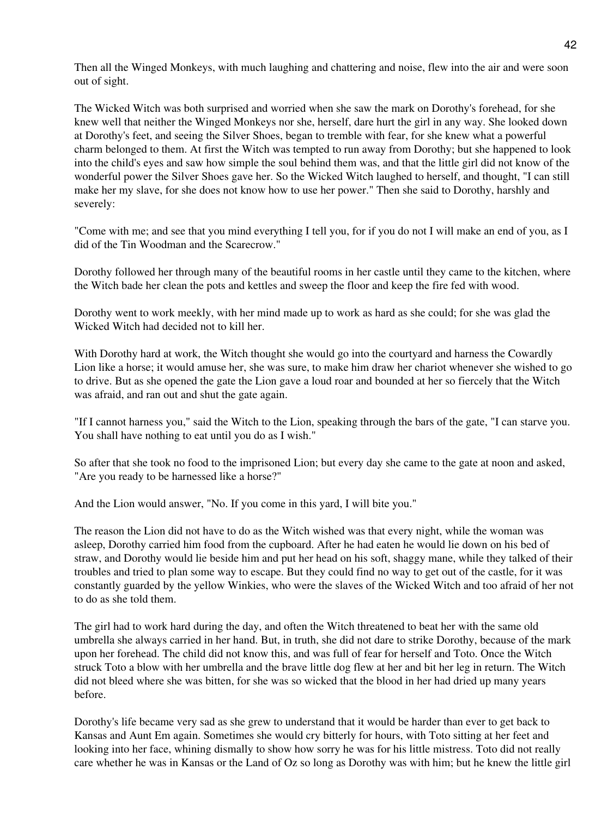Then all the Winged Monkeys, with much laughing and chattering and noise, flew into the air and were soon out of sight.

The Wicked Witch was both surprised and worried when she saw the mark on Dorothy's forehead, for she knew well that neither the Winged Monkeys nor she, herself, dare hurt the girl in any way. She looked down at Dorothy's feet, and seeing the Silver Shoes, began to tremble with fear, for she knew what a powerful charm belonged to them. At first the Witch was tempted to run away from Dorothy; but she happened to look into the child's eyes and saw how simple the soul behind them was, and that the little girl did not know of the wonderful power the Silver Shoes gave her. So the Wicked Witch laughed to herself, and thought, "I can still make her my slave, for she does not know how to use her power." Then she said to Dorothy, harshly and severely:

"Come with me; and see that you mind everything I tell you, for if you do not I will make an end of you, as I did of the Tin Woodman and the Scarecrow."

Dorothy followed her through many of the beautiful rooms in her castle until they came to the kitchen, where the Witch bade her clean the pots and kettles and sweep the floor and keep the fire fed with wood.

Dorothy went to work meekly, with her mind made up to work as hard as she could; for she was glad the Wicked Witch had decided not to kill her.

With Dorothy hard at work, the Witch thought she would go into the courtyard and harness the Cowardly Lion like a horse; it would amuse her, she was sure, to make him draw her chariot whenever she wished to go to drive. But as she opened the gate the Lion gave a loud roar and bounded at her so fiercely that the Witch was afraid, and ran out and shut the gate again.

"If I cannot harness you," said the Witch to the Lion, speaking through the bars of the gate, "I can starve you. You shall have nothing to eat until you do as I wish."

So after that she took no food to the imprisoned Lion; but every day she came to the gate at noon and asked, "Are you ready to be harnessed like a horse?"

And the Lion would answer, "No. If you come in this yard, I will bite you."

The reason the Lion did not have to do as the Witch wished was that every night, while the woman was asleep, Dorothy carried him food from the cupboard. After he had eaten he would lie down on his bed of straw, and Dorothy would lie beside him and put her head on his soft, shaggy mane, while they talked of their troubles and tried to plan some way to escape. But they could find no way to get out of the castle, for it was constantly guarded by the yellow Winkies, who were the slaves of the Wicked Witch and too afraid of her not to do as she told them.

The girl had to work hard during the day, and often the Witch threatened to beat her with the same old umbrella she always carried in her hand. But, in truth, she did not dare to strike Dorothy, because of the mark upon her forehead. The child did not know this, and was full of fear for herself and Toto. Once the Witch struck Toto a blow with her umbrella and the brave little dog flew at her and bit her leg in return. The Witch did not bleed where she was bitten, for she was so wicked that the blood in her had dried up many years before.

Dorothy's life became very sad as she grew to understand that it would be harder than ever to get back to Kansas and Aunt Em again. Sometimes she would cry bitterly for hours, with Toto sitting at her feet and looking into her face, whining dismally to show how sorry he was for his little mistress. Toto did not really care whether he was in Kansas or the Land of Oz so long as Dorothy was with him; but he knew the little girl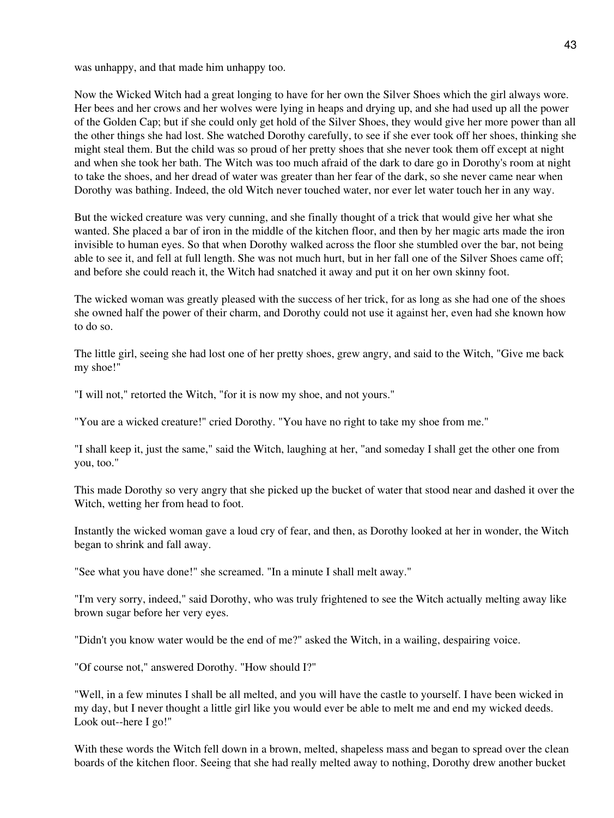was unhappy, and that made him unhappy too.

Now the Wicked Witch had a great longing to have for her own the Silver Shoes which the girl always wore. Her bees and her crows and her wolves were lying in heaps and drying up, and she had used up all the power of the Golden Cap; but if she could only get hold of the Silver Shoes, they would give her more power than all the other things she had lost. She watched Dorothy carefully, to see if she ever took off her shoes, thinking she might steal them. But the child was so proud of her pretty shoes that she never took them off except at night and when she took her bath. The Witch was too much afraid of the dark to dare go in Dorothy's room at night to take the shoes, and her dread of water was greater than her fear of the dark, so she never came near when Dorothy was bathing. Indeed, the old Witch never touched water, nor ever let water touch her in any way.

But the wicked creature was very cunning, and she finally thought of a trick that would give her what she wanted. She placed a bar of iron in the middle of the kitchen floor, and then by her magic arts made the iron invisible to human eyes. So that when Dorothy walked across the floor she stumbled over the bar, not being able to see it, and fell at full length. She was not much hurt, but in her fall one of the Silver Shoes came off; and before she could reach it, the Witch had snatched it away and put it on her own skinny foot.

The wicked woman was greatly pleased with the success of her trick, for as long as she had one of the shoes she owned half the power of their charm, and Dorothy could not use it against her, even had she known how to do so.

The little girl, seeing she had lost one of her pretty shoes, grew angry, and said to the Witch, "Give me back my shoe!"

"I will not," retorted the Witch, "for it is now my shoe, and not yours."

"You are a wicked creature!" cried Dorothy. "You have no right to take my shoe from me."

"I shall keep it, just the same," said the Witch, laughing at her, "and someday I shall get the other one from you, too."

This made Dorothy so very angry that she picked up the bucket of water that stood near and dashed it over the Witch, wetting her from head to foot.

Instantly the wicked woman gave a loud cry of fear, and then, as Dorothy looked at her in wonder, the Witch began to shrink and fall away.

"See what you have done!" she screamed. "In a minute I shall melt away."

"I'm very sorry, indeed," said Dorothy, who was truly frightened to see the Witch actually melting away like brown sugar before her very eyes.

"Didn't you know water would be the end of me?" asked the Witch, in a wailing, despairing voice.

"Of course not," answered Dorothy. "How should I?"

"Well, in a few minutes I shall be all melted, and you will have the castle to yourself. I have been wicked in my day, but I never thought a little girl like you would ever be able to melt me and end my wicked deeds. Look out--here I go!"

With these words the Witch fell down in a brown, melted, shapeless mass and began to spread over the clean boards of the kitchen floor. Seeing that she had really melted away to nothing, Dorothy drew another bucket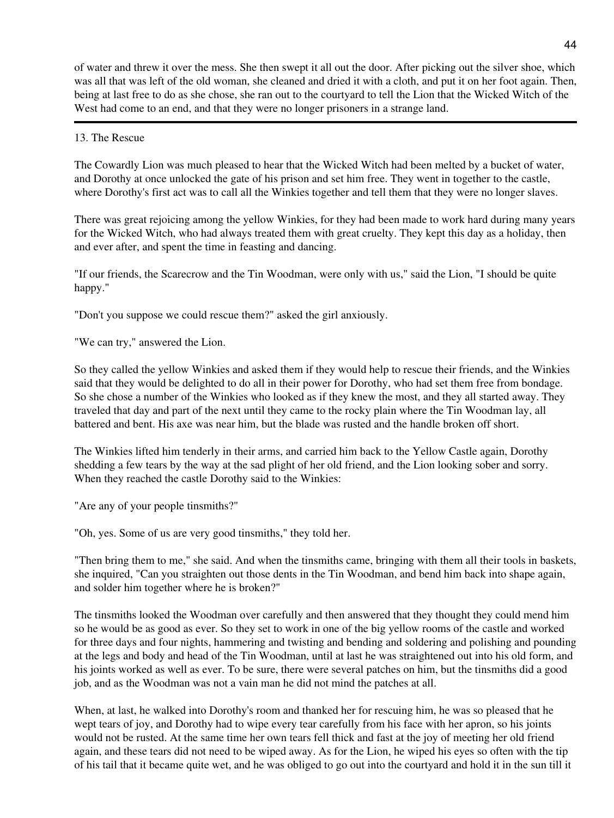of water and threw it over the mess. She then swept it all out the door. After picking out the silver shoe, which was all that was left of the old woman, she cleaned and dried it with a cloth, and put it on her foot again. Then, being at last free to do as she chose, she ran out to the courtyard to tell the Lion that the Wicked Witch of the West had come to an end, and that they were no longer prisoners in a strange land.

### 13. The Rescue

The Cowardly Lion was much pleased to hear that the Wicked Witch had been melted by a bucket of water, and Dorothy at once unlocked the gate of his prison and set him free. They went in together to the castle, where Dorothy's first act was to call all the Winkies together and tell them that they were no longer slaves.

There was great rejoicing among the yellow Winkies, for they had been made to work hard during many years for the Wicked Witch, who had always treated them with great cruelty. They kept this day as a holiday, then and ever after, and spent the time in feasting and dancing.

"If our friends, the Scarecrow and the Tin Woodman, were only with us," said the Lion, "I should be quite happy."

"Don't you suppose we could rescue them?" asked the girl anxiously.

"We can try," answered the Lion.

So they called the yellow Winkies and asked them if they would help to rescue their friends, and the Winkies said that they would be delighted to do all in their power for Dorothy, who had set them free from bondage. So she chose a number of the Winkies who looked as if they knew the most, and they all started away. They traveled that day and part of the next until they came to the rocky plain where the Tin Woodman lay, all battered and bent. His axe was near him, but the blade was rusted and the handle broken off short.

The Winkies lifted him tenderly in their arms, and carried him back to the Yellow Castle again, Dorothy shedding a few tears by the way at the sad plight of her old friend, and the Lion looking sober and sorry. When they reached the castle Dorothy said to the Winkies:

"Are any of your people tinsmiths?"

"Oh, yes. Some of us are very good tinsmiths," they told her.

"Then bring them to me," she said. And when the tinsmiths came, bringing with them all their tools in baskets, she inquired, "Can you straighten out those dents in the Tin Woodman, and bend him back into shape again, and solder him together where he is broken?"

The tinsmiths looked the Woodman over carefully and then answered that they thought they could mend him so he would be as good as ever. So they set to work in one of the big yellow rooms of the castle and worked for three days and four nights, hammering and twisting and bending and soldering and polishing and pounding at the legs and body and head of the Tin Woodman, until at last he was straightened out into his old form, and his joints worked as well as ever. To be sure, there were several patches on him, but the tinsmiths did a good job, and as the Woodman was not a vain man he did not mind the patches at all.

When, at last, he walked into Dorothy's room and thanked her for rescuing him, he was so pleased that he wept tears of joy, and Dorothy had to wipe every tear carefully from his face with her apron, so his joints would not be rusted. At the same time her own tears fell thick and fast at the joy of meeting her old friend again, and these tears did not need to be wiped away. As for the Lion, he wiped his eyes so often with the tip of his tail that it became quite wet, and he was obliged to go out into the courtyard and hold it in the sun till it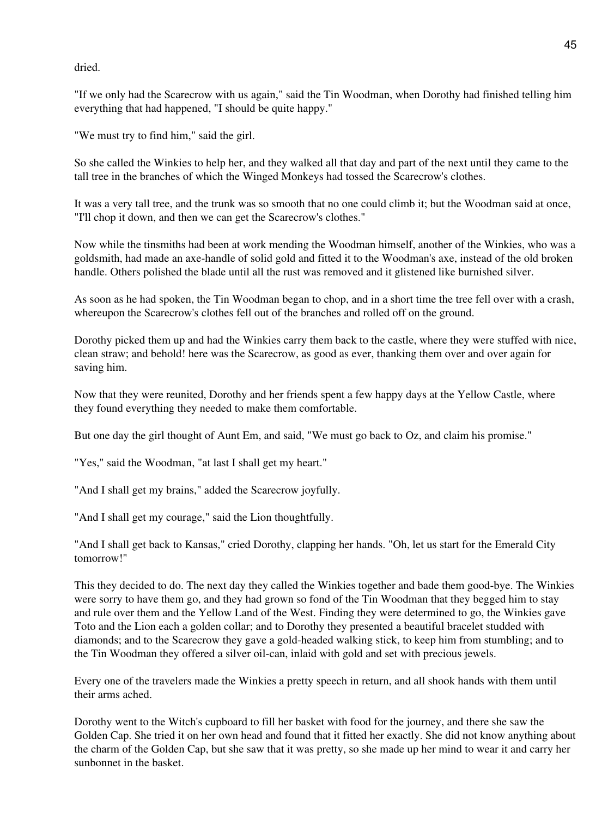dried.

"If we only had the Scarecrow with us again," said the Tin Woodman, when Dorothy had finished telling him everything that had happened, "I should be quite happy."

"We must try to find him," said the girl.

So she called the Winkies to help her, and they walked all that day and part of the next until they came to the tall tree in the branches of which the Winged Monkeys had tossed the Scarecrow's clothes.

It was a very tall tree, and the trunk was so smooth that no one could climb it; but the Woodman said at once, "I'll chop it down, and then we can get the Scarecrow's clothes."

Now while the tinsmiths had been at work mending the Woodman himself, another of the Winkies, who was a goldsmith, had made an axe-handle of solid gold and fitted it to the Woodman's axe, instead of the old broken handle. Others polished the blade until all the rust was removed and it glistened like burnished silver.

As soon as he had spoken, the Tin Woodman began to chop, and in a short time the tree fell over with a crash, whereupon the Scarecrow's clothes fell out of the branches and rolled off on the ground.

Dorothy picked them up and had the Winkies carry them back to the castle, where they were stuffed with nice, clean straw; and behold! here was the Scarecrow, as good as ever, thanking them over and over again for saving him.

Now that they were reunited, Dorothy and her friends spent a few happy days at the Yellow Castle, where they found everything they needed to make them comfortable.

But one day the girl thought of Aunt Em, and said, "We must go back to Oz, and claim his promise."

"Yes," said the Woodman, "at last I shall get my heart."

"And I shall get my brains," added the Scarecrow joyfully.

"And I shall get my courage," said the Lion thoughtfully.

"And I shall get back to Kansas," cried Dorothy, clapping her hands. "Oh, let us start for the Emerald City tomorrow!"

This they decided to do. The next day they called the Winkies together and bade them good-bye. The Winkies were sorry to have them go, and they had grown so fond of the Tin Woodman that they begged him to stay and rule over them and the Yellow Land of the West. Finding they were determined to go, the Winkies gave Toto and the Lion each a golden collar; and to Dorothy they presented a beautiful bracelet studded with diamonds; and to the Scarecrow they gave a gold-headed walking stick, to keep him from stumbling; and to the Tin Woodman they offered a silver oil-can, inlaid with gold and set with precious jewels.

Every one of the travelers made the Winkies a pretty speech in return, and all shook hands with them until their arms ached.

Dorothy went to the Witch's cupboard to fill her basket with food for the journey, and there she saw the Golden Cap. She tried it on her own head and found that it fitted her exactly. She did not know anything about the charm of the Golden Cap, but she saw that it was pretty, so she made up her mind to wear it and carry her sunbonnet in the basket.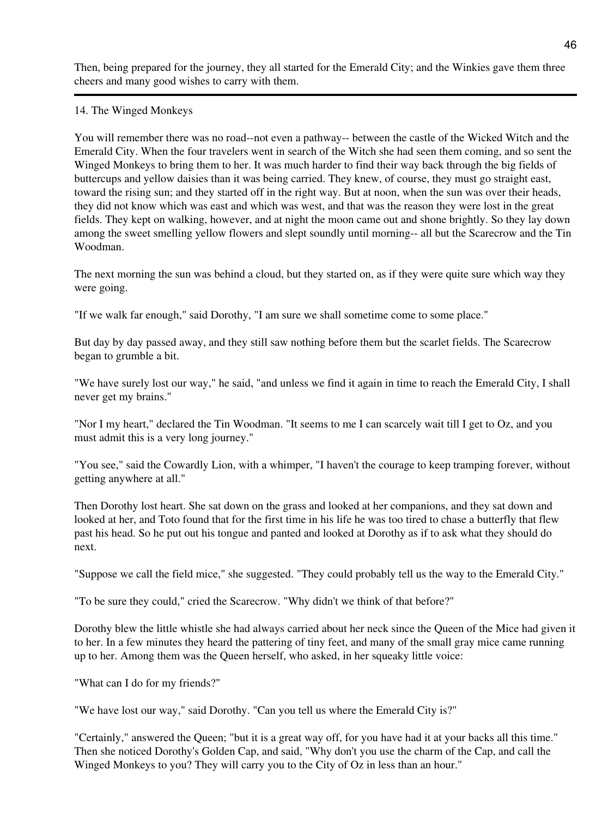Then, being prepared for the journey, they all started for the Emerald City; and the Winkies gave them three cheers and many good wishes to carry with them.

### 14. The Winged Monkeys

You will remember there was no road--not even a pathway-- between the castle of the Wicked Witch and the Emerald City. When the four travelers went in search of the Witch she had seen them coming, and so sent the Winged Monkeys to bring them to her. It was much harder to find their way back through the big fields of buttercups and yellow daisies than it was being carried. They knew, of course, they must go straight east, toward the rising sun; and they started off in the right way. But at noon, when the sun was over their heads, they did not know which was east and which was west, and that was the reason they were lost in the great fields. They kept on walking, however, and at night the moon came out and shone brightly. So they lay down among the sweet smelling yellow flowers and slept soundly until morning-- all but the Scarecrow and the Tin Woodman.

The next morning the sun was behind a cloud, but they started on, as if they were quite sure which way they were going.

"If we walk far enough," said Dorothy, "I am sure we shall sometime come to some place."

But day by day passed away, and they still saw nothing before them but the scarlet fields. The Scarecrow began to grumble a bit.

"We have surely lost our way," he said, "and unless we find it again in time to reach the Emerald City, I shall never get my brains."

"Nor I my heart," declared the Tin Woodman. "It seems to me I can scarcely wait till I get to Oz, and you must admit this is a very long journey."

"You see," said the Cowardly Lion, with a whimper, "I haven't the courage to keep tramping forever, without getting anywhere at all."

Then Dorothy lost heart. She sat down on the grass and looked at her companions, and they sat down and looked at her, and Toto found that for the first time in his life he was too tired to chase a butterfly that flew past his head. So he put out his tongue and panted and looked at Dorothy as if to ask what they should do next.

"Suppose we call the field mice," she suggested. "They could probably tell us the way to the Emerald City."

"To be sure they could," cried the Scarecrow. "Why didn't we think of that before?"

Dorothy blew the little whistle she had always carried about her neck since the Queen of the Mice had given it to her. In a few minutes they heard the pattering of tiny feet, and many of the small gray mice came running up to her. Among them was the Queen herself, who asked, in her squeaky little voice:

"What can I do for my friends?"

"We have lost our way," said Dorothy. "Can you tell us where the Emerald City is?"

"Certainly," answered the Queen; "but it is a great way off, for you have had it at your backs all this time." Then she noticed Dorothy's Golden Cap, and said, "Why don't you use the charm of the Cap, and call the Winged Monkeys to you? They will carry you to the City of Oz in less than an hour."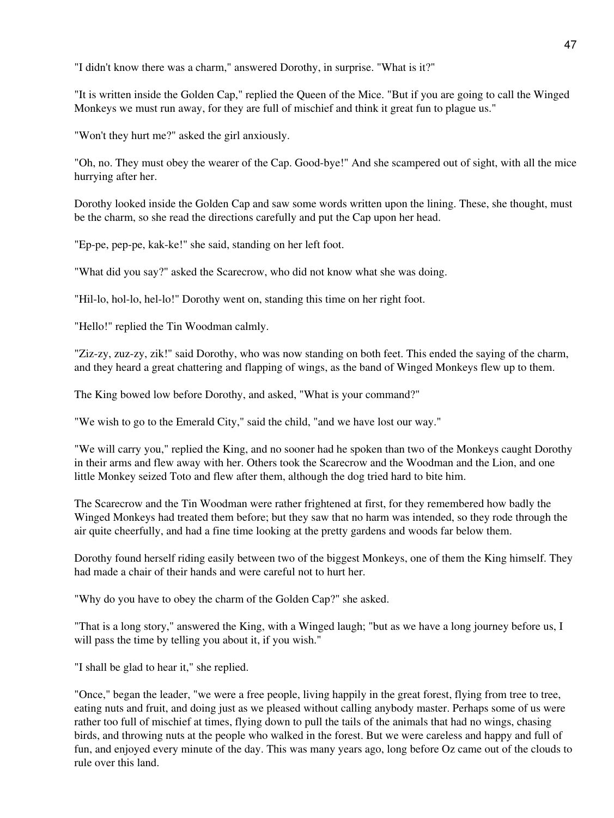"I didn't know there was a charm," answered Dorothy, in surprise. "What is it?"

"It is written inside the Golden Cap," replied the Queen of the Mice. "But if you are going to call the Winged Monkeys we must run away, for they are full of mischief and think it great fun to plague us."

"Won't they hurt me?" asked the girl anxiously.

"Oh, no. They must obey the wearer of the Cap. Good-bye!" And she scampered out of sight, with all the mice hurrying after her.

Dorothy looked inside the Golden Cap and saw some words written upon the lining. These, she thought, must be the charm, so she read the directions carefully and put the Cap upon her head.

"Ep-pe, pep-pe, kak-ke!" she said, standing on her left foot.

"What did you say?" asked the Scarecrow, who did not know what she was doing.

"Hil-lo, hol-lo, hel-lo!" Dorothy went on, standing this time on her right foot.

"Hello!" replied the Tin Woodman calmly.

"Ziz-zy, zuz-zy, zik!" said Dorothy, who was now standing on both feet. This ended the saying of the charm, and they heard a great chattering and flapping of wings, as the band of Winged Monkeys flew up to them.

The King bowed low before Dorothy, and asked, "What is your command?"

"We wish to go to the Emerald City," said the child, "and we have lost our way."

"We will carry you," replied the King, and no sooner had he spoken than two of the Monkeys caught Dorothy in their arms and flew away with her. Others took the Scarecrow and the Woodman and the Lion, and one little Monkey seized Toto and flew after them, although the dog tried hard to bite him.

The Scarecrow and the Tin Woodman were rather frightened at first, for they remembered how badly the Winged Monkeys had treated them before; but they saw that no harm was intended, so they rode through the air quite cheerfully, and had a fine time looking at the pretty gardens and woods far below them.

Dorothy found herself riding easily between two of the biggest Monkeys, one of them the King himself. They had made a chair of their hands and were careful not to hurt her.

"Why do you have to obey the charm of the Golden Cap?" she asked.

"That is a long story," answered the King, with a Winged laugh; "but as we have a long journey before us, I will pass the time by telling you about it, if you wish."

"I shall be glad to hear it," she replied.

"Once," began the leader, "we were a free people, living happily in the great forest, flying from tree to tree, eating nuts and fruit, and doing just as we pleased without calling anybody master. Perhaps some of us were rather too full of mischief at times, flying down to pull the tails of the animals that had no wings, chasing birds, and throwing nuts at the people who walked in the forest. But we were careless and happy and full of fun, and enjoyed every minute of the day. This was many years ago, long before Oz came out of the clouds to rule over this land.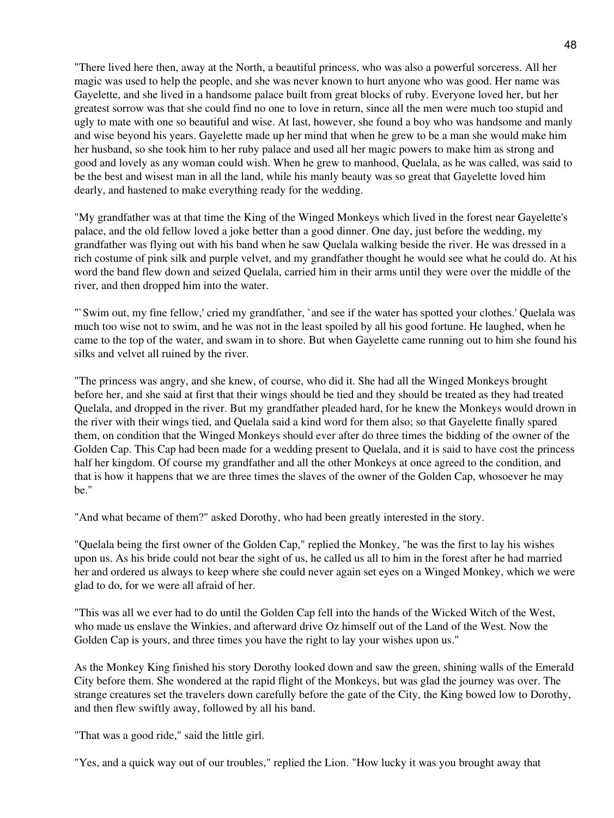"There lived here then, away at the North, a beautiful princess, who was also a powerful sorceress. All her magic was used to help the people, and she was never known to hurt anyone who was good. Her name was Gayelette, and she lived in a handsome palace built from great blocks of ruby. Everyone loved her, but her greatest sorrow was that she could find no one to love in return, since all the men were much too stupid and ugly to mate with one so beautiful and wise. At last, however, she found a boy who was handsome and manly and wise beyond his years. Gayelette made up her mind that when he grew to be a man she would make him her husband, so she took him to her ruby palace and used all her magic powers to make him as strong and good and lovely as any woman could wish. When he grew to manhood, Quelala, as he was called, was said to be the best and wisest man in all the land, while his manly beauty was so great that Gayelette loved him dearly, and hastened to make everything ready for the wedding.

"My grandfather was at that time the King of the Winged Monkeys which lived in the forest near Gayelette's palace, and the old fellow loved a joke better than a good dinner. One day, just before the wedding, my grandfather was flying out with his band when he saw Quelala walking beside the river. He was dressed in a rich costume of pink silk and purple velvet, and my grandfather thought he would see what he could do. At his word the band flew down and seized Quelala, carried him in their arms until they were over the middle of the river, and then dropped him into the water.

"`Swim out, my fine fellow,' cried my grandfather, `and see if the water has spotted your clothes.' Quelala was much too wise not to swim, and he was not in the least spoiled by all his good fortune. He laughed, when he came to the top of the water, and swam in to shore. But when Gayelette came running out to him she found his silks and velvet all ruined by the river.

"The princess was angry, and she knew, of course, who did it. She had all the Winged Monkeys brought before her, and she said at first that their wings should be tied and they should be treated as they had treated Quelala, and dropped in the river. But my grandfather pleaded hard, for he knew the Monkeys would drown in the river with their wings tied, and Quelala said a kind word for them also; so that Gayelette finally spared them, on condition that the Winged Monkeys should ever after do three times the bidding of the owner of the Golden Cap. This Cap had been made for a wedding present to Quelala, and it is said to have cost the princess half her kingdom. Of course my grandfather and all the other Monkeys at once agreed to the condition, and that is how it happens that we are three times the slaves of the owner of the Golden Cap, whosoever he may be."

"And what became of them?" asked Dorothy, who had been greatly interested in the story.

"Quelala being the first owner of the Golden Cap," replied the Monkey, "he was the first to lay his wishes upon us. As his bride could not bear the sight of us, he called us all to him in the forest after he had married her and ordered us always to keep where she could never again set eyes on a Winged Monkey, which we were glad to do, for we were all afraid of her.

"This was all we ever had to do until the Golden Cap fell into the hands of the Wicked Witch of the West, who made us enslave the Winkies, and afterward drive Oz himself out of the Land of the West. Now the Golden Cap is yours, and three times you have the right to lay your wishes upon us."

As the Monkey King finished his story Dorothy looked down and saw the green, shining walls of the Emerald City before them. She wondered at the rapid flight of the Monkeys, but was glad the journey was over. The strange creatures set the travelers down carefully before the gate of the City, the King bowed low to Dorothy, and then flew swiftly away, followed by all his band.

"That was a good ride," said the little girl.

"Yes, and a quick way out of our troubles," replied the Lion. "How lucky it was you brought away that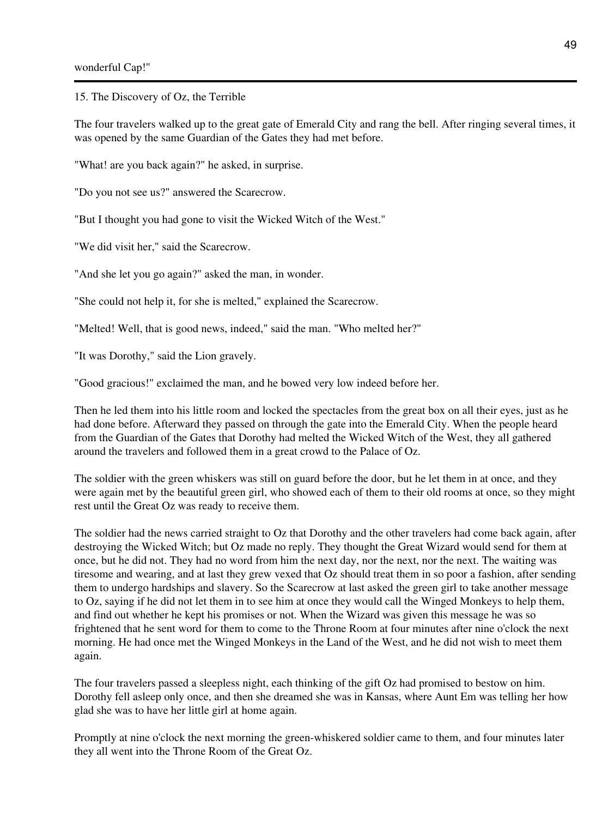15. The Discovery of Oz, the Terrible

The four travelers walked up to the great gate of Emerald City and rang the bell. After ringing several times, it was opened by the same Guardian of the Gates they had met before.

"What! are you back again?" he asked, in surprise.

"Do you not see us?" answered the Scarecrow.

"But I thought you had gone to visit the Wicked Witch of the West."

"We did visit her," said the Scarecrow.

"And she let you go again?" asked the man, in wonder.

"She could not help it, for she is melted," explained the Scarecrow.

"Melted! Well, that is good news, indeed," said the man. "Who melted her?"

"It was Dorothy," said the Lion gravely.

"Good gracious!" exclaimed the man, and he bowed very low indeed before her.

Then he led them into his little room and locked the spectacles from the great box on all their eyes, just as he had done before. Afterward they passed on through the gate into the Emerald City. When the people heard from the Guardian of the Gates that Dorothy had melted the Wicked Witch of the West, they all gathered around the travelers and followed them in a great crowd to the Palace of Oz.

The soldier with the green whiskers was still on guard before the door, but he let them in at once, and they were again met by the beautiful green girl, who showed each of them to their old rooms at once, so they might rest until the Great Oz was ready to receive them.

The soldier had the news carried straight to Oz that Dorothy and the other travelers had come back again, after destroying the Wicked Witch; but Oz made no reply. They thought the Great Wizard would send for them at once, but he did not. They had no word from him the next day, nor the next, nor the next. The waiting was tiresome and wearing, and at last they grew vexed that Oz should treat them in so poor a fashion, after sending them to undergo hardships and slavery. So the Scarecrow at last asked the green girl to take another message to Oz, saying if he did not let them in to see him at once they would call the Winged Monkeys to help them, and find out whether he kept his promises or not. When the Wizard was given this message he was so frightened that he sent word for them to come to the Throne Room at four minutes after nine o'clock the next morning. He had once met the Winged Monkeys in the Land of the West, and he did not wish to meet them again.

The four travelers passed a sleepless night, each thinking of the gift Oz had promised to bestow on him. Dorothy fell asleep only once, and then she dreamed she was in Kansas, where Aunt Em was telling her how glad she was to have her little girl at home again.

Promptly at nine o'clock the next morning the green-whiskered soldier came to them, and four minutes later they all went into the Throne Room of the Great Oz.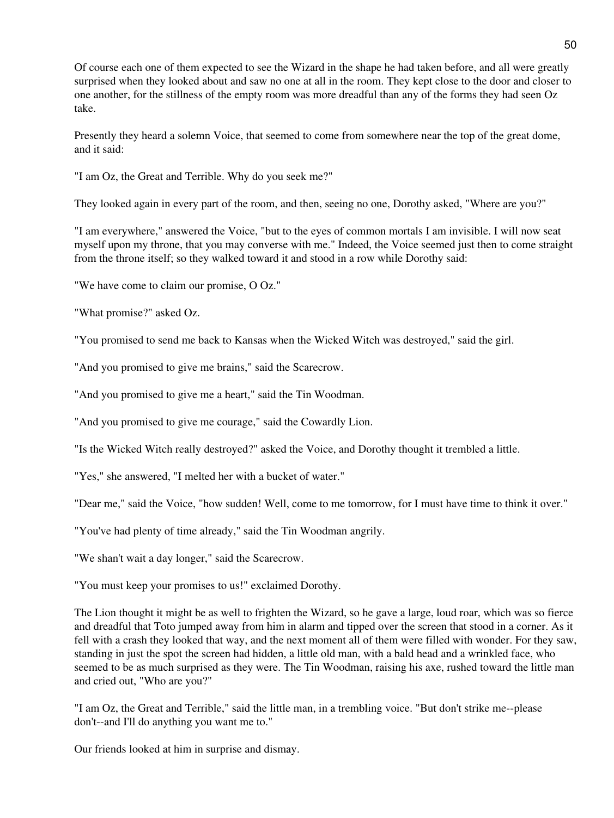Of course each one of them expected to see the Wizard in the shape he had taken before, and all were greatly surprised when they looked about and saw no one at all in the room. They kept close to the door and closer to one another, for the stillness of the empty room was more dreadful than any of the forms they had seen Oz take.

Presently they heard a solemn Voice, that seemed to come from somewhere near the top of the great dome, and it said:

"I am Oz, the Great and Terrible. Why do you seek me?"

They looked again in every part of the room, and then, seeing no one, Dorothy asked, "Where are you?"

"I am everywhere," answered the Voice, "but to the eyes of common mortals I am invisible. I will now seat myself upon my throne, that you may converse with me." Indeed, the Voice seemed just then to come straight from the throne itself; so they walked toward it and stood in a row while Dorothy said:

"We have come to claim our promise, O Oz."

"What promise?" asked Oz.

"You promised to send me back to Kansas when the Wicked Witch was destroyed," said the girl.

"And you promised to give me brains," said the Scarecrow.

"And you promised to give me a heart," said the Tin Woodman.

"And you promised to give me courage," said the Cowardly Lion.

"Is the Wicked Witch really destroyed?" asked the Voice, and Dorothy thought it trembled a little.

"Yes," she answered, "I melted her with a bucket of water."

"Dear me," said the Voice, "how sudden! Well, come to me tomorrow, for I must have time to think it over."

"You've had plenty of time already," said the Tin Woodman angrily.

"We shan't wait a day longer," said the Scarecrow.

"You must keep your promises to us!" exclaimed Dorothy.

The Lion thought it might be as well to frighten the Wizard, so he gave a large, loud roar, which was so fierce and dreadful that Toto jumped away from him in alarm and tipped over the screen that stood in a corner. As it fell with a crash they looked that way, and the next moment all of them were filled with wonder. For they saw, standing in just the spot the screen had hidden, a little old man, with a bald head and a wrinkled face, who seemed to be as much surprised as they were. The Tin Woodman, raising his axe, rushed toward the little man and cried out, "Who are you?"

"I am Oz, the Great and Terrible," said the little man, in a trembling voice. "But don't strike me--please don't--and I'll do anything you want me to."

Our friends looked at him in surprise and dismay.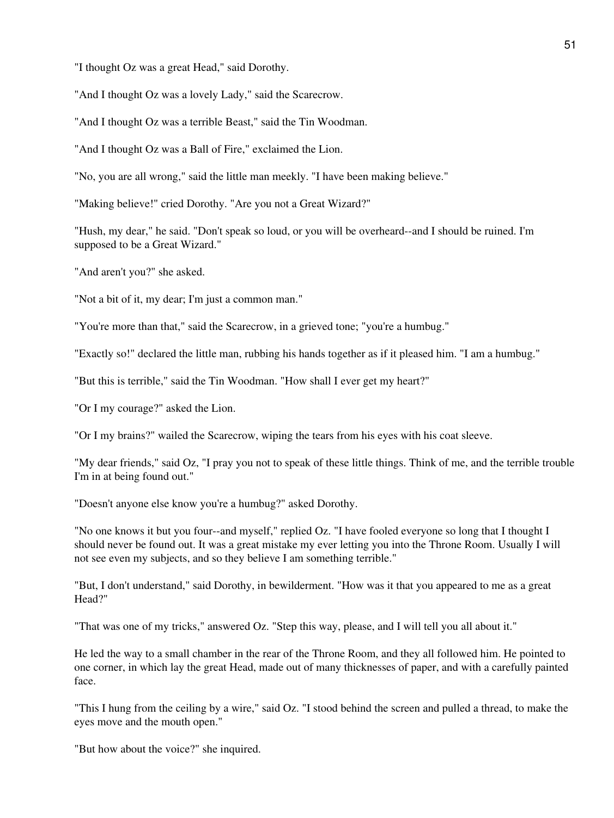"I thought Oz was a great Head," said Dorothy.

"And I thought Oz was a lovely Lady," said the Scarecrow.

"And I thought Oz was a terrible Beast," said the Tin Woodman.

"And I thought Oz was a Ball of Fire," exclaimed the Lion.

"No, you are all wrong," said the little man meekly. "I have been making believe."

"Making believe!" cried Dorothy. "Are you not a Great Wizard?"

"Hush, my dear," he said. "Don't speak so loud, or you will be overheard--and I should be ruined. I'm supposed to be a Great Wizard."

"And aren't you?" she asked.

"Not a bit of it, my dear; I'm just a common man."

"You're more than that," said the Scarecrow, in a grieved tone; "you're a humbug."

"Exactly so!" declared the little man, rubbing his hands together as if it pleased him. "I am a humbug."

"But this is terrible," said the Tin Woodman. "How shall I ever get my heart?"

"Or I my courage?" asked the Lion.

"Or I my brains?" wailed the Scarecrow, wiping the tears from his eyes with his coat sleeve.

"My dear friends," said Oz, "I pray you not to speak of these little things. Think of me, and the terrible trouble I'm in at being found out."

"Doesn't anyone else know you're a humbug?" asked Dorothy.

"No one knows it but you four--and myself," replied Oz. "I have fooled everyone so long that I thought I should never be found out. It was a great mistake my ever letting you into the Throne Room. Usually I will not see even my subjects, and so they believe I am something terrible."

"But, I don't understand," said Dorothy, in bewilderment. "How was it that you appeared to me as a great Head?"

"That was one of my tricks," answered Oz. "Step this way, please, and I will tell you all about it."

He led the way to a small chamber in the rear of the Throne Room, and they all followed him. He pointed to one corner, in which lay the great Head, made out of many thicknesses of paper, and with a carefully painted face.

"This I hung from the ceiling by a wire," said Oz. "I stood behind the screen and pulled a thread, to make the eyes move and the mouth open."

"But how about the voice?" she inquired.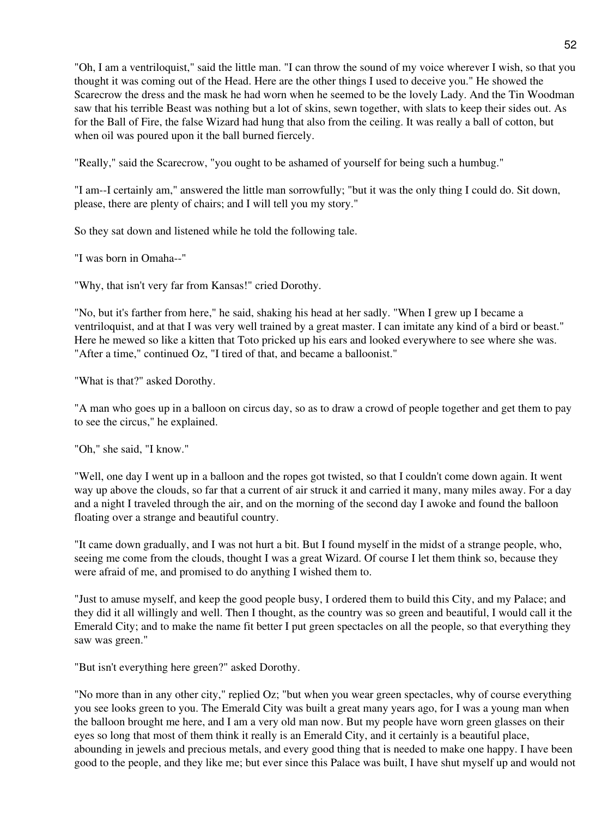"Oh, I am a ventriloquist," said the little man. "I can throw the sound of my voice wherever I wish, so that you thought it was coming out of the Head. Here are the other things I used to deceive you." He showed the Scarecrow the dress and the mask he had worn when he seemed to be the lovely Lady. And the Tin Woodman saw that his terrible Beast was nothing but a lot of skins, sewn together, with slats to keep their sides out. As for the Ball of Fire, the false Wizard had hung that also from the ceiling. It was really a ball of cotton, but when oil was poured upon it the ball burned fiercely.

"Really," said the Scarecrow, "you ought to be ashamed of yourself for being such a humbug."

"I am--I certainly am," answered the little man sorrowfully; "but it was the only thing I could do. Sit down, please, there are plenty of chairs; and I will tell you my story."

So they sat down and listened while he told the following tale.

"I was born in Omaha--"

"Why, that isn't very far from Kansas!" cried Dorothy.

"No, but it's farther from here," he said, shaking his head at her sadly. "When I grew up I became a ventriloquist, and at that I was very well trained by a great master. I can imitate any kind of a bird or beast." Here he mewed so like a kitten that Toto pricked up his ears and looked everywhere to see where she was. "After a time," continued Oz, "I tired of that, and became a balloonist."

"What is that?" asked Dorothy.

"A man who goes up in a balloon on circus day, so as to draw a crowd of people together and get them to pay to see the circus," he explained.

"Oh," she said, "I know."

"Well, one day I went up in a balloon and the ropes got twisted, so that I couldn't come down again. It went way up above the clouds, so far that a current of air struck it and carried it many, many miles away. For a day and a night I traveled through the air, and on the morning of the second day I awoke and found the balloon floating over a strange and beautiful country.

"It came down gradually, and I was not hurt a bit. But I found myself in the midst of a strange people, who, seeing me come from the clouds, thought I was a great Wizard. Of course I let them think so, because they were afraid of me, and promised to do anything I wished them to.

"Just to amuse myself, and keep the good people busy, I ordered them to build this City, and my Palace; and they did it all willingly and well. Then I thought, as the country was so green and beautiful, I would call it the Emerald City; and to make the name fit better I put green spectacles on all the people, so that everything they saw was green."

"But isn't everything here green?" asked Dorothy.

"No more than in any other city," replied Oz; "but when you wear green spectacles, why of course everything you see looks green to you. The Emerald City was built a great many years ago, for I was a young man when the balloon brought me here, and I am a very old man now. But my people have worn green glasses on their eyes so long that most of them think it really is an Emerald City, and it certainly is a beautiful place, abounding in jewels and precious metals, and every good thing that is needed to make one happy. I have been good to the people, and they like me; but ever since this Palace was built, I have shut myself up and would not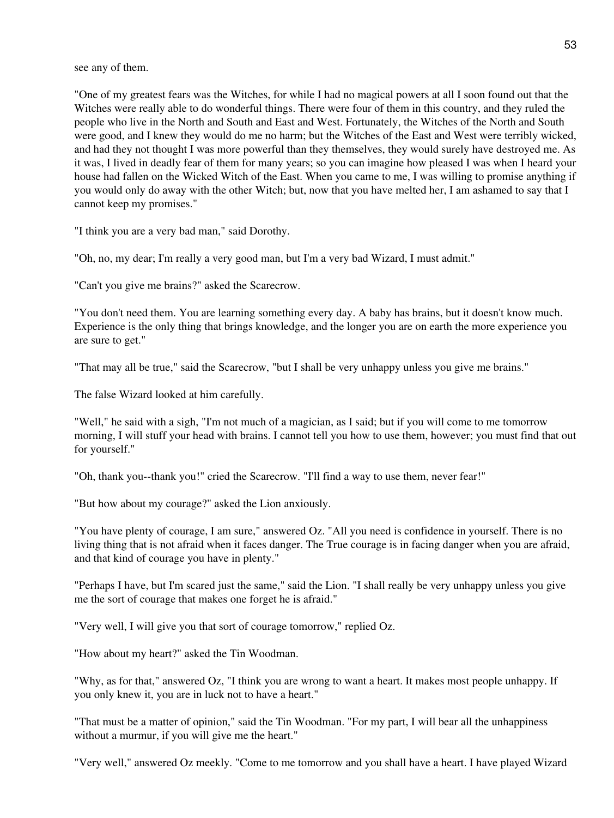see any of them.

"One of my greatest fears was the Witches, for while I had no magical powers at all I soon found out that the Witches were really able to do wonderful things. There were four of them in this country, and they ruled the people who live in the North and South and East and West. Fortunately, the Witches of the North and South were good, and I knew they would do me no harm; but the Witches of the East and West were terribly wicked, and had they not thought I was more powerful than they themselves, they would surely have destroyed me. As it was, I lived in deadly fear of them for many years; so you can imagine how pleased I was when I heard your house had fallen on the Wicked Witch of the East. When you came to me, I was willing to promise anything if you would only do away with the other Witch; but, now that you have melted her, I am ashamed to say that I cannot keep my promises."

"I think you are a very bad man," said Dorothy.

"Oh, no, my dear; I'm really a very good man, but I'm a very bad Wizard, I must admit."

"Can't you give me brains?" asked the Scarecrow.

"You don't need them. You are learning something every day. A baby has brains, but it doesn't know much. Experience is the only thing that brings knowledge, and the longer you are on earth the more experience you are sure to get."

"That may all be true," said the Scarecrow, "but I shall be very unhappy unless you give me brains."

The false Wizard looked at him carefully.

"Well," he said with a sigh, "I'm not much of a magician, as I said; but if you will come to me tomorrow morning, I will stuff your head with brains. I cannot tell you how to use them, however; you must find that out for yourself."

"Oh, thank you--thank you!" cried the Scarecrow. "I'll find a way to use them, never fear!"

"But how about my courage?" asked the Lion anxiously.

"You have plenty of courage, I am sure," answered Oz. "All you need is confidence in yourself. There is no living thing that is not afraid when it faces danger. The True courage is in facing danger when you are afraid, and that kind of courage you have in plenty."

"Perhaps I have, but I'm scared just the same," said the Lion. "I shall really be very unhappy unless you give me the sort of courage that makes one forget he is afraid."

"Very well, I will give you that sort of courage tomorrow," replied Oz.

"How about my heart?" asked the Tin Woodman.

"Why, as for that," answered Oz, "I think you are wrong to want a heart. It makes most people unhappy. If you only knew it, you are in luck not to have a heart."

"That must be a matter of opinion," said the Tin Woodman. "For my part, I will bear all the unhappiness without a murmur, if you will give me the heart."

"Very well," answered Oz meekly. "Come to me tomorrow and you shall have a heart. I have played Wizard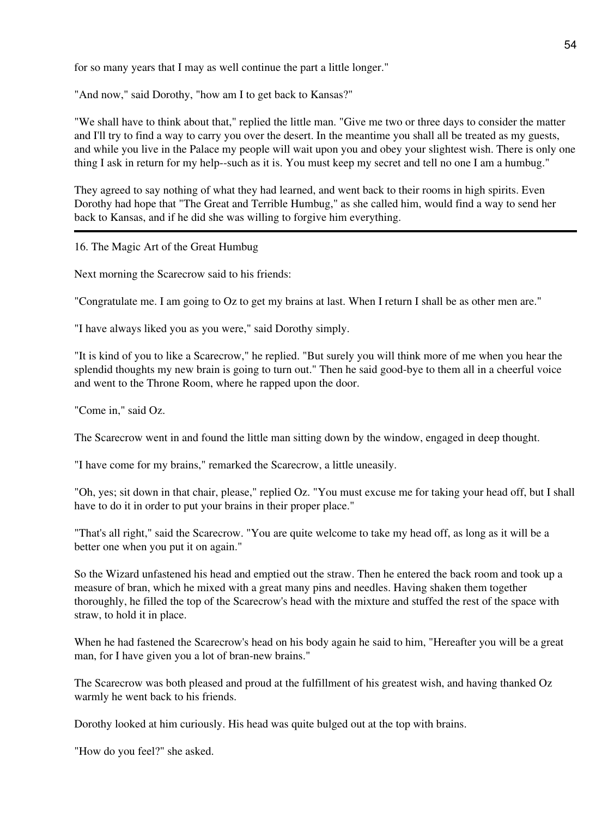for so many years that I may as well continue the part a little longer."

"And now," said Dorothy, "how am I to get back to Kansas?"

"We shall have to think about that," replied the little man. "Give me two or three days to consider the matter and I'll try to find a way to carry you over the desert. In the meantime you shall all be treated as my guests, and while you live in the Palace my people will wait upon you and obey your slightest wish. There is only one thing I ask in return for my help--such as it is. You must keep my secret and tell no one I am a humbug."

They agreed to say nothing of what they had learned, and went back to their rooms in high spirits. Even Dorothy had hope that "The Great and Terrible Humbug," as she called him, would find a way to send her back to Kansas, and if he did she was willing to forgive him everything.

16. The Magic Art of the Great Humbug

Next morning the Scarecrow said to his friends:

"Congratulate me. I am going to Oz to get my brains at last. When I return I shall be as other men are."

"I have always liked you as you were," said Dorothy simply.

"It is kind of you to like a Scarecrow," he replied. "But surely you will think more of me when you hear the splendid thoughts my new brain is going to turn out." Then he said good-bye to them all in a cheerful voice and went to the Throne Room, where he rapped upon the door.

"Come in," said Oz.

The Scarecrow went in and found the little man sitting down by the window, engaged in deep thought.

"I have come for my brains," remarked the Scarecrow, a little uneasily.

"Oh, yes; sit down in that chair, please," replied Oz. "You must excuse me for taking your head off, but I shall have to do it in order to put your brains in their proper place."

"That's all right," said the Scarecrow. "You are quite welcome to take my head off, as long as it will be a better one when you put it on again."

So the Wizard unfastened his head and emptied out the straw. Then he entered the back room and took up a measure of bran, which he mixed with a great many pins and needles. Having shaken them together thoroughly, he filled the top of the Scarecrow's head with the mixture and stuffed the rest of the space with straw, to hold it in place.

When he had fastened the Scarecrow's head on his body again he said to him, "Hereafter you will be a great man, for I have given you a lot of bran-new brains."

The Scarecrow was both pleased and proud at the fulfillment of his greatest wish, and having thanked Oz warmly he went back to his friends.

Dorothy looked at him curiously. His head was quite bulged out at the top with brains.

"How do you feel?" she asked.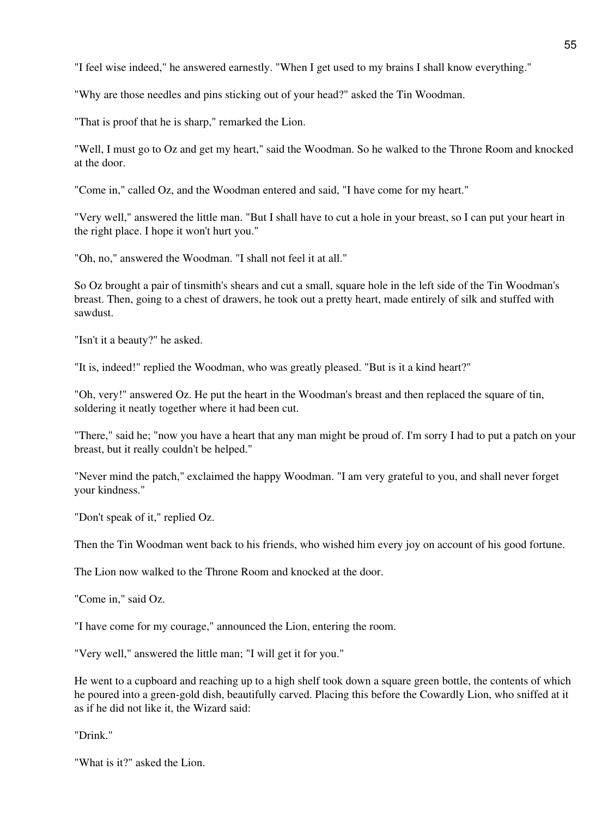"I feel wise indeed," he answered earnestly. "When I get used to my brains I shall know everything."

"Why are those needles and pins sticking out of your head?" asked the Tin Woodman.

"That is proof that he is sharp," remarked the Lion.

"Well, I must go to Oz and get my heart," said the Woodman. So he walked to the Throne Room and knocked at the door.

"Come in," called Oz, and the Woodman entered and said, "I have come for my heart."

"Very well," answered the little man. "But I shall have to cut a hole in your breast, so I can put your heart in the right place. I hope it won't hurt you."

"Oh, no," answered the Woodman. "I shall not feel it at all."

So Oz brought a pair of tinsmith's shears and cut a small, square hole in the left side of the Tin Woodman's breast. Then, going to a chest of drawers, he took out a pretty heart, made entirely of silk and stuffed with sawdust.

"Isn't it a beauty?" he asked.

"It is, indeed!" replied the Woodman, who was greatly pleased. "But is it a kind heart?"

"Oh, very!" answered Oz. He put the heart in the Woodman's breast and then replaced the square of tin, soldering it neatly together where it had been cut.

"There," said he; "now you have a heart that any man might be proud of. I'm sorry I had to put a patch on your breast, but it really couldn't be helped."

"Never mind the patch," exclaimed the happy Woodman. "I am very grateful to you, and shall never forget your kindness."

"Don't speak of it," replied Oz.

Then the Tin Woodman went back to his friends, who wished him every joy on account of his good fortune.

The Lion now walked to the Throne Room and knocked at the door.

"Come in," said Oz.

"I have come for my courage," announced the Lion, entering the room.

"Very well," answered the little man; "I will get it for you."

He went to a cupboard and reaching up to a high shelf took down a square green bottle, the contents of which he poured into a green-gold dish, beautifully carved. Placing this before the Cowardly Lion, who sniffed at it as if he did not like it, the Wizard said:

"Drink."

"What is it?" asked the Lion.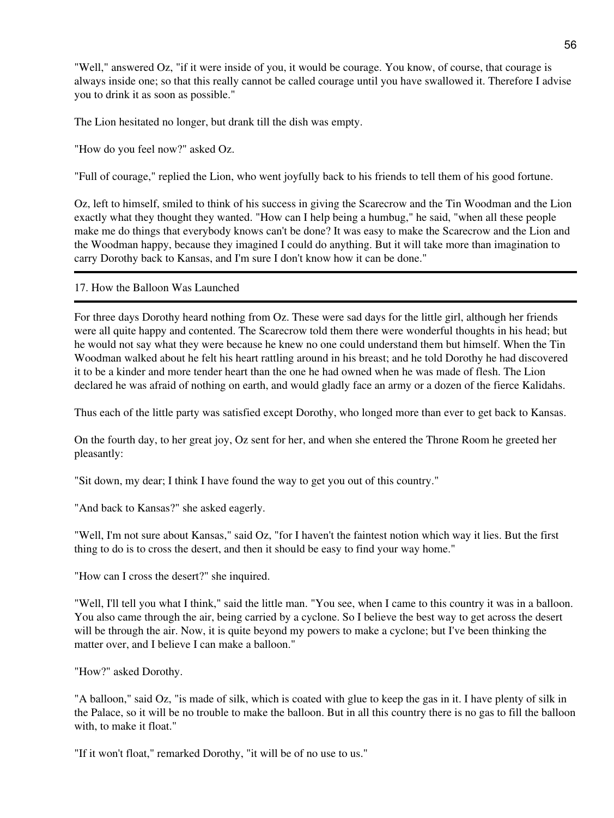"Well," answered Oz, "if it were inside of you, it would be courage. You know, of course, that courage is always inside one; so that this really cannot be called courage until you have swallowed it. Therefore I advise you to drink it as soon as possible."

The Lion hesitated no longer, but drank till the dish was empty.

"How do you feel now?" asked Oz.

"Full of courage," replied the Lion, who went joyfully back to his friends to tell them of his good fortune.

Oz, left to himself, smiled to think of his success in giving the Scarecrow and the Tin Woodman and the Lion exactly what they thought they wanted. "How can I help being a humbug," he said, "when all these people make me do things that everybody knows can't be done? It was easy to make the Scarecrow and the Lion and the Woodman happy, because they imagined I could do anything. But it will take more than imagination to carry Dorothy back to Kansas, and I'm sure I don't know how it can be done."

17. How the Balloon Was Launched

For three days Dorothy heard nothing from Oz. These were sad days for the little girl, although her friends were all quite happy and contented. The Scarecrow told them there were wonderful thoughts in his head; but he would not say what they were because he knew no one could understand them but himself. When the Tin Woodman walked about he felt his heart rattling around in his breast; and he told Dorothy he had discovered it to be a kinder and more tender heart than the one he had owned when he was made of flesh. The Lion declared he was afraid of nothing on earth, and would gladly face an army or a dozen of the fierce Kalidahs.

Thus each of the little party was satisfied except Dorothy, who longed more than ever to get back to Kansas.

On the fourth day, to her great joy, Oz sent for her, and when she entered the Throne Room he greeted her pleasantly:

"Sit down, my dear; I think I have found the way to get you out of this country."

"And back to Kansas?" she asked eagerly.

"Well, I'm not sure about Kansas," said Oz, "for I haven't the faintest notion which way it lies. But the first thing to do is to cross the desert, and then it should be easy to find your way home."

"How can I cross the desert?" she inquired.

"Well, I'll tell you what I think," said the little man. "You see, when I came to this country it was in a balloon. You also came through the air, being carried by a cyclone. So I believe the best way to get across the desert will be through the air. Now, it is quite beyond my powers to make a cyclone; but I've been thinking the matter over, and I believe I can make a balloon."

"How?" asked Dorothy.

"A balloon," said Oz, "is made of silk, which is coated with glue to keep the gas in it. I have plenty of silk in the Palace, so it will be no trouble to make the balloon. But in all this country there is no gas to fill the balloon with, to make it float."

"If it won't float," remarked Dorothy, "it will be of no use to us."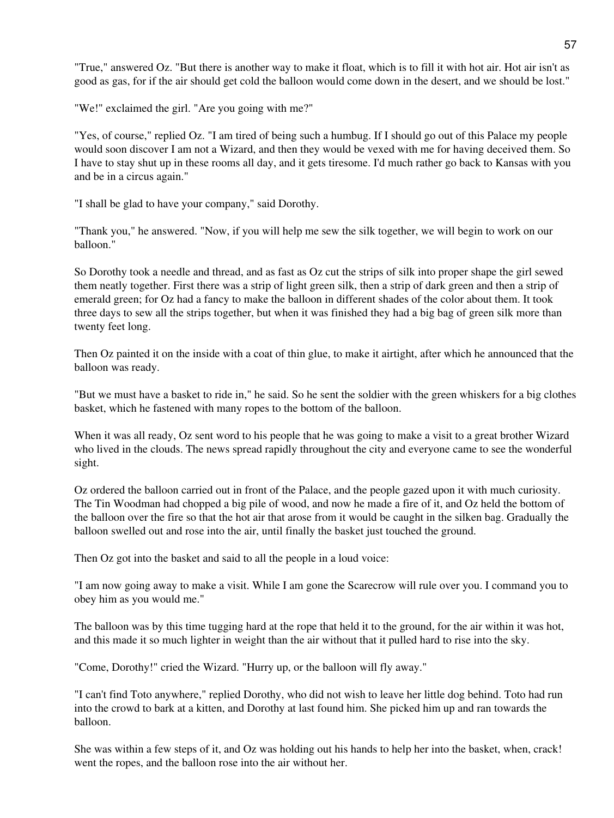"True," answered Oz. "But there is another way to make it float, which is to fill it with hot air. Hot air isn't as good as gas, for if the air should get cold the balloon would come down in the desert, and we should be lost."

"We!" exclaimed the girl. "Are you going with me?"

"Yes, of course," replied Oz. "I am tired of being such a humbug. If I should go out of this Palace my people would soon discover I am not a Wizard, and then they would be vexed with me for having deceived them. So I have to stay shut up in these rooms all day, and it gets tiresome. I'd much rather go back to Kansas with you and be in a circus again."

"I shall be glad to have your company," said Dorothy.

"Thank you," he answered. "Now, if you will help me sew the silk together, we will begin to work on our balloon."

So Dorothy took a needle and thread, and as fast as Oz cut the strips of silk into proper shape the girl sewed them neatly together. First there was a strip of light green silk, then a strip of dark green and then a strip of emerald green; for Oz had a fancy to make the balloon in different shades of the color about them. It took three days to sew all the strips together, but when it was finished they had a big bag of green silk more than twenty feet long.

Then Oz painted it on the inside with a coat of thin glue, to make it airtight, after which he announced that the balloon was ready.

"But we must have a basket to ride in," he said. So he sent the soldier with the green whiskers for a big clothes basket, which he fastened with many ropes to the bottom of the balloon.

When it was all ready, Oz sent word to his people that he was going to make a visit to a great brother Wizard who lived in the clouds. The news spread rapidly throughout the city and everyone came to see the wonderful sight.

Oz ordered the balloon carried out in front of the Palace, and the people gazed upon it with much curiosity. The Tin Woodman had chopped a big pile of wood, and now he made a fire of it, and Oz held the bottom of the balloon over the fire so that the hot air that arose from it would be caught in the silken bag. Gradually the balloon swelled out and rose into the air, until finally the basket just touched the ground.

Then Oz got into the basket and said to all the people in a loud voice:

"I am now going away to make a visit. While I am gone the Scarecrow will rule over you. I command you to obey him as you would me."

The balloon was by this time tugging hard at the rope that held it to the ground, for the air within it was hot, and this made it so much lighter in weight than the air without that it pulled hard to rise into the sky.

"Come, Dorothy!" cried the Wizard. "Hurry up, or the balloon will fly away."

"I can't find Toto anywhere," replied Dorothy, who did not wish to leave her little dog behind. Toto had run into the crowd to bark at a kitten, and Dorothy at last found him. She picked him up and ran towards the balloon.

She was within a few steps of it, and Oz was holding out his hands to help her into the basket, when, crack! went the ropes, and the balloon rose into the air without her.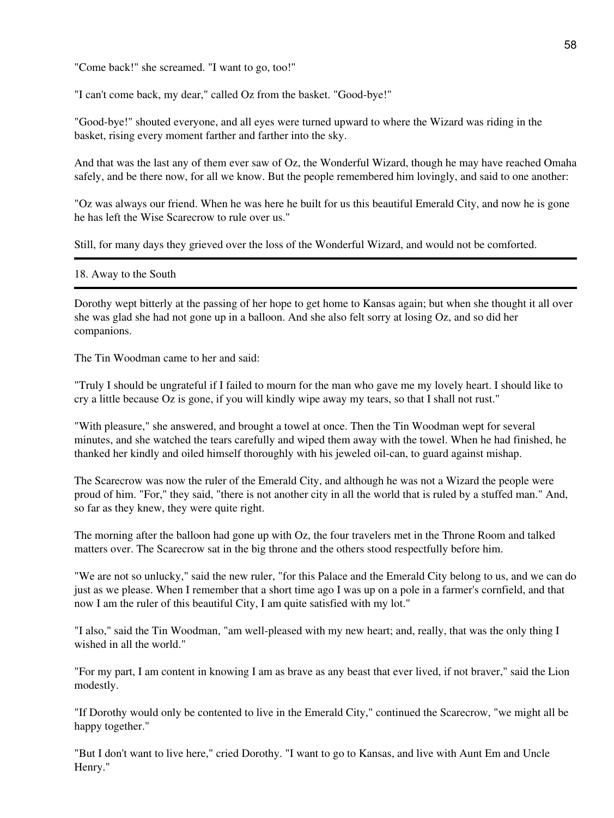"Come back!" she screamed. "I want to go, too!"

"I can't come back, my dear," called Oz from the basket. "Good-bye!"

"Good-bye!" shouted everyone, and all eyes were turned upward to where the Wizard was riding in the basket, rising every moment farther and farther into the sky.

And that was the last any of them ever saw of Oz, the Wonderful Wizard, though he may have reached Omaha safely, and be there now, for all we know. But the people remembered him lovingly, and said to one another:

"Oz was always our friend. When he was here he built for us this beautiful Emerald City, and now he is gone he has left the Wise Scarecrow to rule over us."

Still, for many days they grieved over the loss of the Wonderful Wizard, and would not be comforted.

#### 18. Away to the South

Dorothy wept bitterly at the passing of her hope to get home to Kansas again; but when she thought it all over she was glad she had not gone up in a balloon. And she also felt sorry at losing Oz, and so did her companions.

The Tin Woodman came to her and said:

"Truly I should be ungrateful if I failed to mourn for the man who gave me my lovely heart. I should like to cry a little because Oz is gone, if you will kindly wipe away my tears, so that I shall not rust."

"With pleasure," she answered, and brought a towel at once. Then the Tin Woodman wept for several minutes, and she watched the tears carefully and wiped them away with the towel. When he had finished, he thanked her kindly and oiled himself thoroughly with his jeweled oil-can, to guard against mishap.

The Scarecrow was now the ruler of the Emerald City, and although he was not a Wizard the people were proud of him. "For," they said, "there is not another city in all the world that is ruled by a stuffed man." And, so far as they knew, they were quite right.

The morning after the balloon had gone up with Oz, the four travelers met in the Throne Room and talked matters over. The Scarecrow sat in the big throne and the others stood respectfully before him.

"We are not so unlucky," said the new ruler, "for this Palace and the Emerald City belong to us, and we can do just as we please. When I remember that a short time ago I was up on a pole in a farmer's cornfield, and that now I am the ruler of this beautiful City, I am quite satisfied with my lot."

"I also," said the Tin Woodman, "am well-pleased with my new heart; and, really, that was the only thing I wished in all the world."

"For my part, I am content in knowing I am as brave as any beast that ever lived, if not braver," said the Lion modestly.

"If Dorothy would only be contented to live in the Emerald City," continued the Scarecrow, "we might all be happy together."

"But I don't want to live here," cried Dorothy. "I want to go to Kansas, and live with Aunt Em and Uncle Henry."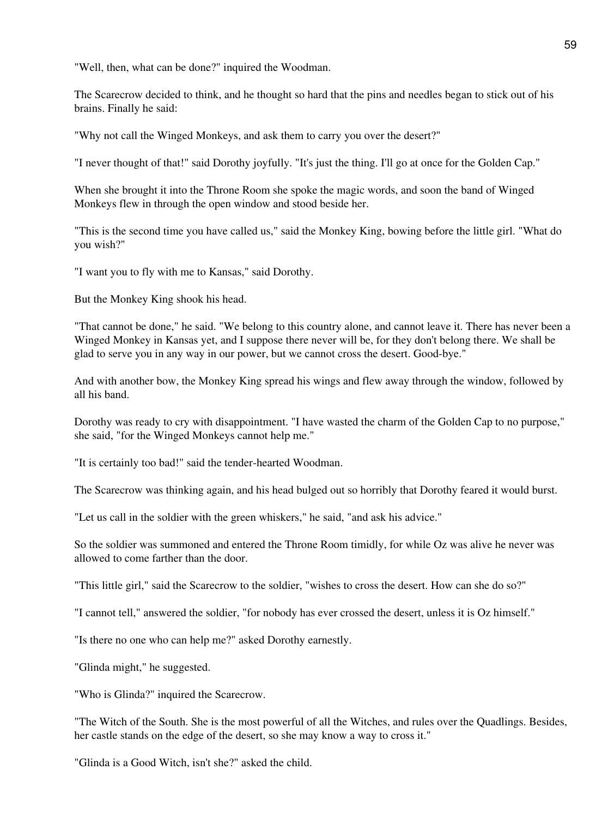"Well, then, what can be done?" inquired the Woodman.

The Scarecrow decided to think, and he thought so hard that the pins and needles began to stick out of his brains. Finally he said:

"Why not call the Winged Monkeys, and ask them to carry you over the desert?"

"I never thought of that!" said Dorothy joyfully. "It's just the thing. I'll go at once for the Golden Cap."

When she brought it into the Throne Room she spoke the magic words, and soon the band of Winged Monkeys flew in through the open window and stood beside her.

"This is the second time you have called us," said the Monkey King, bowing before the little girl. "What do you wish?"

"I want you to fly with me to Kansas," said Dorothy.

But the Monkey King shook his head.

"That cannot be done," he said. "We belong to this country alone, and cannot leave it. There has never been a Winged Monkey in Kansas yet, and I suppose there never will be, for they don't belong there. We shall be glad to serve you in any way in our power, but we cannot cross the desert. Good-bye."

And with another bow, the Monkey King spread his wings and flew away through the window, followed by all his band.

Dorothy was ready to cry with disappointment. "I have wasted the charm of the Golden Cap to no purpose," she said, "for the Winged Monkeys cannot help me."

"It is certainly too bad!" said the tender-hearted Woodman.

The Scarecrow was thinking again, and his head bulged out so horribly that Dorothy feared it would burst.

"Let us call in the soldier with the green whiskers," he said, "and ask his advice."

So the soldier was summoned and entered the Throne Room timidly, for while Oz was alive he never was allowed to come farther than the door.

"This little girl," said the Scarecrow to the soldier, "wishes to cross the desert. How can she do so?"

"I cannot tell," answered the soldier, "for nobody has ever crossed the desert, unless it is Oz himself."

"Is there no one who can help me?" asked Dorothy earnestly.

"Glinda might," he suggested.

"Who is Glinda?" inquired the Scarecrow.

"The Witch of the South. She is the most powerful of all the Witches, and rules over the Quadlings. Besides, her castle stands on the edge of the desert, so she may know a way to cross it."

"Glinda is a Good Witch, isn't she?" asked the child.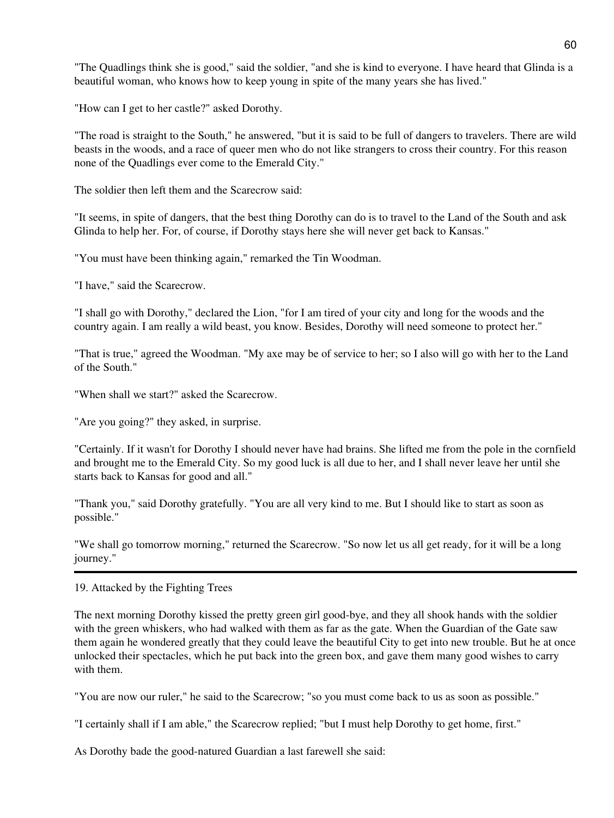"The Quadlings think she is good," said the soldier, "and she is kind to everyone. I have heard that Glinda is a beautiful woman, who knows how to keep young in spite of the many years she has lived."

"How can I get to her castle?" asked Dorothy.

"The road is straight to the South," he answered, "but it is said to be full of dangers to travelers. There are wild beasts in the woods, and a race of queer men who do not like strangers to cross their country. For this reason none of the Quadlings ever come to the Emerald City."

The soldier then left them and the Scarecrow said:

"It seems, in spite of dangers, that the best thing Dorothy can do is to travel to the Land of the South and ask Glinda to help her. For, of course, if Dorothy stays here she will never get back to Kansas."

"You must have been thinking again," remarked the Tin Woodman.

"I have," said the Scarecrow.

"I shall go with Dorothy," declared the Lion, "for I am tired of your city and long for the woods and the country again. I am really a wild beast, you know. Besides, Dorothy will need someone to protect her."

"That is true," agreed the Woodman. "My axe may be of service to her; so I also will go with her to the Land of the South."

"When shall we start?" asked the Scarecrow.

"Are you going?" they asked, in surprise.

"Certainly. If it wasn't for Dorothy I should never have had brains. She lifted me from the pole in the cornfield and brought me to the Emerald City. So my good luck is all due to her, and I shall never leave her until she starts back to Kansas for good and all."

"Thank you," said Dorothy gratefully. "You are all very kind to me. But I should like to start as soon as possible."

"We shall go tomorrow morning," returned the Scarecrow. "So now let us all get ready, for it will be a long journey."

19. Attacked by the Fighting Trees

The next morning Dorothy kissed the pretty green girl good-bye, and they all shook hands with the soldier with the green whiskers, who had walked with them as far as the gate. When the Guardian of the Gate saw them again he wondered greatly that they could leave the beautiful City to get into new trouble. But he at once unlocked their spectacles, which he put back into the green box, and gave them many good wishes to carry with them.

"You are now our ruler," he said to the Scarecrow; "so you must come back to us as soon as possible."

"I certainly shall if I am able," the Scarecrow replied; "but I must help Dorothy to get home, first."

As Dorothy bade the good-natured Guardian a last farewell she said: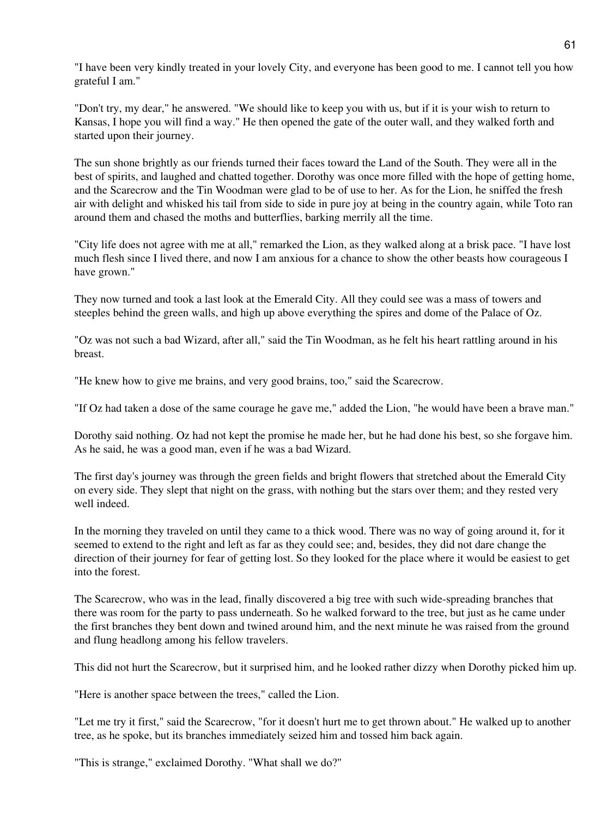"I have been very kindly treated in your lovely City, and everyone has been good to me. I cannot tell you how grateful I am."

"Don't try, my dear," he answered. "We should like to keep you with us, but if it is your wish to return to Kansas, I hope you will find a way." He then opened the gate of the outer wall, and they walked forth and started upon their journey.

The sun shone brightly as our friends turned their faces toward the Land of the South. They were all in the best of spirits, and laughed and chatted together. Dorothy was once more filled with the hope of getting home, and the Scarecrow and the Tin Woodman were glad to be of use to her. As for the Lion, he sniffed the fresh air with delight and whisked his tail from side to side in pure joy at being in the country again, while Toto ran around them and chased the moths and butterflies, barking merrily all the time.

"City life does not agree with me at all," remarked the Lion, as they walked along at a brisk pace. "I have lost much flesh since I lived there, and now I am anxious for a chance to show the other beasts how courageous I have grown."

They now turned and took a last look at the Emerald City. All they could see was a mass of towers and steeples behind the green walls, and high up above everything the spires and dome of the Palace of Oz.

"Oz was not such a bad Wizard, after all," said the Tin Woodman, as he felt his heart rattling around in his breast.

"He knew how to give me brains, and very good brains, too," said the Scarecrow.

"If Oz had taken a dose of the same courage he gave me," added the Lion, "he would have been a brave man."

Dorothy said nothing. Oz had not kept the promise he made her, but he had done his best, so she forgave him. As he said, he was a good man, even if he was a bad Wizard.

The first day's journey was through the green fields and bright flowers that stretched about the Emerald City on every side. They slept that night on the grass, with nothing but the stars over them; and they rested very well indeed.

In the morning they traveled on until they came to a thick wood. There was no way of going around it, for it seemed to extend to the right and left as far as they could see; and, besides, they did not dare change the direction of their journey for fear of getting lost. So they looked for the place where it would be easiest to get into the forest.

The Scarecrow, who was in the lead, finally discovered a big tree with such wide-spreading branches that there was room for the party to pass underneath. So he walked forward to the tree, but just as he came under the first branches they bent down and twined around him, and the next minute he was raised from the ground and flung headlong among his fellow travelers.

This did not hurt the Scarecrow, but it surprised him, and he looked rather dizzy when Dorothy picked him up.

"Here is another space between the trees," called the Lion.

"Let me try it first," said the Scarecrow, "for it doesn't hurt me to get thrown about." He walked up to another tree, as he spoke, but its branches immediately seized him and tossed him back again.

"This is strange," exclaimed Dorothy. "What shall we do?"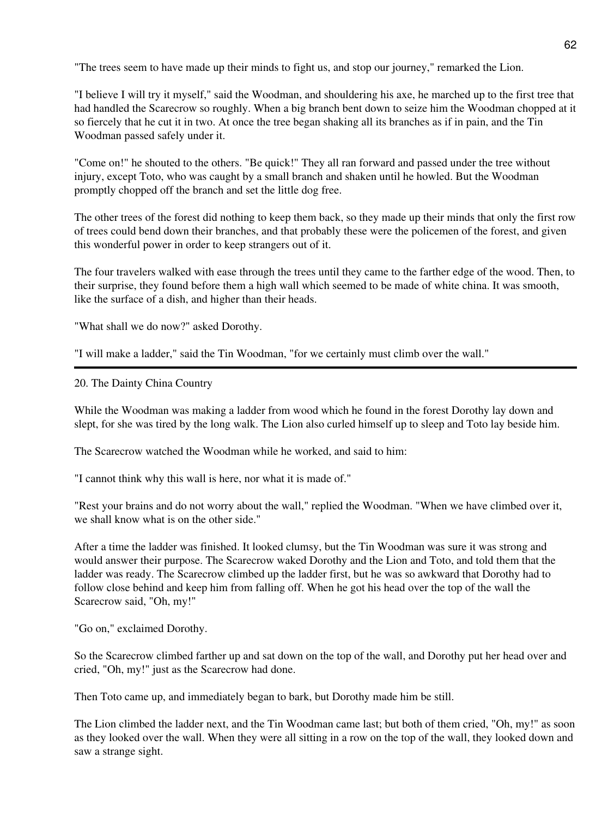"The trees seem to have made up their minds to fight us, and stop our journey," remarked the Lion.

"I believe I will try it myself," said the Woodman, and shouldering his axe, he marched up to the first tree that had handled the Scarecrow so roughly. When a big branch bent down to seize him the Woodman chopped at it so fiercely that he cut it in two. At once the tree began shaking all its branches as if in pain, and the Tin Woodman passed safely under it.

"Come on!" he shouted to the others. "Be quick!" They all ran forward and passed under the tree without injury, except Toto, who was caught by a small branch and shaken until he howled. But the Woodman promptly chopped off the branch and set the little dog free.

The other trees of the forest did nothing to keep them back, so they made up their minds that only the first row of trees could bend down their branches, and that probably these were the policemen of the forest, and given this wonderful power in order to keep strangers out of it.

The four travelers walked with ease through the trees until they came to the farther edge of the wood. Then, to their surprise, they found before them a high wall which seemed to be made of white china. It was smooth, like the surface of a dish, and higher than their heads.

"What shall we do now?" asked Dorothy.

"I will make a ladder," said the Tin Woodman, "for we certainly must climb over the wall."

## 20. The Dainty China Country

While the Woodman was making a ladder from wood which he found in the forest Dorothy lay down and slept, for she was tired by the long walk. The Lion also curled himself up to sleep and Toto lay beside him.

The Scarecrow watched the Woodman while he worked, and said to him:

"I cannot think why this wall is here, nor what it is made of."

"Rest your brains and do not worry about the wall," replied the Woodman. "When we have climbed over it, we shall know what is on the other side."

After a time the ladder was finished. It looked clumsy, but the Tin Woodman was sure it was strong and would answer their purpose. The Scarecrow waked Dorothy and the Lion and Toto, and told them that the ladder was ready. The Scarecrow climbed up the ladder first, but he was so awkward that Dorothy had to follow close behind and keep him from falling off. When he got his head over the top of the wall the Scarecrow said, "Oh, my!"

"Go on," exclaimed Dorothy.

So the Scarecrow climbed farther up and sat down on the top of the wall, and Dorothy put her head over and cried, "Oh, my!" just as the Scarecrow had done.

Then Toto came up, and immediately began to bark, but Dorothy made him be still.

The Lion climbed the ladder next, and the Tin Woodman came last; but both of them cried, "Oh, my!" as soon as they looked over the wall. When they were all sitting in a row on the top of the wall, they looked down and saw a strange sight.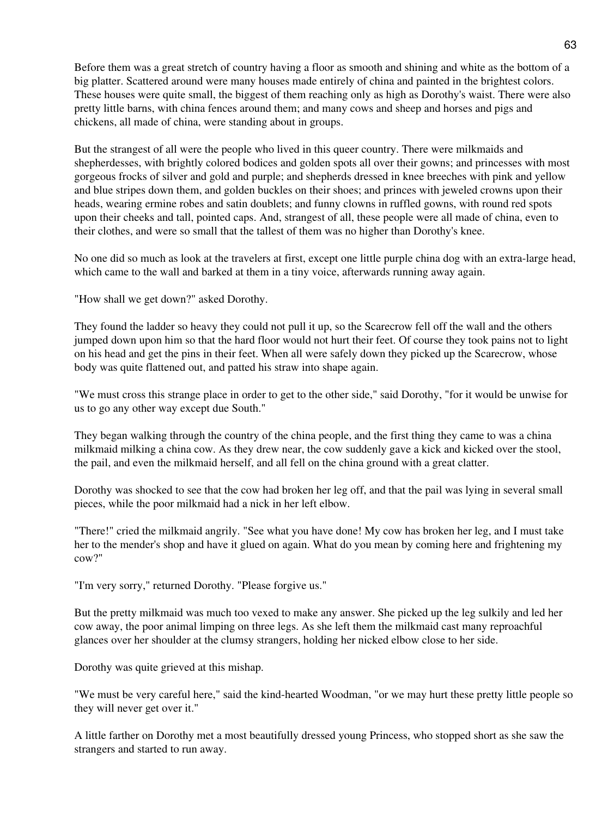Before them was a great stretch of country having a floor as smooth and shining and white as the bottom of a big platter. Scattered around were many houses made entirely of china and painted in the brightest colors. These houses were quite small, the biggest of them reaching only as high as Dorothy's waist. There were also pretty little barns, with china fences around them; and many cows and sheep and horses and pigs and chickens, all made of china, were standing about in groups.

But the strangest of all were the people who lived in this queer country. There were milkmaids and shepherdesses, with brightly colored bodices and golden spots all over their gowns; and princesses with most gorgeous frocks of silver and gold and purple; and shepherds dressed in knee breeches with pink and yellow and blue stripes down them, and golden buckles on their shoes; and princes with jeweled crowns upon their heads, wearing ermine robes and satin doublets; and funny clowns in ruffled gowns, with round red spots upon their cheeks and tall, pointed caps. And, strangest of all, these people were all made of china, even to their clothes, and were so small that the tallest of them was no higher than Dorothy's knee.

No one did so much as look at the travelers at first, except one little purple china dog with an extra-large head, which came to the wall and barked at them in a tiny voice, afterwards running away again.

"How shall we get down?" asked Dorothy.

They found the ladder so heavy they could not pull it up, so the Scarecrow fell off the wall and the others jumped down upon him so that the hard floor would not hurt their feet. Of course they took pains not to light on his head and get the pins in their feet. When all were safely down they picked up the Scarecrow, whose body was quite flattened out, and patted his straw into shape again.

"We must cross this strange place in order to get to the other side," said Dorothy, "for it would be unwise for us to go any other way except due South."

They began walking through the country of the china people, and the first thing they came to was a china milkmaid milking a china cow. As they drew near, the cow suddenly gave a kick and kicked over the stool, the pail, and even the milkmaid herself, and all fell on the china ground with a great clatter.

Dorothy was shocked to see that the cow had broken her leg off, and that the pail was lying in several small pieces, while the poor milkmaid had a nick in her left elbow.

"There!" cried the milkmaid angrily. "See what you have done! My cow has broken her leg, and I must take her to the mender's shop and have it glued on again. What do you mean by coming here and frightening my cow?"

"I'm very sorry," returned Dorothy. "Please forgive us."

But the pretty milkmaid was much too vexed to make any answer. She picked up the leg sulkily and led her cow away, the poor animal limping on three legs. As she left them the milkmaid cast many reproachful glances over her shoulder at the clumsy strangers, holding her nicked elbow close to her side.

Dorothy was quite grieved at this mishap.

"We must be very careful here," said the kind-hearted Woodman, "or we may hurt these pretty little people so they will never get over it."

A little farther on Dorothy met a most beautifully dressed young Princess, who stopped short as she saw the strangers and started to run away.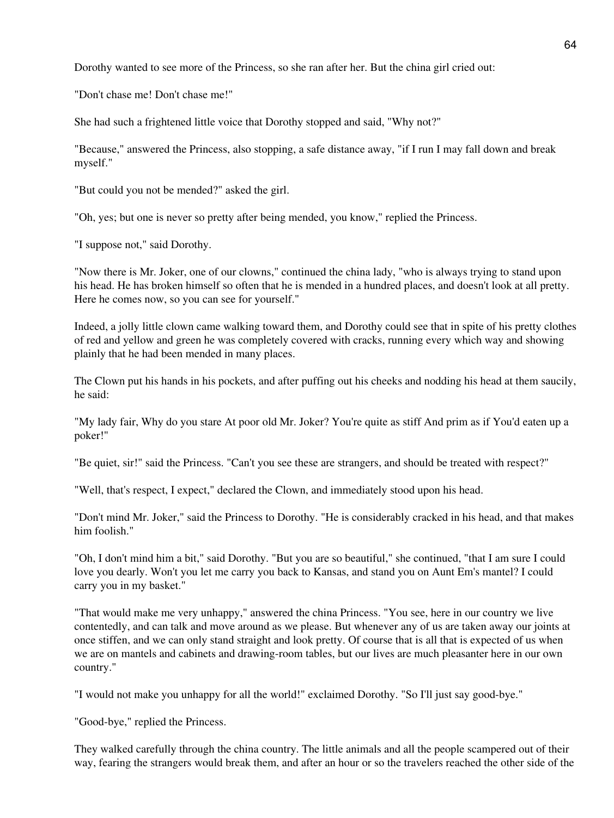Dorothy wanted to see more of the Princess, so she ran after her. But the china girl cried out:

"Don't chase me! Don't chase me!"

She had such a frightened little voice that Dorothy stopped and said, "Why not?"

"Because," answered the Princess, also stopping, a safe distance away, "if I run I may fall down and break myself."

"But could you not be mended?" asked the girl.

"Oh, yes; but one is never so pretty after being mended, you know," replied the Princess.

"I suppose not," said Dorothy.

"Now there is Mr. Joker, one of our clowns," continued the china lady, "who is always trying to stand upon his head. He has broken himself so often that he is mended in a hundred places, and doesn't look at all pretty. Here he comes now, so you can see for yourself."

Indeed, a jolly little clown came walking toward them, and Dorothy could see that in spite of his pretty clothes of red and yellow and green he was completely covered with cracks, running every which way and showing plainly that he had been mended in many places.

The Clown put his hands in his pockets, and after puffing out his cheeks and nodding his head at them saucily, he said:

"My lady fair, Why do you stare At poor old Mr. Joker? You're quite as stiff And prim as if You'd eaten up a poker!"

"Be quiet, sir!" said the Princess. "Can't you see these are strangers, and should be treated with respect?"

"Well, that's respect, I expect," declared the Clown, and immediately stood upon his head.

"Don't mind Mr. Joker," said the Princess to Dorothy. "He is considerably cracked in his head, and that makes him foolish."

"Oh, I don't mind him a bit," said Dorothy. "But you are so beautiful," she continued, "that I am sure I could love you dearly. Won't you let me carry you back to Kansas, and stand you on Aunt Em's mantel? I could carry you in my basket."

"That would make me very unhappy," answered the china Princess. "You see, here in our country we live contentedly, and can talk and move around as we please. But whenever any of us are taken away our joints at once stiffen, and we can only stand straight and look pretty. Of course that is all that is expected of us when we are on mantels and cabinets and drawing-room tables, but our lives are much pleasanter here in our own country."

"I would not make you unhappy for all the world!" exclaimed Dorothy. "So I'll just say good-bye."

"Good-bye," replied the Princess.

They walked carefully through the china country. The little animals and all the people scampered out of their way, fearing the strangers would break them, and after an hour or so the travelers reached the other side of the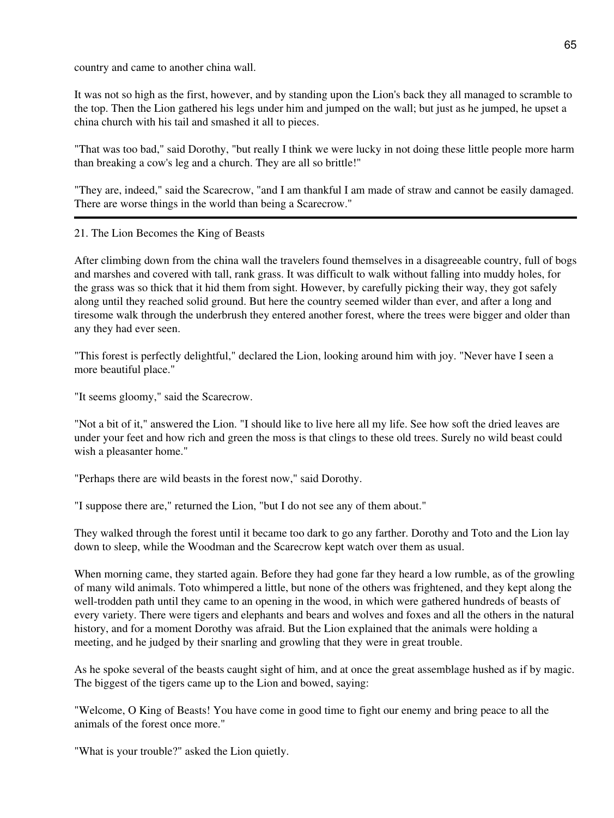country and came to another china wall.

It was not so high as the first, however, and by standing upon the Lion's back they all managed to scramble to the top. Then the Lion gathered his legs under him and jumped on the wall; but just as he jumped, he upset a china church with his tail and smashed it all to pieces.

"That was too bad," said Dorothy, "but really I think we were lucky in not doing these little people more harm than breaking a cow's leg and a church. They are all so brittle!"

"They are, indeed," said the Scarecrow, "and I am thankful I am made of straw and cannot be easily damaged. There are worse things in the world than being a Scarecrow."

21. The Lion Becomes the King of Beasts

After climbing down from the china wall the travelers found themselves in a disagreeable country, full of bogs and marshes and covered with tall, rank grass. It was difficult to walk without falling into muddy holes, for the grass was so thick that it hid them from sight. However, by carefully picking their way, they got safely along until they reached solid ground. But here the country seemed wilder than ever, and after a long and tiresome walk through the underbrush they entered another forest, where the trees were bigger and older than any they had ever seen.

"This forest is perfectly delightful," declared the Lion, looking around him with joy. "Never have I seen a more beautiful place."

"It seems gloomy," said the Scarecrow.

"Not a bit of it," answered the Lion. "I should like to live here all my life. See how soft the dried leaves are under your feet and how rich and green the moss is that clings to these old trees. Surely no wild beast could wish a pleasanter home."

"Perhaps there are wild beasts in the forest now," said Dorothy.

"I suppose there are," returned the Lion, "but I do not see any of them about."

They walked through the forest until it became too dark to go any farther. Dorothy and Toto and the Lion lay down to sleep, while the Woodman and the Scarecrow kept watch over them as usual.

When morning came, they started again. Before they had gone far they heard a low rumble, as of the growling of many wild animals. Toto whimpered a little, but none of the others was frightened, and they kept along the well-trodden path until they came to an opening in the wood, in which were gathered hundreds of beasts of every variety. There were tigers and elephants and bears and wolves and foxes and all the others in the natural history, and for a moment Dorothy was afraid. But the Lion explained that the animals were holding a meeting, and he judged by their snarling and growling that they were in great trouble.

As he spoke several of the beasts caught sight of him, and at once the great assemblage hushed as if by magic. The biggest of the tigers came up to the Lion and bowed, saying:

"Welcome, O King of Beasts! You have come in good time to fight our enemy and bring peace to all the animals of the forest once more."

"What is your trouble?" asked the Lion quietly.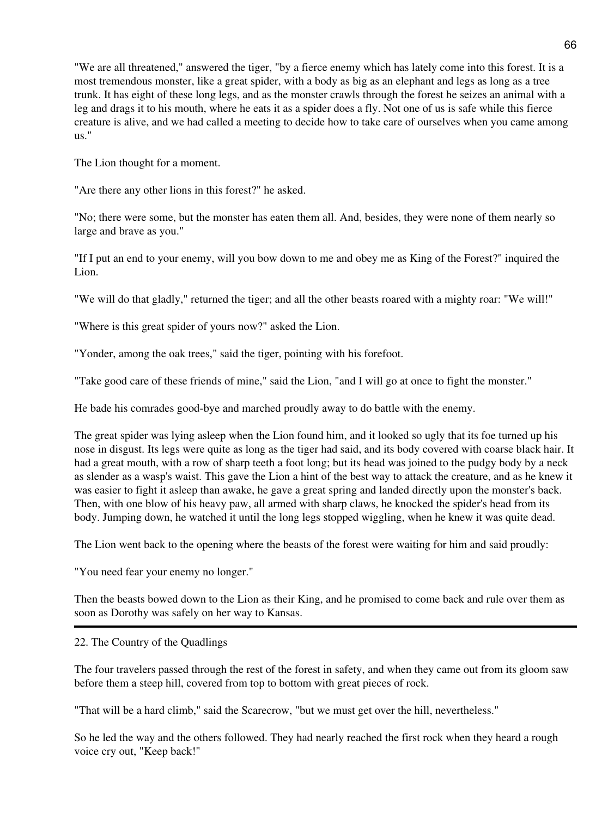"We are all threatened," answered the tiger, "by a fierce enemy which has lately come into this forest. It is a most tremendous monster, like a great spider, with a body as big as an elephant and legs as long as a tree trunk. It has eight of these long legs, and as the monster crawls through the forest he seizes an animal with a leg and drags it to his mouth, where he eats it as a spider does a fly. Not one of us is safe while this fierce creature is alive, and we had called a meeting to decide how to take care of ourselves when you came among us."

The Lion thought for a moment.

"Are there any other lions in this forest?" he asked.

"No; there were some, but the monster has eaten them all. And, besides, they were none of them nearly so large and brave as you."

"If I put an end to your enemy, will you bow down to me and obey me as King of the Forest?" inquired the Lion.

"We will do that gladly," returned the tiger; and all the other beasts roared with a mighty roar: "We will!"

"Where is this great spider of yours now?" asked the Lion.

"Yonder, among the oak trees," said the tiger, pointing with his forefoot.

"Take good care of these friends of mine," said the Lion, "and I will go at once to fight the monster."

He bade his comrades good-bye and marched proudly away to do battle with the enemy.

The great spider was lying asleep when the Lion found him, and it looked so ugly that its foe turned up his nose in disgust. Its legs were quite as long as the tiger had said, and its body covered with coarse black hair. It had a great mouth, with a row of sharp teeth a foot long; but its head was joined to the pudgy body by a neck as slender as a wasp's waist. This gave the Lion a hint of the best way to attack the creature, and as he knew it was easier to fight it asleep than awake, he gave a great spring and landed directly upon the monster's back. Then, with one blow of his heavy paw, all armed with sharp claws, he knocked the spider's head from its body. Jumping down, he watched it until the long legs stopped wiggling, when he knew it was quite dead.

The Lion went back to the opening where the beasts of the forest were waiting for him and said proudly:

"You need fear your enemy no longer."

Then the beasts bowed down to the Lion as their King, and he promised to come back and rule over them as soon as Dorothy was safely on her way to Kansas.

# 22. The Country of the Quadlings

The four travelers passed through the rest of the forest in safety, and when they came out from its gloom saw before them a steep hill, covered from top to bottom with great pieces of rock.

"That will be a hard climb," said the Scarecrow, "but we must get over the hill, nevertheless."

So he led the way and the others followed. They had nearly reached the first rock when they heard a rough voice cry out, "Keep back!"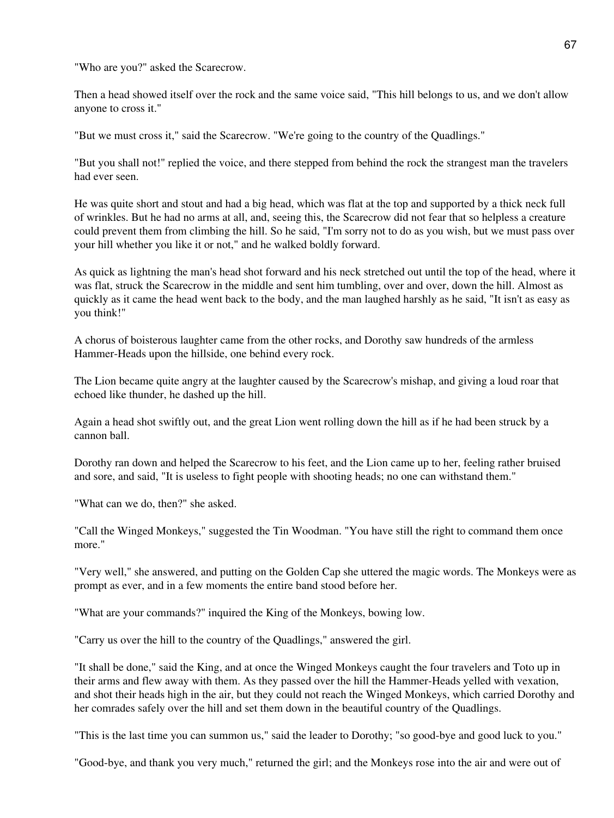"Who are you?" asked the Scarecrow.

Then a head showed itself over the rock and the same voice said, "This hill belongs to us, and we don't allow anyone to cross it."

"But we must cross it," said the Scarecrow. "We're going to the country of the Quadlings."

"But you shall not!" replied the voice, and there stepped from behind the rock the strangest man the travelers had ever seen.

He was quite short and stout and had a big head, which was flat at the top and supported by a thick neck full of wrinkles. But he had no arms at all, and, seeing this, the Scarecrow did not fear that so helpless a creature could prevent them from climbing the hill. So he said, "I'm sorry not to do as you wish, but we must pass over your hill whether you like it or not," and he walked boldly forward.

As quick as lightning the man's head shot forward and his neck stretched out until the top of the head, where it was flat, struck the Scarecrow in the middle and sent him tumbling, over and over, down the hill. Almost as quickly as it came the head went back to the body, and the man laughed harshly as he said, "It isn't as easy as you think!"

A chorus of boisterous laughter came from the other rocks, and Dorothy saw hundreds of the armless Hammer-Heads upon the hillside, one behind every rock.

The Lion became quite angry at the laughter caused by the Scarecrow's mishap, and giving a loud roar that echoed like thunder, he dashed up the hill.

Again a head shot swiftly out, and the great Lion went rolling down the hill as if he had been struck by a cannon ball.

Dorothy ran down and helped the Scarecrow to his feet, and the Lion came up to her, feeling rather bruised and sore, and said, "It is useless to fight people with shooting heads; no one can withstand them."

"What can we do, then?" she asked.

"Call the Winged Monkeys," suggested the Tin Woodman. "You have still the right to command them once more."

"Very well," she answered, and putting on the Golden Cap she uttered the magic words. The Monkeys were as prompt as ever, and in a few moments the entire band stood before her.

"What are your commands?" inquired the King of the Monkeys, bowing low.

"Carry us over the hill to the country of the Quadlings," answered the girl.

"It shall be done," said the King, and at once the Winged Monkeys caught the four travelers and Toto up in their arms and flew away with them. As they passed over the hill the Hammer-Heads yelled with vexation, and shot their heads high in the air, but they could not reach the Winged Monkeys, which carried Dorothy and her comrades safely over the hill and set them down in the beautiful country of the Quadlings.

"This is the last time you can summon us," said the leader to Dorothy; "so good-bye and good luck to you."

"Good-bye, and thank you very much," returned the girl; and the Monkeys rose into the air and were out of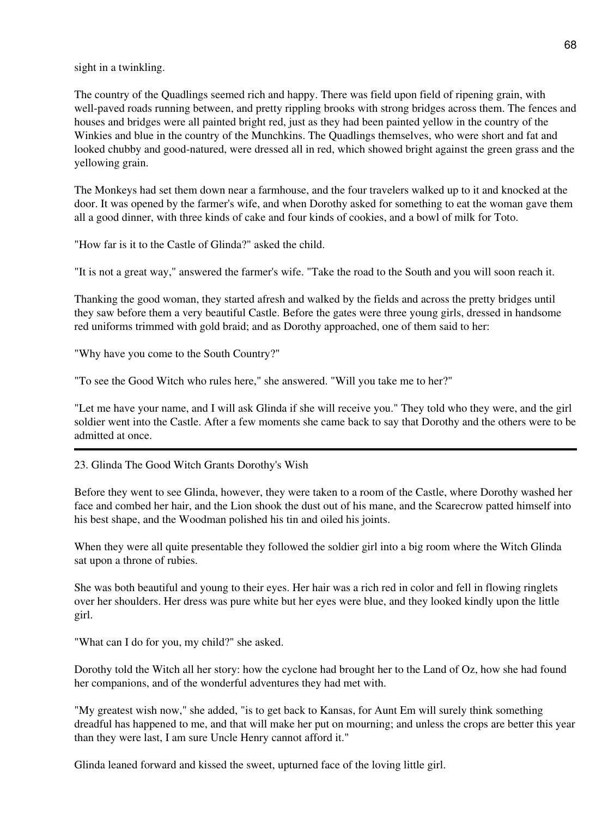sight in a twinkling.

The country of the Quadlings seemed rich and happy. There was field upon field of ripening grain, with well-paved roads running between, and pretty rippling brooks with strong bridges across them. The fences and houses and bridges were all painted bright red, just as they had been painted yellow in the country of the Winkies and blue in the country of the Munchkins. The Quadlings themselves, who were short and fat and looked chubby and good-natured, were dressed all in red, which showed bright against the green grass and the yellowing grain.

The Monkeys had set them down near a farmhouse, and the four travelers walked up to it and knocked at the door. It was opened by the farmer's wife, and when Dorothy asked for something to eat the woman gave them all a good dinner, with three kinds of cake and four kinds of cookies, and a bowl of milk for Toto.

"How far is it to the Castle of Glinda?" asked the child.

"It is not a great way," answered the farmer's wife. "Take the road to the South and you will soon reach it.

Thanking the good woman, they started afresh and walked by the fields and across the pretty bridges until they saw before them a very beautiful Castle. Before the gates were three young girls, dressed in handsome red uniforms trimmed with gold braid; and as Dorothy approached, one of them said to her:

"Why have you come to the South Country?"

"To see the Good Witch who rules here," she answered. "Will you take me to her?"

"Let me have your name, and I will ask Glinda if she will receive you." They told who they were, and the girl soldier went into the Castle. After a few moments she came back to say that Dorothy and the others were to be admitted at once.

23. Glinda The Good Witch Grants Dorothy's Wish

Before they went to see Glinda, however, they were taken to a room of the Castle, where Dorothy washed her face and combed her hair, and the Lion shook the dust out of his mane, and the Scarecrow patted himself into his best shape, and the Woodman polished his tin and oiled his joints.

When they were all quite presentable they followed the soldier girl into a big room where the Witch Glinda sat upon a throne of rubies.

She was both beautiful and young to their eyes. Her hair was a rich red in color and fell in flowing ringlets over her shoulders. Her dress was pure white but her eyes were blue, and they looked kindly upon the little girl.

"What can I do for you, my child?" she asked.

Dorothy told the Witch all her story: how the cyclone had brought her to the Land of Oz, how she had found her companions, and of the wonderful adventures they had met with.

"My greatest wish now," she added, "is to get back to Kansas, for Aunt Em will surely think something dreadful has happened to me, and that will make her put on mourning; and unless the crops are better this year than they were last, I am sure Uncle Henry cannot afford it."

Glinda leaned forward and kissed the sweet, upturned face of the loving little girl.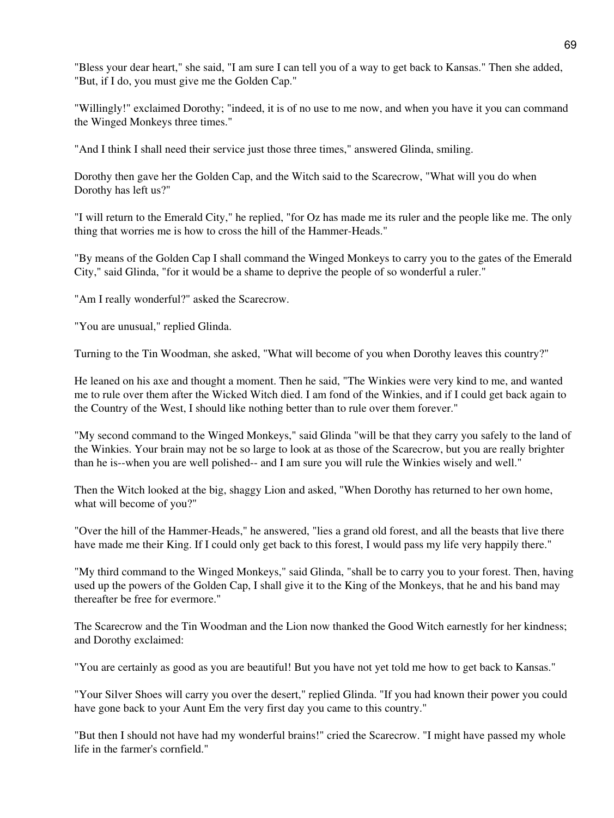"Bless your dear heart," she said, "I am sure I can tell you of a way to get back to Kansas." Then she added, "But, if I do, you must give me the Golden Cap."

"Willingly!" exclaimed Dorothy; "indeed, it is of no use to me now, and when you have it you can command the Winged Monkeys three times."

"And I think I shall need their service just those three times," answered Glinda, smiling.

Dorothy then gave her the Golden Cap, and the Witch said to the Scarecrow, "What will you do when Dorothy has left us?"

"I will return to the Emerald City," he replied, "for Oz has made me its ruler and the people like me. The only thing that worries me is how to cross the hill of the Hammer-Heads."

"By means of the Golden Cap I shall command the Winged Monkeys to carry you to the gates of the Emerald City," said Glinda, "for it would be a shame to deprive the people of so wonderful a ruler."

"Am I really wonderful?" asked the Scarecrow.

"You are unusual," replied Glinda.

Turning to the Tin Woodman, she asked, "What will become of you when Dorothy leaves this country?"

He leaned on his axe and thought a moment. Then he said, "The Winkies were very kind to me, and wanted me to rule over them after the Wicked Witch died. I am fond of the Winkies, and if I could get back again to the Country of the West, I should like nothing better than to rule over them forever."

"My second command to the Winged Monkeys," said Glinda "will be that they carry you safely to the land of the Winkies. Your brain may not be so large to look at as those of the Scarecrow, but you are really brighter than he is--when you are well polished-- and I am sure you will rule the Winkies wisely and well."

Then the Witch looked at the big, shaggy Lion and asked, "When Dorothy has returned to her own home, what will become of you?"

"Over the hill of the Hammer-Heads," he answered, "lies a grand old forest, and all the beasts that live there have made me their King. If I could only get back to this forest, I would pass my life very happily there."

"My third command to the Winged Monkeys," said Glinda, "shall be to carry you to your forest. Then, having used up the powers of the Golden Cap, I shall give it to the King of the Monkeys, that he and his band may thereafter be free for evermore."

The Scarecrow and the Tin Woodman and the Lion now thanked the Good Witch earnestly for her kindness; and Dorothy exclaimed:

"You are certainly as good as you are beautiful! But you have not yet told me how to get back to Kansas."

"Your Silver Shoes will carry you over the desert," replied Glinda. "If you had known their power you could have gone back to your Aunt Em the very first day you came to this country."

"But then I should not have had my wonderful brains!" cried the Scarecrow. "I might have passed my whole life in the farmer's cornfield."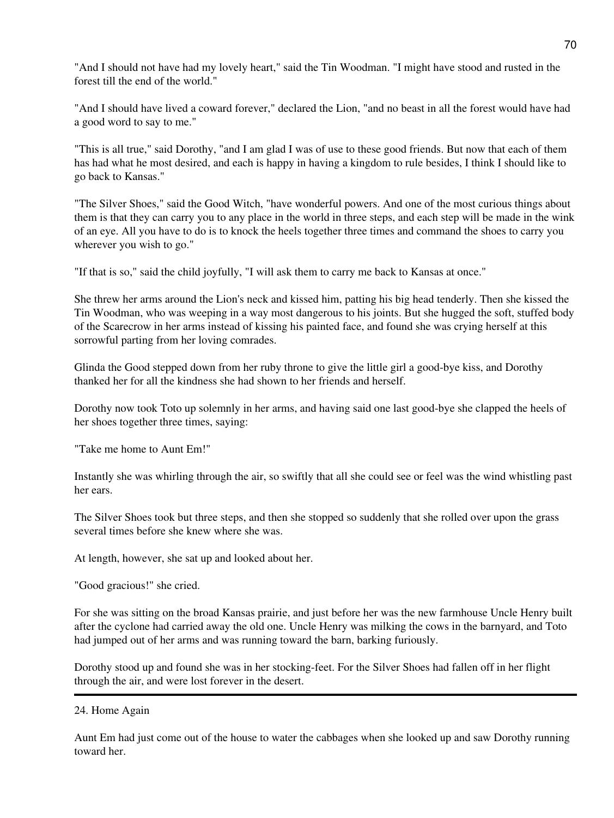"And I should not have had my lovely heart," said the Tin Woodman. "I might have stood and rusted in the forest till the end of the world."

"And I should have lived a coward forever," declared the Lion, "and no beast in all the forest would have had a good word to say to me."

"This is all true," said Dorothy, "and I am glad I was of use to these good friends. But now that each of them has had what he most desired, and each is happy in having a kingdom to rule besides, I think I should like to go back to Kansas."

"The Silver Shoes," said the Good Witch, "have wonderful powers. And one of the most curious things about them is that they can carry you to any place in the world in three steps, and each step will be made in the wink of an eye. All you have to do is to knock the heels together three times and command the shoes to carry you wherever you wish to go."

"If that is so," said the child joyfully, "I will ask them to carry me back to Kansas at once."

She threw her arms around the Lion's neck and kissed him, patting his big head tenderly. Then she kissed the Tin Woodman, who was weeping in a way most dangerous to his joints. But she hugged the soft, stuffed body of the Scarecrow in her arms instead of kissing his painted face, and found she was crying herself at this sorrowful parting from her loving comrades.

Glinda the Good stepped down from her ruby throne to give the little girl a good-bye kiss, and Dorothy thanked her for all the kindness she had shown to her friends and herself.

Dorothy now took Toto up solemnly in her arms, and having said one last good-bye she clapped the heels of her shoes together three times, saying:

"Take me home to Aunt Em!"

Instantly she was whirling through the air, so swiftly that all she could see or feel was the wind whistling past her ears.

The Silver Shoes took but three steps, and then she stopped so suddenly that she rolled over upon the grass several times before she knew where she was.

At length, however, she sat up and looked about her.

"Good gracious!" she cried.

For she was sitting on the broad Kansas prairie, and just before her was the new farmhouse Uncle Henry built after the cyclone had carried away the old one. Uncle Henry was milking the cows in the barnyard, and Toto had jumped out of her arms and was running toward the barn, barking furiously.

Dorothy stood up and found she was in her stocking-feet. For the Silver Shoes had fallen off in her flight through the air, and were lost forever in the desert.

Aunt Em had just come out of the house to water the cabbages when she looked up and saw Dorothy running toward her.

<sup>24.</sup> Home Again